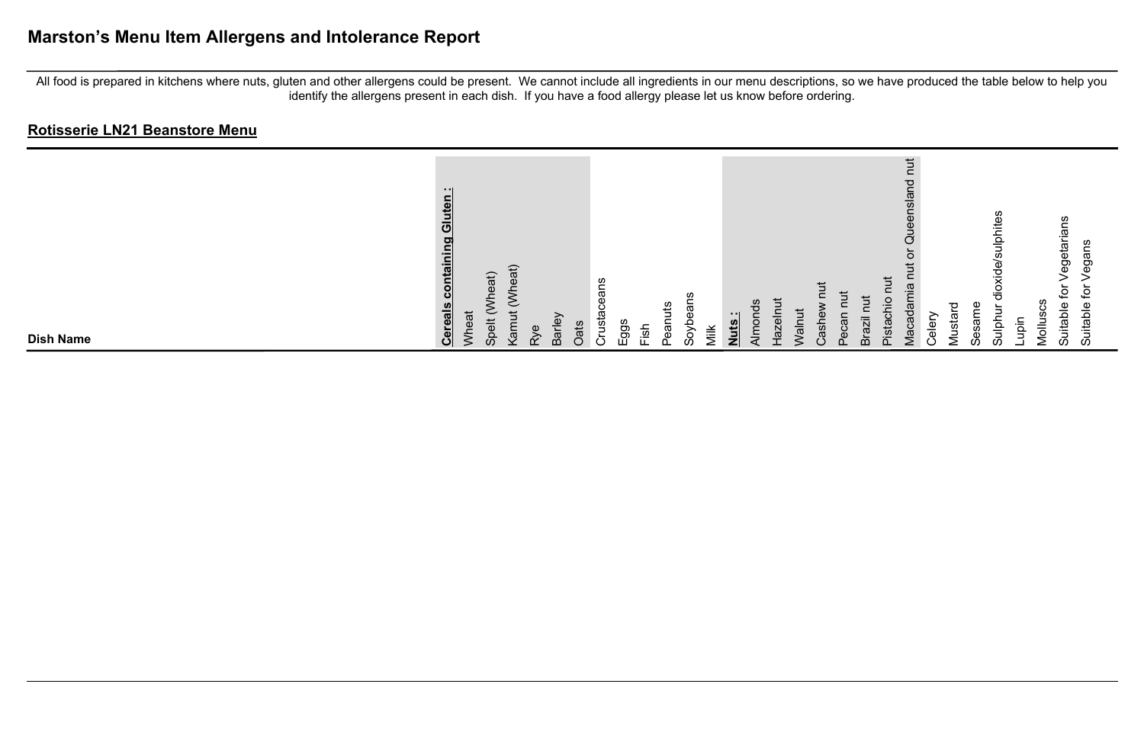# **Marston's Menu Item Allergens and Intolerance Report**

All food is prepared in kitchens where nuts, gluten and other allergens could be present. We cannot include all ingredients in our menu descriptions, so we have produced the table below to help you identify the allergens present in each dish. If you have a food allergy please let us know before ordering.

| <b>Dish Name</b>                                                                             |
|----------------------------------------------------------------------------------------------|
| - 11<br>Gluten<br>containing<br><b>Cereals</b>                                               |
| Wheat                                                                                        |
| Vheat)<br>Vheat)<br>◡<br>$\overline{5}$<br>$\check{ }$<br>$\ddot{\overline{6}}$<br>Kar<br>တိ |
| Φ<br>≳                                                                                       |
| Barley<br>Oats                                                                               |
| S.<br>œ<br>Φ<br>$\circ$<br>Crusta                                                            |
| ggs                                                                                          |
| atur<br>Pear<br>usi-                                                                         |
| $\sigma$<br>శ్లే<br>ڢ<br>δð                                                                  |
| Viik                                                                                         |
| Nuts:                                                                                        |
| Almon                                                                                        |
| ≐<br>بهِ<br>$\bar{5}$<br>$\frac{1}{2}$<br>>                                                  |
| ä<br>ت                                                                                       |
|                                                                                              |
| lize<br>ഩ                                                                                    |
| $\overline{ }$<br>'≒<br><b>Pista</b>                                                         |
| ち<br>$\overline{\mathbf{C}}$<br>iejst<br>.ত<br>σ<br>c<br>$M$ aca                             |
| $\frac{0}{\Phi}$<br>◡                                                                        |
| ᠊ᠸ<br>ಹ<br>Musta                                                                             |
| εs<br>C<br>S                                                                                 |
| U.<br>e#ir<br>훀<br>$\ddot{\vec{\sigma}}$<br>Sulpt<br>iğ                                      |
| ပ္ပ<br>Mollus                                                                                |
| getarians<br>ځ<br>Suitable                                                                   |
| ഇ<br>ğ<br>ڡ<br>Suitable                                                                      |
|                                                                                              |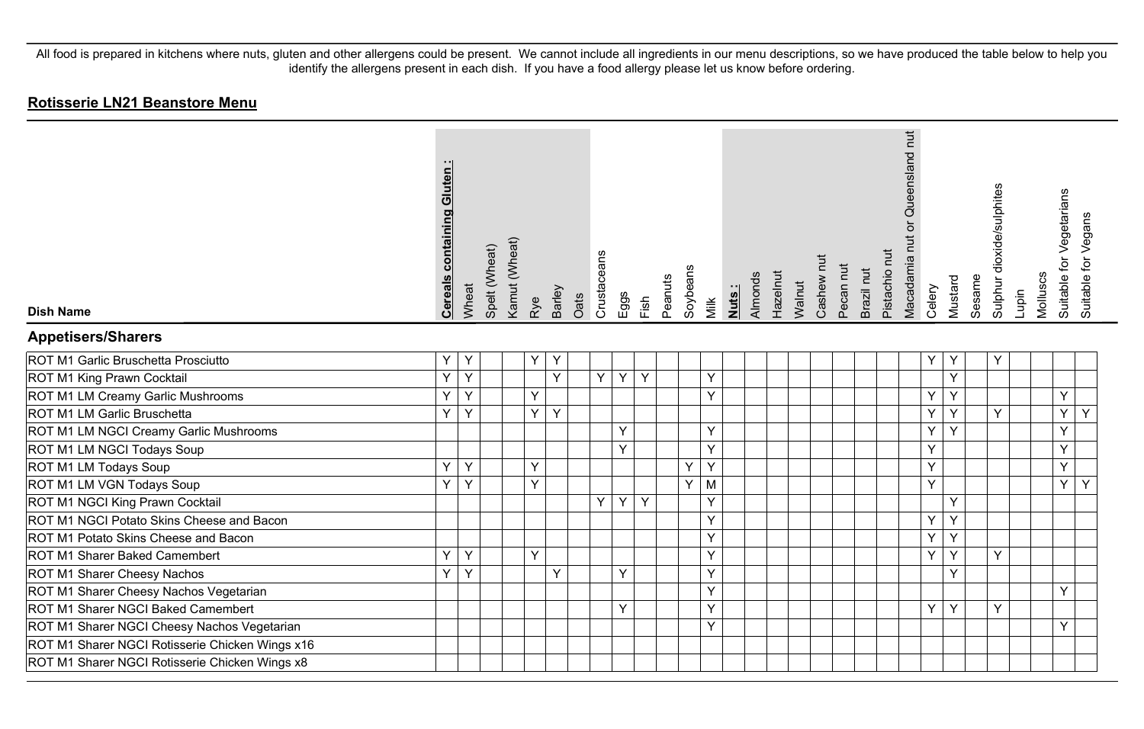| <b>Dish Name</b>                                | <b>Cereals containing Gluten</b> | Wheat | Spelt (Wheat) | Kamut (Wheat) | Rye | Barley | Oats | Crustaceans | Eggs | Fish | Peanuts | Soybeans | Milk | <u>Nuts:</u> | Almonds | Hazelnut | Walnut | Cashew nut | Pecan nut | Brazil nut | Pistachio nut | Queensland nut<br>Macadamia nut or | Celery | Mustard | Sesame | Sulphur dioxide/sulphites | Lupin | Molluscs | Suitable for Vegetarians | Suitable for Vegans |
|-------------------------------------------------|----------------------------------|-------|---------------|---------------|-----|--------|------|-------------|------|------|---------|----------|------|--------------|---------|----------|--------|------------|-----------|------------|---------------|------------------------------------|--------|---------|--------|---------------------------|-------|----------|--------------------------|---------------------|
| <b>Appetisers/Sharers</b>                       |                                  |       |               |               |     |        |      |             |      |      |         |          |      |              |         |          |        |            |           |            |               |                                    |        |         |        |                           |       |          |                          |                     |
| ROT M1 Garlic Bruschetta Prosciutto             | Y                                | Y     |               |               | Y   | Y      |      |             |      |      |         |          |      |              |         |          |        |            |           |            |               |                                    | Y      | Υ       |        | Υ                         |       |          |                          |                     |
| ROT M1 King Prawn Cocktail                      | Y.                               | Y     |               |               |     | Y      |      | Y           | Y    | Y    |         |          | Y    |              |         |          |        |            |           |            |               |                                    |        | Y       |        |                           |       |          |                          |                     |
| ROT M1 LM Creamy Garlic Mushrooms               | Y                                | Y     |               |               | Y   |        |      |             |      |      |         |          | Y    |              |         |          |        |            |           |            |               |                                    | Y      | Y       |        |                           |       |          | Y                        |                     |
| ROT M1 LM Garlic Bruschetta                     | Y                                | Y     |               |               | Y   | Y      |      |             |      |      |         |          |      |              |         |          |        |            |           |            |               |                                    | Y      | Y       |        | Y                         |       |          | Y                        | Y                   |
| ROT M1 LM NGCI Creamy Garlic Mushrooms          |                                  |       |               |               |     |        |      |             | Y    |      |         |          | Y    |              |         |          |        |            |           |            |               |                                    | Y      | Y       |        |                           |       |          | Y                        |                     |
| ROT M1 LM NGCI Todays Soup                      |                                  |       |               |               |     |        |      |             | Y    |      |         |          | Y    |              |         |          |        |            |           |            |               |                                    | Y      |         |        |                           |       |          | Υ                        |                     |
| ROT M1 LM Todays Soup                           | Y                                | Y     |               |               | Y   |        |      |             |      |      |         | Y        | Y    |              |         |          |        |            |           |            |               |                                    | Y      |         |        |                           |       |          | Y                        |                     |
| ROT M1 LM VGN Todays Soup                       | Y                                | Y     |               |               | Ÿ   |        |      |             |      |      |         | Y        | M    |              |         |          |        |            |           |            |               |                                    | Y      |         |        |                           |       |          | Y                        | Y                   |
| ROT M1 NGCI King Prawn Cocktail                 |                                  |       |               |               |     |        |      | Y           | Y    | Y    |         |          | Y    |              |         |          |        |            |           |            |               |                                    |        | Y       |        |                           |       |          |                          |                     |
| ROT M1 NGCI Potato Skins Cheese and Bacon       |                                  |       |               |               |     |        |      |             |      |      |         |          | Y    |              |         |          |        |            |           |            |               |                                    | Y      | Y       |        |                           |       |          |                          |                     |
| ROT M1 Potato Skins Cheese and Bacon            |                                  |       |               |               |     |        |      |             |      |      |         |          | Y    |              |         |          |        |            |           |            |               |                                    | Y      | Y       |        |                           |       |          |                          |                     |
| ROT M1 Sharer Baked Camembert                   | Y                                | Y     |               |               | Y   |        |      |             |      |      |         |          | Y    |              |         |          |        |            |           |            |               |                                    | Y      | Y       |        | Y                         |       |          |                          |                     |
| ROT M1 Sharer Cheesy Nachos                     | Y                                | Y     |               |               |     | Y      |      |             | Y    |      |         |          | Y    |              |         |          |        |            |           |            |               |                                    |        | Y       |        |                           |       |          |                          |                     |
| ROT M1 Sharer Cheesy Nachos Vegetarian          |                                  |       |               |               |     |        |      |             |      |      |         |          | Y    |              |         |          |        |            |           |            |               |                                    |        |         |        |                           |       |          | Y                        |                     |
| ROT M1 Sharer NGCI Baked Camembert              |                                  |       |               |               |     |        |      |             | Y    |      |         |          | Y    |              |         |          |        |            |           |            |               |                                    | Y      | Y       |        | Y                         |       |          |                          |                     |
| ROT M1 Sharer NGCI Cheesy Nachos Vegetarian     |                                  |       |               |               |     |        |      |             |      |      |         |          | Y    |              |         |          |        |            |           |            |               |                                    |        |         |        |                           |       |          | Y                        |                     |
| ROT M1 Sharer NGCI Rotisserie Chicken Wings x16 |                                  |       |               |               |     |        |      |             |      |      |         |          |      |              |         |          |        |            |           |            |               |                                    |        |         |        |                           |       |          |                          |                     |
| ROT M1 Sharer NGCI Rotisserie Chicken Wings x8  |                                  |       |               |               |     |        |      |             |      |      |         |          |      |              |         |          |        |            |           |            |               |                                    |        |         |        |                           |       |          |                          |                     |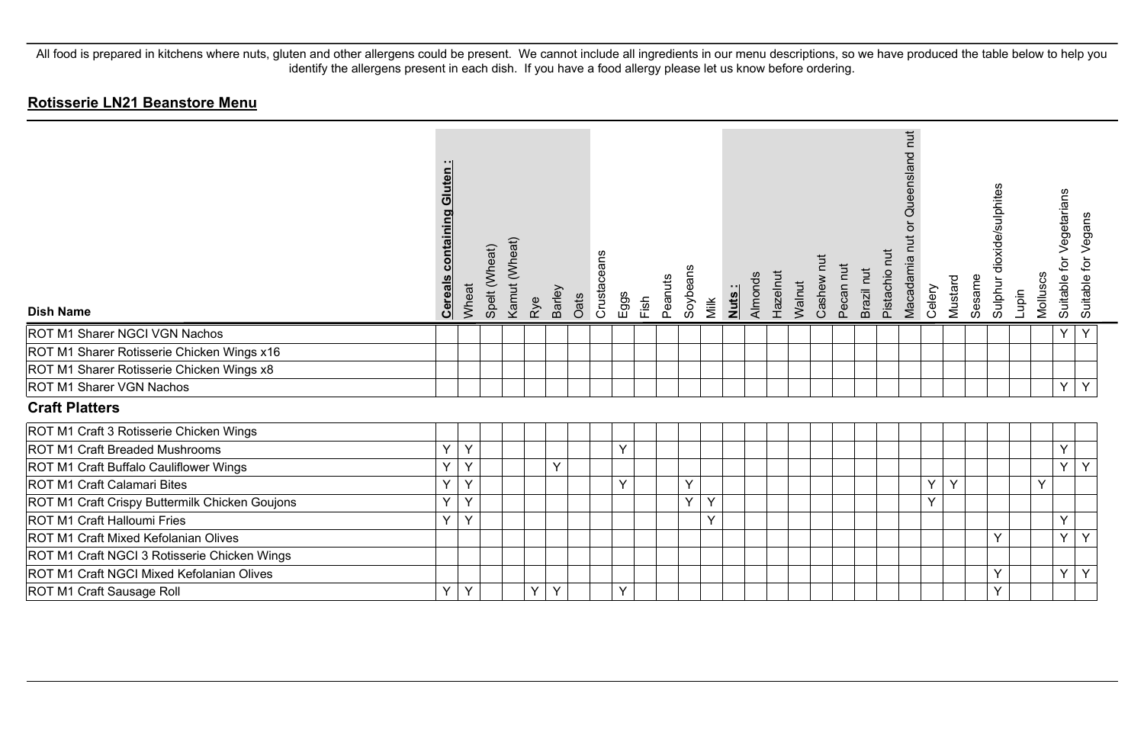| <b>Dish Name</b>                               | Gluten<br>containing<br><b>Cereals</b> | Wheat | Spelt (Wheat) | Kamut (Wheat) | Rye | Barley | Oats | Crustaceans | Eggs   | Fish | Peanuts | Soybeans | Milk | Nuts: | Hazelnut<br>Almonds | Walnut | Ē<br>Cashew | Pecan nut | Brazil nut | Pistachio nut | Queensland nut<br>ð<br>Macadamia nut | Celery | Mustard | Sesame | Sulphur dioxide/sulphites | Lupin | Molluscs | Vegetarians<br>.<br>م<br>Suitable | Suitable for Vegans |
|------------------------------------------------|----------------------------------------|-------|---------------|---------------|-----|--------|------|-------------|--------|------|---------|----------|------|-------|---------------------|--------|-------------|-----------|------------|---------------|--------------------------------------|--------|---------|--------|---------------------------|-------|----------|-----------------------------------|---------------------|
| ROT M1 Sharer NGCI VGN Nachos                  |                                        |       |               |               |     |        |      |             |        |      |         |          |      |       |                     |        |             |           |            |               |                                      |        |         |        |                           |       |          | Υ                                 | Y                   |
| ROT M1 Sharer Rotisserie Chicken Wings x16     |                                        |       |               |               |     |        |      |             |        |      |         |          |      |       |                     |        |             |           |            |               |                                      |        |         |        |                           |       |          |                                   |                     |
| ROT M1 Sharer Rotisserie Chicken Wings x8      |                                        |       |               |               |     |        |      |             |        |      |         |          |      |       |                     |        |             |           |            |               |                                      |        |         |        |                           |       |          |                                   |                     |
| ROT M1 Sharer VGN Nachos                       |                                        |       |               |               |     |        |      |             |        |      |         |          |      |       |                     |        |             |           |            |               |                                      |        |         |        |                           |       |          | Y                                 | Y                   |
| <b>Craft Platters</b>                          |                                        |       |               |               |     |        |      |             |        |      |         |          |      |       |                     |        |             |           |            |               |                                      |        |         |        |                           |       |          |                                   |                     |
| ROT M1 Craft 3 Rotisserie Chicken Wings        |                                        |       |               |               |     |        |      |             |        |      |         |          |      |       |                     |        |             |           |            |               |                                      |        |         |        |                           |       |          |                                   |                     |
| <b>ROT M1 Craft Breaded Mushrooms</b>          | Y                                      | Y     |               |               |     |        |      |             | $\vee$ |      |         |          |      |       |                     |        |             |           |            |               |                                      |        |         |        |                           |       |          | Y                                 |                     |
| ROT M1 Craft Buffalo Cauliflower Wings         | Y                                      | Y     |               |               |     | Y      |      |             |        |      |         |          |      |       |                     |        |             |           |            |               |                                      |        |         |        |                           |       |          | Y                                 | Y                   |
| ROT M1 Craft Calamari Bites                    | Y                                      | Y     |               |               |     |        |      |             | $\vee$ |      |         | Y        |      |       |                     |        |             |           |            |               |                                      | Y      | Y       |        |                           |       | Y        |                                   |                     |
| ROT M1 Craft Crispy Buttermilk Chicken Goujons | Y                                      | Y     |               |               |     |        |      |             |        |      |         | Y        | Y    |       |                     |        |             |           |            |               |                                      | Y      |         |        |                           |       |          |                                   |                     |
| ROT M1 Craft Halloumi Fries                    | Y                                      | Y     |               |               |     |        |      |             |        |      |         |          | Y    |       |                     |        |             |           |            |               |                                      |        |         |        |                           |       |          | Y                                 |                     |
| ROT M1 Craft Mixed Kefolanian Olives           |                                        |       |               |               |     |        |      |             |        |      |         |          |      |       |                     |        |             |           |            |               |                                      |        |         |        | $\checkmark$              |       |          | Y                                 | Y                   |
| ROT M1 Craft NGCI 3 Rotisserie Chicken Wings   |                                        |       |               |               |     |        |      |             |        |      |         |          |      |       |                     |        |             |           |            |               |                                      |        |         |        |                           |       |          |                                   |                     |
| ROT M1 Craft NGCI Mixed Kefolanian Olives      |                                        |       |               |               |     |        |      |             |        |      |         |          |      |       |                     |        |             |           |            |               |                                      |        |         |        | $\checkmark$              |       |          | Y                                 | Y                   |
| ROT M1 Craft Sausage Roll                      | Y                                      | Y     |               |               | Y   | Y      |      |             | Y      |      |         |          |      |       |                     |        |             |           |            |               |                                      |        |         |        | Y                         |       |          |                                   |                     |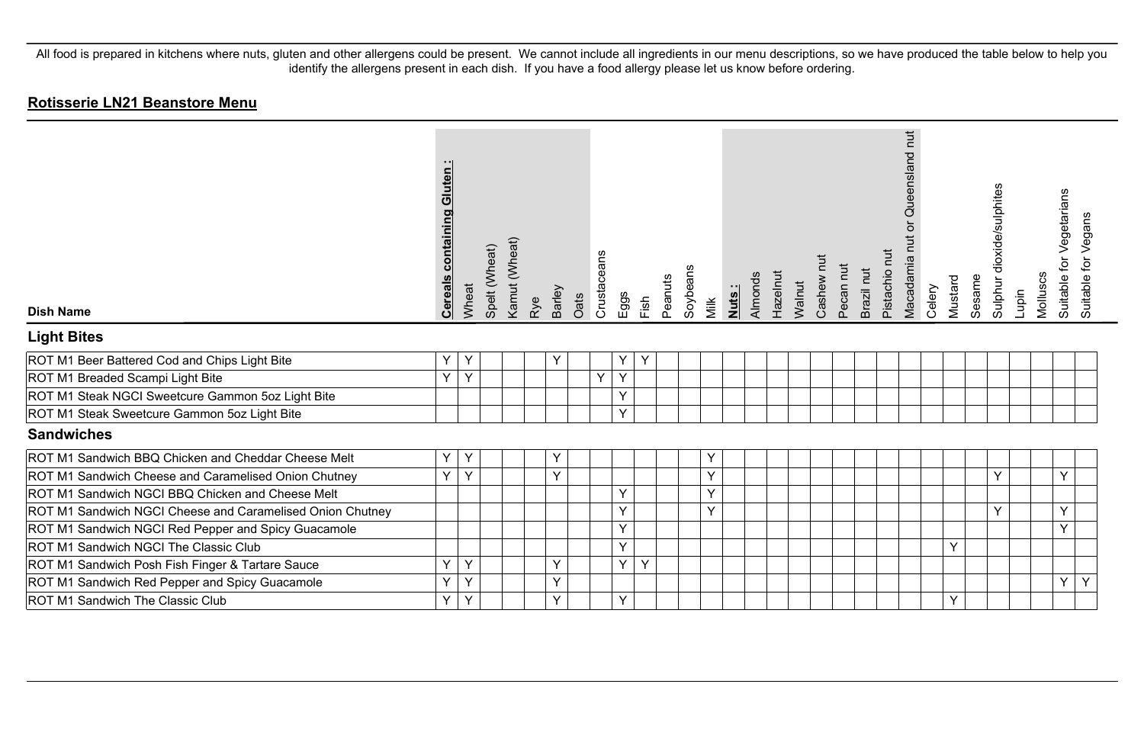| <b>Dish Name</b>                                          | <b>Cereals containing Gluten:</b> | Wheat | Spelt (Wheat) | Kamut (Wheat) | Rye | Barley | Crustaceans<br>Oats | Eggs | Fish | Peanuts | Soybeans | Milk | Nuts: | Almonds | Hazelnut<br>Walnut | Cashew nut | Pecan nut | Brazil nut | Pistachio nut | Queensland nut<br>$\overline{a}$<br>Macadamia nut | Celery | Mustard | Sesame | Sulphur dioxide/sulphites | Molluscs<br>Lupin |   | for Vegetarians<br><b>Suitable</b> | Suitable for Vegans |
|-----------------------------------------------------------|-----------------------------------|-------|---------------|---------------|-----|--------|---------------------|------|------|---------|----------|------|-------|---------|--------------------|------------|-----------|------------|---------------|---------------------------------------------------|--------|---------|--------|---------------------------|-------------------|---|------------------------------------|---------------------|
| <b>Light Bites</b>                                        |                                   |       |               |               |     |        |                     |      |      |         |          |      |       |         |                    |            |           |            |               |                                                   |        |         |        |                           |                   |   |                                    |                     |
| ROT M1 Beer Battered Cod and Chips Light Bite             | Υ                                 | Y     |               |               |     | Y      |                     | Y    | Y    |         |          |      |       |         |                    |            |           |            |               |                                                   |        |         |        |                           |                   |   |                                    |                     |
| ROT M1 Breaded Scampi Light Bite                          | Y                                 | Υ     |               |               |     |        | Y                   | Y    |      |         |          |      |       |         |                    |            |           |            |               |                                                   |        |         |        |                           |                   |   |                                    |                     |
| ROT M1 Steak NGCI Sweetcure Gammon 5oz Light Bite         |                                   |       |               |               |     |        |                     | Y    |      |         |          |      |       |         |                    |            |           |            |               |                                                   |        |         |        |                           |                   |   |                                    |                     |
| ROT M1 Steak Sweetcure Gammon 5oz Light Bite              |                                   |       |               |               |     |        |                     | Y    |      |         |          |      |       |         |                    |            |           |            |               |                                                   |        |         |        |                           |                   |   |                                    |                     |
| <b>Sandwiches</b>                                         |                                   |       |               |               |     |        |                     |      |      |         |          |      |       |         |                    |            |           |            |               |                                                   |        |         |        |                           |                   |   |                                    |                     |
| ROT M1 Sandwich BBQ Chicken and Cheddar Cheese Melt       | Υ                                 | Υ     |               |               |     | Υ      |                     |      |      |         |          | Y    |       |         |                    |            |           |            |               |                                                   |        |         |        |                           |                   |   |                                    |                     |
| ROT M1 Sandwich Cheese and Caramelised Onion Chutney      | Y                                 | Y     |               |               |     | $\vee$ |                     |      |      |         |          | Y    |       |         |                    |            |           |            |               |                                                   |        |         |        | Y                         |                   |   | Y                                  |                     |
| ROT M1 Sandwich NGCI BBQ Chicken and Cheese Melt          |                                   |       |               |               |     |        |                     | Y    |      |         |          | Y    |       |         |                    |            |           |            |               |                                                   |        |         |        |                           |                   |   |                                    |                     |
| ROT M1 Sandwich NGCI Cheese and Caramelised Onion Chutney |                                   |       |               |               |     |        |                     | Y    |      |         |          | Y    |       |         |                    |            |           |            |               |                                                   |        |         |        | Y                         |                   | Υ |                                    |                     |
| ROT M1 Sandwich NGCI Red Pepper and Spicy Guacamole       |                                   |       |               |               |     |        |                     | Y    |      |         |          |      |       |         |                    |            |           |            |               |                                                   |        |         |        |                           |                   |   | Y                                  |                     |
| ROT M1 Sandwich NGCI The Classic Club                     |                                   |       |               |               |     |        |                     | Y    |      |         |          |      |       |         |                    |            |           |            |               |                                                   |        | Y       |        |                           |                   |   |                                    |                     |
| ROT M1 Sandwich Posh Fish Finger & Tartare Sauce          | Y                                 | Y     |               |               |     | Y      |                     | Y    | Y    |         |          |      |       |         |                    |            |           |            |               |                                                   |        |         |        |                           |                   |   |                                    |                     |
| ROT M1 Sandwich Red Pepper and Spicy Guacamole            | Y                                 | Y     |               |               |     | $\vee$ |                     |      |      |         |          |      |       |         |                    |            |           |            |               |                                                   |        |         |        |                           |                   |   | Y                                  | Y                   |
| ROT M1 Sandwich The Classic Club                          | Y                                 | Y     |               |               |     | Y      |                     | Y    |      |         |          |      |       |         |                    |            |           |            |               |                                                   |        | Y       |        |                           |                   |   |                                    |                     |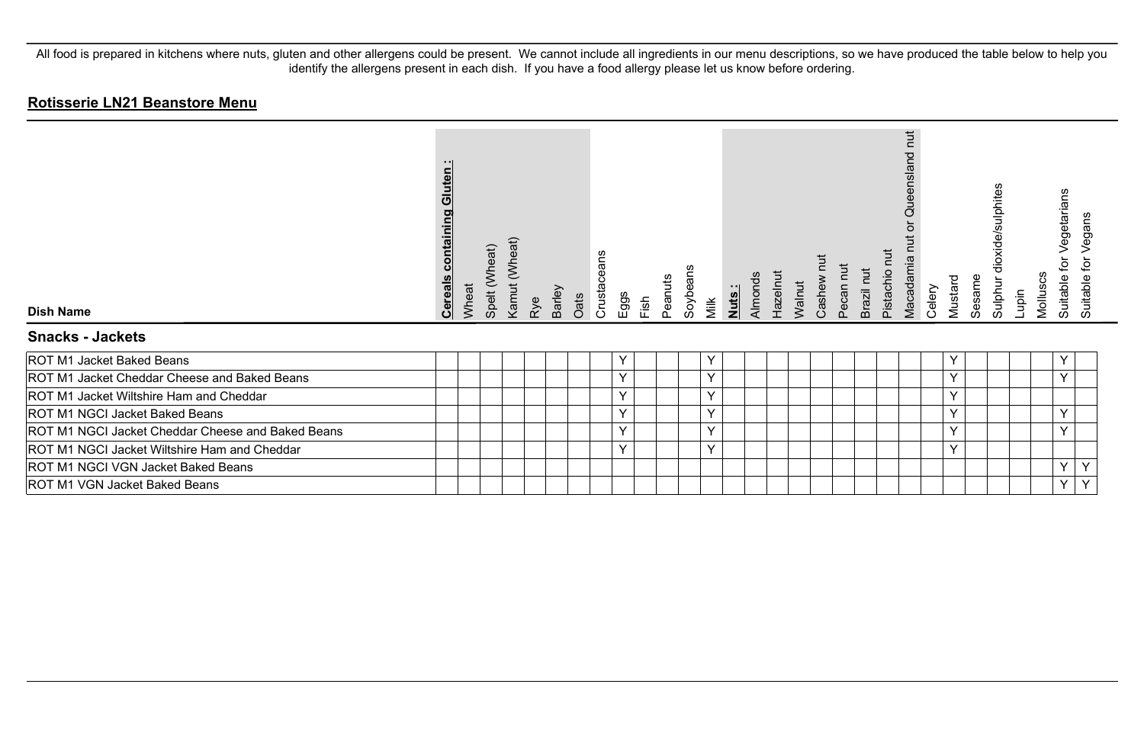| <b>Dish Name</b>                                  | Gluten<br><u>containing</u><br><b>Cereals</b> | Wheat | Spelt (Wheat) | Kamut (Wheat) | Rye | Barley | Oats | eans<br>Crustace | Eggs | Fish | Peanuts | Soybeans | Milk         | <u>Nuts:</u> | Almonds | Hazelnut | Walnut | Cashew | Pecan nut | Brazil nut | īut<br>Pistachio | <b>ut</b><br>덛<br>eensla<br>O<br>Macadamia | Celery | Mustard | Sesame | dioxide/sulphites<br>Sulphur | Lupin | Molluscs | Vegetarians<br>br<br>Suitable | egans<br>><br>ğ<br>Suitable |
|---------------------------------------------------|-----------------------------------------------|-------|---------------|---------------|-----|--------|------|------------------|------|------|---------|----------|--------------|--------------|---------|----------|--------|--------|-----------|------------|------------------|--------------------------------------------|--------|---------|--------|------------------------------|-------|----------|-------------------------------|-----------------------------|
| <b>Snacks - Jackets</b>                           |                                               |       |               |               |     |        |      |                  |      |      |         |          |              |              |         |          |        |        |           |            |                  |                                            |        |         |        |                              |       |          |                               |                             |
| ROT M1 Jacket Baked Beans                         |                                               |       |               |               |     |        |      |                  | Y    |      |         |          | Υ            |              |         |          |        |        |           |            |                  |                                            |        | Y       |        |                              |       |          | Y                             |                             |
| ROT M1 Jacket Cheddar Cheese and Baked Beans      |                                               |       |               |               |     |        |      |                  | Y    |      |         |          | $\checkmark$ |              |         |          |        |        |           |            |                  |                                            |        | Y       |        |                              |       |          | $\checkmark$                  |                             |
| ROT M1 Jacket Wiltshire Ham and Cheddar           |                                               |       |               |               |     |        |      |                  | Y    |      |         |          | Y            |              |         |          |        |        |           |            |                  |                                            |        | Y       |        |                              |       |          |                               |                             |
| ROT M1 NGCI Jacket Baked Beans                    |                                               |       |               |               |     |        |      |                  | Y    |      |         |          | Y            |              |         |          |        |        |           |            |                  |                                            |        | Y       |        |                              |       |          | Y                             |                             |
| ROT M1 NGCI Jacket Cheddar Cheese and Baked Beans |                                               |       |               |               |     |        |      |                  | Y    |      |         |          | Y            |              |         |          |        |        |           |            |                  |                                            |        | Y       |        |                              |       |          | Y                             |                             |
| ROT M1 NGCI Jacket Wiltshire Ham and Cheddar      |                                               |       |               |               |     |        |      |                  | Y    |      |         |          | Y            |              |         |          |        |        |           |            |                  |                                            |        | Y       |        |                              |       |          |                               |                             |
| ROT M1 NGCI VGN Jacket Baked Beans                |                                               |       |               |               |     |        |      |                  |      |      |         |          |              |              |         |          |        |        |           |            |                  |                                            |        |         |        |                              |       |          | Y                             |                             |
| ROT M1 VGN Jacket Baked Beans                     |                                               |       |               |               |     |        |      |                  |      |      |         |          |              |              |         |          |        |        |           |            |                  |                                            |        |         |        |                              |       |          | Υ                             | Y                           |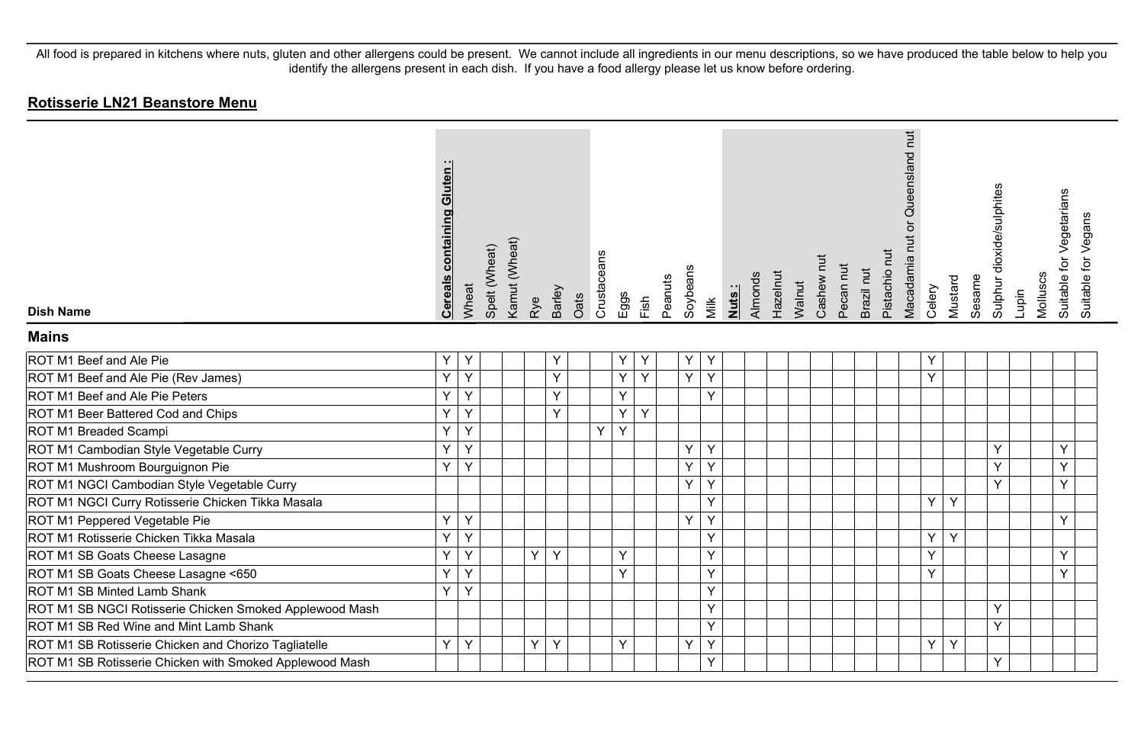| <b>Dish Name</b>                                        | <b>Cereals containing Gluten:</b> | Wheat | Spelt (Wheat) | Kamut (Wheat) | Rye | Barley | Oats | Crustaceans | Eggs | Fish | Peanuts | Soybeans | Milk | <b>Nuts</b> | Hazelnut<br>Almonds | Walnut | Cashew nut | Pecan nut | Brazil nut | Pistachio nut | Queensland nut<br>ð<br>Macadamia nut | Celery | Mustard | Sesame | Sulphur dioxide/sulphites | Lupin | Molluscs | Suitable for Vegetarians<br>Suitable for Vegans |
|---------------------------------------------------------|-----------------------------------|-------|---------------|---------------|-----|--------|------|-------------|------|------|---------|----------|------|-------------|---------------------|--------|------------|-----------|------------|---------------|--------------------------------------|--------|---------|--------|---------------------------|-------|----------|-------------------------------------------------|
| <b>Mains</b>                                            |                                   |       |               |               |     |        |      |             |      |      |         |          |      |             |                     |        |            |           |            |               |                                      |        |         |        |                           |       |          |                                                 |
| ROT M1 Beef and Ale Pie                                 | Υ                                 | Y     |               |               |     | Υ      |      |             | Y    |      |         | Υ        | Y    |             |                     |        |            |           |            |               |                                      | Υ      |         |        |                           |       |          |                                                 |
| ROT M1 Beef and Ale Pie (Rev James)                     | Y                                 | Y     |               |               |     | Y      |      |             | Y    | Y    |         | Y        | Y    |             |                     |        |            |           |            |               |                                      | Y      |         |        |                           |       |          |                                                 |
| ROT M1 Beef and Ale Pie Peters                          | Ÿ                                 | Y     |               |               |     | Y      |      |             | Y    |      |         |          | Y    |             |                     |        |            |           |            |               |                                      |        |         |        |                           |       |          |                                                 |
| ROT M1 Beer Battered Cod and Chips                      | Y                                 | Y     |               |               |     | Y      |      |             | Y    | Y    |         |          |      |             |                     |        |            |           |            |               |                                      |        |         |        |                           |       |          |                                                 |
| ROT M1 Breaded Scampi                                   | Y                                 | Y     |               |               |     |        |      | Y           | Y    |      |         |          |      |             |                     |        |            |           |            |               |                                      |        |         |        |                           |       |          |                                                 |
| ROT M1 Cambodian Style Vegetable Curry                  | Ÿ                                 | Y     |               |               |     |        |      |             |      |      |         | Y        | Y    |             |                     |        |            |           |            |               |                                      |        |         |        | Y                         |       |          | Y                                               |
| ROT M1 Mushroom Bourguignon Pie                         | Y                                 | Y     |               |               |     |        |      |             |      |      |         | Υ        | Y    |             |                     |        |            |           |            |               |                                      |        |         |        | Y                         |       |          | Y                                               |
| ROT M1 NGCI Cambodian Style Vegetable Curry             |                                   |       |               |               |     |        |      |             |      |      |         | Y        | Y    |             |                     |        |            |           |            |               |                                      |        |         |        | Y                         |       |          | Y                                               |
| ROT M1 NGCI Curry Rotisserie Chicken Tikka Masala       |                                   |       |               |               |     |        |      |             |      |      |         |          | Y    |             |                     |        |            |           |            |               |                                      | Y      | Y       |        |                           |       |          |                                                 |
| ROT M1 Peppered Vegetable Pie                           | Y                                 | Y     |               |               |     |        |      |             |      |      |         | Y        | Y    |             |                     |        |            |           |            |               |                                      |        |         |        |                           |       |          | Y                                               |
| ROT M1 Rotisserie Chicken Tikka Masala                  | Ÿ                                 | Y     |               |               |     |        |      |             |      |      |         |          | Y    |             |                     |        |            |           |            |               |                                      | Y      | Y       |        |                           |       |          |                                                 |
| ROT M1 SB Goats Cheese Lasagne                          | Ÿ                                 | Y     |               |               | Y.  | Y      |      |             | Y    |      |         |          | Y    |             |                     |        |            |           |            |               |                                      | Y      |         |        |                           |       |          | Y                                               |
| ROT M1 SB Goats Cheese Lasagne <650                     | Ÿ                                 | Y     |               |               |     |        |      |             | Y    |      |         |          | Y    |             |                     |        |            |           |            |               |                                      | Y      |         |        |                           |       |          | Y                                               |
| ROT M1 SB Minted Lamb Shank                             | Y                                 | Y     |               |               |     |        |      |             |      |      |         |          | Y    |             |                     |        |            |           |            |               |                                      |        |         |        |                           |       |          |                                                 |
| ROT M1 SB NGCI Rotisserie Chicken Smoked Applewood Mash |                                   |       |               |               |     |        |      |             |      |      |         |          | Y    |             |                     |        |            |           |            |               |                                      |        |         |        | Y                         |       |          |                                                 |
| ROT M1 SB Red Wine and Mint Lamb Shank                  |                                   |       |               |               |     |        |      |             |      |      |         |          | Y    |             |                     |        |            |           |            |               |                                      |        |         |        | Y                         |       |          |                                                 |
| ROT M1 SB Rotisserie Chicken and Chorizo Tagliatelle    | Y                                 | Y     |               |               | Y.  | Y      |      |             | Y    |      |         | Υ        | Y    |             |                     |        |            |           |            |               |                                      | Y      | Y       |        |                           |       |          |                                                 |
| ROT M1 SB Rotisserie Chicken with Smoked Applewood Mash |                                   |       |               |               |     |        |      |             |      |      |         |          | Ÿ    |             |                     |        |            |           |            |               |                                      |        |         |        | Y                         |       |          |                                                 |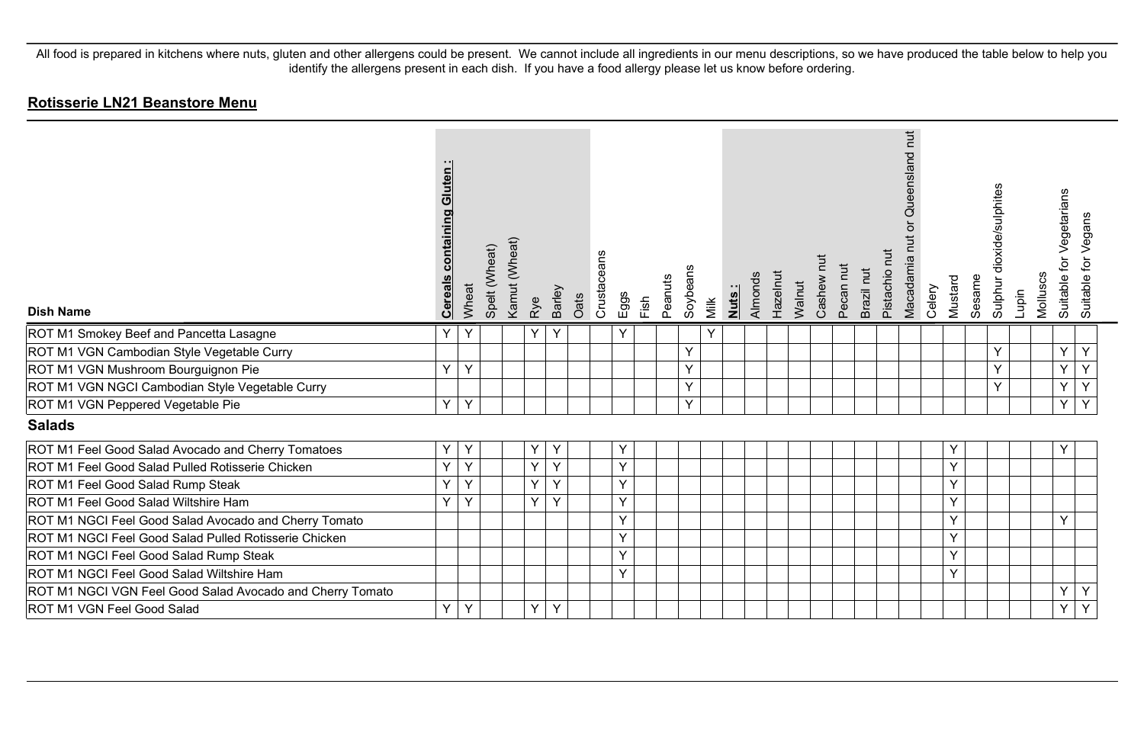| <b>Dish Name</b>                                          | <u>uten</u><br><u>containing</u><br><u>Cereal</u> | Wheat | Spelt (Wheat) | Kamut (Wheat) | Rye | Barley       | Oats | Crustaceans | Eggs | Fish | Peanuts | Soybeans<br>Milk | Nuts: | Almonds | Hazelnut | Walnut | Cashew | Pecan nut | Brazil nut | Pistachio nut | hut<br>Queensland<br>ð<br>Macadamia nut | Celery | Mustard | Sesame | Sulphur dioxide/sulphites | Molluscs<br>Lupin | for Vegetarians<br>Suitable f | Suitable for Vegans |  |
|-----------------------------------------------------------|---------------------------------------------------|-------|---------------|---------------|-----|--------------|------|-------------|------|------|---------|------------------|-------|---------|----------|--------|--------|-----------|------------|---------------|-----------------------------------------|--------|---------|--------|---------------------------|-------------------|-------------------------------|---------------------|--|
| ROT M1 Smokey Beef and Pancetta Lasagne                   | Y                                                 | Y     |               |               | Υ   | Y            |      |             | Y    |      |         | Y                |       |         |          |        |        |           |            |               |                                         |        |         |        |                           |                   |                               |                     |  |
| ROT M1 VGN Cambodian Style Vegetable Curry                |                                                   |       |               |               |     |              |      |             |      |      |         | Y                |       |         |          |        |        |           |            |               |                                         |        |         |        | Y                         |                   | Y                             | Y                   |  |
| ROT M1 VGN Mushroom Bourguignon Pie                       | $\vee$                                            | Y     |               |               |     |              |      |             |      |      |         | Y                |       |         |          |        |        |           |            |               |                                         |        |         |        | Y                         |                   | Y                             | Y                   |  |
| ROT M1 VGN NGCI Cambodian Style Vegetable Curry           |                                                   |       |               |               |     |              |      |             |      |      |         | Y                |       |         |          |        |        |           |            |               |                                         |        |         |        | Y                         |                   | Y                             | Y                   |  |
| ROT M1 VGN Peppered Vegetable Pie                         | Y                                                 | Y     |               |               |     |              |      |             |      |      |         | Y                |       |         |          |        |        |           |            |               |                                         |        |         |        |                           |                   | Y                             | $\overline{Y}$      |  |
| <b>Salads</b>                                             |                                                   |       |               |               |     |              |      |             |      |      |         |                  |       |         |          |        |        |           |            |               |                                         |        |         |        |                           |                   |                               |                     |  |
| ROT M1 Feel Good Salad Avocado and Cherry Tomatoes        | Y                                                 | Y     |               |               | Υ   |              |      |             | Y    |      |         |                  |       |         |          |        |        |           |            |               |                                         |        | Υ       |        |                           |                   | Υ                             |                     |  |
| ROT M1 Feel Good Salad Pulled Rotisserie Chicken          | Y                                                 | Y     |               |               | Y   | Y            |      |             | Y    |      |         |                  |       |         |          |        |        |           |            |               |                                         |        | Y       |        |                           |                   |                               |                     |  |
| ROT M1 Feel Good Salad Rump Steak                         | Y                                                 | Υ     |               |               | Y   | Y            |      |             | Y    |      |         |                  |       |         |          |        |        |           |            |               |                                         |        | Y       |        |                           |                   |                               |                     |  |
| ROT M1 Feel Good Salad Wiltshire Ham                      | Y                                                 | Y     |               |               | Y   | $\checkmark$ |      |             | Y    |      |         |                  |       |         |          |        |        |           |            |               |                                         |        | Y       |        |                           |                   |                               |                     |  |
| ROT M1 NGCI Feel Good Salad Avocado and Cherry Tomato     |                                                   |       |               |               |     |              |      |             | Y    |      |         |                  |       |         |          |        |        |           |            |               |                                         |        | Υ       |        |                           |                   | Y                             |                     |  |
| ROT M1 NGCI Feel Good Salad Pulled Rotisserie Chicken     |                                                   |       |               |               |     |              |      |             | Y    |      |         |                  |       |         |          |        |        |           |            |               |                                         |        | Y       |        |                           |                   |                               |                     |  |
| ROT M1 NGCI Feel Good Salad Rump Steak                    |                                                   |       |               |               |     |              |      |             | Y    |      |         |                  |       |         |          |        |        |           |            |               |                                         |        | Y       |        |                           |                   |                               |                     |  |
| ROT M1 NGCI Feel Good Salad Wiltshire Ham                 |                                                   |       |               |               |     |              |      |             | Y    |      |         |                  |       |         |          |        |        |           |            |               |                                         |        | Y       |        |                           |                   |                               |                     |  |
| ROT M1 NGCI VGN Feel Good Salad Avocado and Cherry Tomato |                                                   |       |               |               |     |              |      |             |      |      |         |                  |       |         |          |        |        |           |            |               |                                         |        |         |        |                           |                   | Y                             | Y                   |  |
| ROT M1 VGN Feel Good Salad                                | Y                                                 | Y     |               |               | Y   | Y            |      |             |      |      |         |                  |       |         |          |        |        |           |            |               |                                         |        |         |        |                           |                   | Y                             | Y                   |  |
|                                                           |                                                   |       |               |               |     |              |      |             |      |      |         |                  |       |         |          |        |        |           |            |               |                                         |        |         |        |                           |                   |                               |                     |  |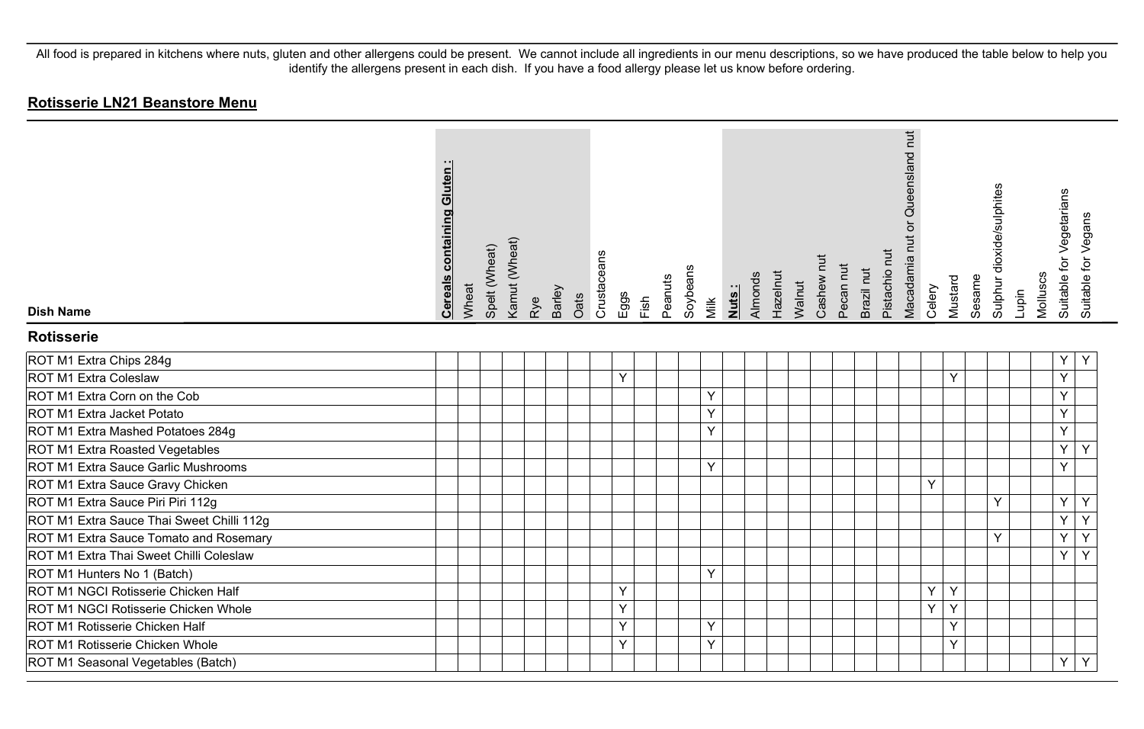| <b>Dish Name</b>                          | <b>Cereals containing Gluten:</b> | Wheat | Spelt (Wheat) | Kamut (Wheat) | Rye | Barley | Oats | Crustaceans | Eggs | Fish | Peanuts | Soybeans | Milk | Nuts: | Almonds | Hazelnut | Walnut | Cashew nut | Pecan nut | Brazil nut | Pistachio nut | Macadamia nut or Queensland nut | Celery | Mustard | Sesame | Sulphur dioxide/sulphites | Lupin | Molluscs | Suitable for Vegetarians | Suitable for Vegans |
|-------------------------------------------|-----------------------------------|-------|---------------|---------------|-----|--------|------|-------------|------|------|---------|----------|------|-------|---------|----------|--------|------------|-----------|------------|---------------|---------------------------------|--------|---------|--------|---------------------------|-------|----------|--------------------------|---------------------|
| <b>Rotisserie</b>                         |                                   |       |               |               |     |        |      |             |      |      |         |          |      |       |         |          |        |            |           |            |               |                                 |        |         |        |                           |       |          |                          |                     |
| ROT M1 Extra Chips 284g                   |                                   |       |               |               |     |        |      |             |      |      |         |          |      |       |         |          |        |            |           |            |               |                                 |        |         |        |                           |       |          | Υ                        | Y                   |
| <b>ROT M1 Extra Coleslaw</b>              |                                   |       |               |               |     |        |      |             | Y    |      |         |          |      |       |         |          |        |            |           |            |               |                                 |        | Υ       |        |                           |       |          | Y                        |                     |
| ROT M1 Extra Corn on the Cob              |                                   |       |               |               |     |        |      |             |      |      |         |          | Y    |       |         |          |        |            |           |            |               |                                 |        |         |        |                           |       |          | Y                        |                     |
| ROT M1 Extra Jacket Potato                |                                   |       |               |               |     |        |      |             |      |      |         |          | Y    |       |         |          |        |            |           |            |               |                                 |        |         |        |                           |       |          | Y                        |                     |
| ROT M1 Extra Mashed Potatoes 284g         |                                   |       |               |               |     |        |      |             |      |      |         |          | Y    |       |         |          |        |            |           |            |               |                                 |        |         |        |                           |       |          | Y                        |                     |
| ROT M1 Extra Roasted Vegetables           |                                   |       |               |               |     |        |      |             |      |      |         |          |      |       |         |          |        |            |           |            |               |                                 |        |         |        |                           |       |          | Y                        | Y                   |
| ROT M1 Extra Sauce Garlic Mushrooms       |                                   |       |               |               |     |        |      |             |      |      |         |          | Y    |       |         |          |        |            |           |            |               |                                 |        |         |        |                           |       |          | Y                        |                     |
| ROT M1 Extra Sauce Gravy Chicken          |                                   |       |               |               |     |        |      |             |      |      |         |          |      |       |         |          |        |            |           |            |               |                                 | Y      |         |        |                           |       |          |                          |                     |
| ROT M1 Extra Sauce Piri Piri 112g         |                                   |       |               |               |     |        |      |             |      |      |         |          |      |       |         |          |        |            |           |            |               |                                 |        |         |        | Y                         |       |          | Y                        | Y                   |
| ROT M1 Extra Sauce Thai Sweet Chilli 112g |                                   |       |               |               |     |        |      |             |      |      |         |          |      |       |         |          |        |            |           |            |               |                                 |        |         |        |                           |       |          | Y                        | $\overline{Y}$      |
| ROT M1 Extra Sauce Tomato and Rosemary    |                                   |       |               |               |     |        |      |             |      |      |         |          |      |       |         |          |        |            |           |            |               |                                 |        |         |        | Y                         |       |          | Ý                        | $\overline{Y}$      |
| ROT M1 Extra Thai Sweet Chilli Coleslaw   |                                   |       |               |               |     |        |      |             |      |      |         |          |      |       |         |          |        |            |           |            |               |                                 |        |         |        |                           |       |          | Y                        | $\overline{Y}$      |
| ROT M1 Hunters No 1 (Batch)               |                                   |       |               |               |     |        |      |             |      |      |         |          | Y    |       |         |          |        |            |           |            |               |                                 |        |         |        |                           |       |          |                          |                     |
| ROT M1 NGCI Rotisserie Chicken Half       |                                   |       |               |               |     |        |      |             | Υ    |      |         |          |      |       |         |          |        |            |           |            |               |                                 | Υ      | Υ       |        |                           |       |          |                          |                     |
| ROT M1 NGCI Rotisserie Chicken Whole      |                                   |       |               |               |     |        |      |             | Y    |      |         |          |      |       |         |          |        |            |           |            |               |                                 | Y      | Y       |        |                           |       |          |                          |                     |
| ROT M1 Rotisserie Chicken Half            |                                   |       |               |               |     |        |      |             | Y    |      |         |          | Y    |       |         |          |        |            |           |            |               |                                 |        | Υ       |        |                           |       |          |                          |                     |
| ROT M1 Rotisserie Chicken Whole           |                                   |       |               |               |     |        |      |             | Y    |      |         |          | Y    |       |         |          |        |            |           |            |               |                                 |        | Y       |        |                           |       |          |                          |                     |
| ROT M1 Seasonal Vegetables (Batch)        |                                   |       |               |               |     |        |      |             |      |      |         |          |      |       |         |          |        |            |           |            |               |                                 |        |         |        |                           |       |          | Y                        | Y                   |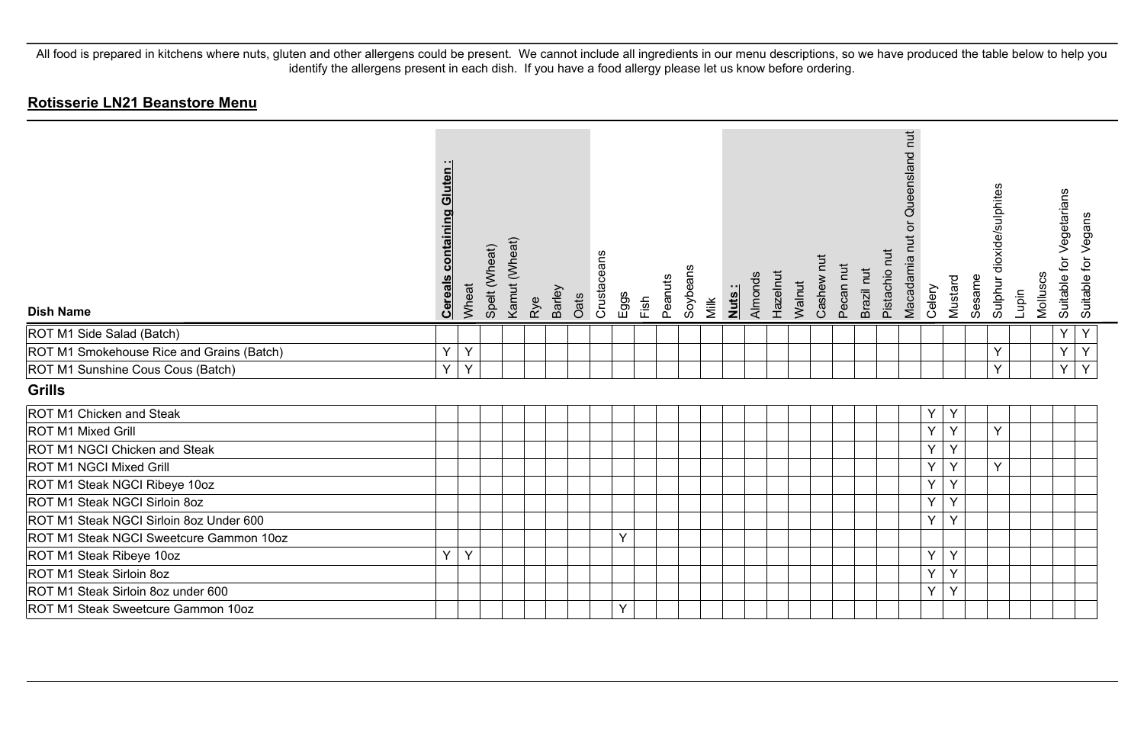| <b>Dish Name</b>                          | <b>containing Gluten:</b><br><b>Cereals</b> | Wheat | Spelt (Wheat) | Kamut (Wheat) | Rye | Barley | Oats | Crustaceans | Eggs | Fish | Peanuts | Soybeans | Milk | Almonds<br>Nuts: | Hazelnut | Walnut | Cashew | Pecan nut | Brazil nut | Pistachio nut | hut<br>Queensland<br>Macadamia nut | Celery | Mustard | Sesame | Sulphur dioxide/sulphites | Lupin | Molluscs | Suitable for Vegetarians | Suitable for Vegans |
|-------------------------------------------|---------------------------------------------|-------|---------------|---------------|-----|--------|------|-------------|------|------|---------|----------|------|------------------|----------|--------|--------|-----------|------------|---------------|------------------------------------|--------|---------|--------|---------------------------|-------|----------|--------------------------|---------------------|
| ROT M1 Side Salad (Batch)                 |                                             |       |               |               |     |        |      |             |      |      |         |          |      |                  |          |        |        |           |            |               |                                    |        |         |        |                           |       |          | Y                        | Y                   |
| ROT M1 Smokehouse Rice and Grains (Batch) | Y                                           | Y     |               |               |     |        |      |             |      |      |         |          |      |                  |          |        |        |           |            |               |                                    |        |         |        | Y                         |       |          | Y                        | Y                   |
| ROT M1 Sunshine Cous Cous (Batch)         | Y                                           | Y     |               |               |     |        |      |             |      |      |         |          |      |                  |          |        |        |           |            |               |                                    |        |         |        | Υ                         |       |          | Y                        | Y                   |
| <b>Grills</b>                             |                                             |       |               |               |     |        |      |             |      |      |         |          |      |                  |          |        |        |           |            |               |                                    |        |         |        |                           |       |          |                          |                     |
| ROT M1 Chicken and Steak                  |                                             |       |               |               |     |        |      |             |      |      |         |          |      |                  |          |        |        |           |            |               |                                    | Υ      | Υ       |        |                           |       |          |                          |                     |
| ROT M1 Mixed Grill                        |                                             |       |               |               |     |        |      |             |      |      |         |          |      |                  |          |        |        |           |            |               |                                    | Y      | Y       |        | Y                         |       |          |                          |                     |
| ROT M1 NGCI Chicken and Steak             |                                             |       |               |               |     |        |      |             |      |      |         |          |      |                  |          |        |        |           |            |               |                                    | Υ      | Y       |        |                           |       |          |                          |                     |
| ROT M1 NGCI Mixed Grill                   |                                             |       |               |               |     |        |      |             |      |      |         |          |      |                  |          |        |        |           |            |               |                                    | Y      | Y       |        | Y                         |       |          |                          |                     |
| ROT M1 Steak NGCI Ribeye 10oz             |                                             |       |               |               |     |        |      |             |      |      |         |          |      |                  |          |        |        |           |            |               |                                    | Y      | Y       |        |                           |       |          |                          |                     |
| ROT M1 Steak NGCI Sirloin 8oz             |                                             |       |               |               |     |        |      |             |      |      |         |          |      |                  |          |        |        |           |            |               |                                    | Y      | Y       |        |                           |       |          |                          |                     |
| ROT M1 Steak NGCI Sirloin 8oz Under 600   |                                             |       |               |               |     |        |      |             |      |      |         |          |      |                  |          |        |        |           |            |               |                                    | Y      | Y       |        |                           |       |          |                          |                     |
| ROT M1 Steak NGCI Sweetcure Gammon 10oz   |                                             |       |               |               |     |        |      |             | Y    |      |         |          |      |                  |          |        |        |           |            |               |                                    |        |         |        |                           |       |          |                          |                     |
| ROT M1 Steak Ribeye 10oz                  | Y                                           | Y     |               |               |     |        |      |             |      |      |         |          |      |                  |          |        |        |           |            |               |                                    | Υ      | Y       |        |                           |       |          |                          |                     |
| ROT M1 Steak Sirloin 8oz                  |                                             |       |               |               |     |        |      |             |      |      |         |          |      |                  |          |        |        |           |            |               |                                    | Y      | Y       |        |                           |       |          |                          |                     |
| ROT M1 Steak Sirloin 8oz under 600        |                                             |       |               |               |     |        |      |             |      |      |         |          |      |                  |          |        |        |           |            |               |                                    | Y      | Y       |        |                           |       |          |                          |                     |
| ROT M1 Steak Sweetcure Gammon 10oz        |                                             |       |               |               |     |        |      |             | Y    |      |         |          |      |                  |          |        |        |           |            |               |                                    |        |         |        |                           |       |          |                          |                     |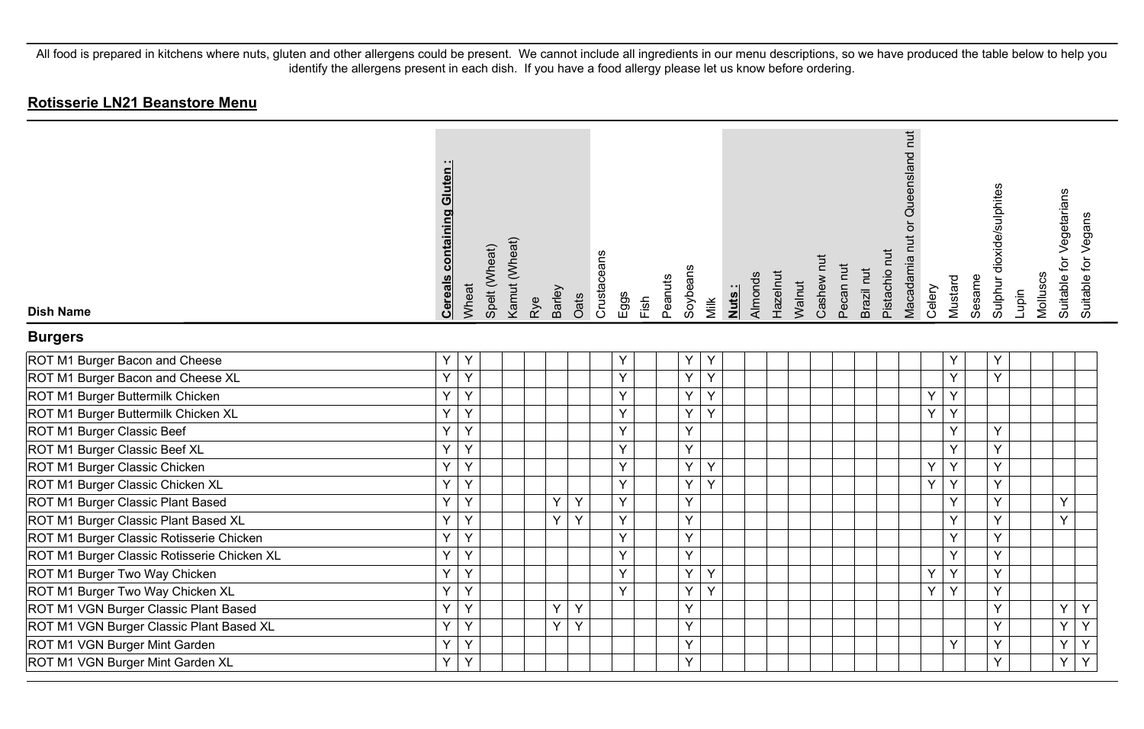| <b>Dish Name</b>                            | containing Gluten<br><b>Cereals</b> | Wheat | Spelt (Wheat) | Kamut (Wheat) | Rye | Barley | Oats | Crustaceans | Eggs | Fish | Soybeans<br>Peanuts | Milk | Nuts: | Almonds | Hazelnut | Walnut | Cashew nut | Pecan nut | Brazil nut | Pistachio nut | Queensland nut<br>Macadamia nut or | Celery | Mustard | Sesame | Sulphur dioxide/sulphites | Lupin | Molluscs | Suitable for Vegetarians | Suitable for Vegans |
|---------------------------------------------|-------------------------------------|-------|---------------|---------------|-----|--------|------|-------------|------|------|---------------------|------|-------|---------|----------|--------|------------|-----------|------------|---------------|------------------------------------|--------|---------|--------|---------------------------|-------|----------|--------------------------|---------------------|
| <b>Burgers</b>                              |                                     |       |               |               |     |        |      |             |      |      |                     |      |       |         |          |        |            |           |            |               |                                    |        |         |        |                           |       |          |                          |                     |
| ROT M1 Burger Bacon and Cheese              | Y.                                  | Y     |               |               |     |        |      |             | Υ    |      | Υ                   | Y    |       |         |          |        |            |           |            |               |                                    |        | Υ       |        | Υ                         |       |          |                          |                     |
| ROT M1 Burger Bacon and Cheese XL           | Y.                                  | Y     |               |               |     |        |      |             | Y    |      | Y                   | Y    |       |         |          |        |            |           |            |               |                                    |        | Y       |        | Y                         |       |          |                          |                     |
| ROT M1 Burger Buttermilk Chicken            | Y                                   | Y     |               |               |     |        |      |             | Y    |      | Y                   | Y    |       |         |          |        |            |           |            |               |                                    | Y      | Y       |        |                           |       |          |                          |                     |
| ROT M1 Burger Buttermilk Chicken XL         | Y                                   | Y     |               |               |     |        |      |             | Y    |      | Y                   | Y    |       |         |          |        |            |           |            |               |                                    | Y      | Y       |        |                           |       |          |                          |                     |
| ROT M1 Burger Classic Beef                  | Y.                                  | Y     |               |               |     |        |      |             | Y    |      | Y                   |      |       |         |          |        |            |           |            |               |                                    |        | Y       |        | Y                         |       |          |                          |                     |
| ROT M1 Burger Classic Beef XL               | Y.                                  | Y     |               |               |     |        |      |             | Y    |      | Y                   |      |       |         |          |        |            |           |            |               |                                    |        | Y       |        | Y                         |       |          |                          |                     |
| ROT M1 Burger Classic Chicken               | Ý                                   | Y     |               |               |     |        |      |             | Υ    |      | Y                   | Y    |       |         |          |        |            |           |            |               |                                    | Υ      | Y       |        | Y                         |       |          |                          |                     |
| ROT M1 Burger Classic Chicken XL            | Y                                   | Y     |               |               |     |        |      |             | Y    |      | Y                   | Y    |       |         |          |        |            |           |            |               |                                    | Y      | Y       |        | Y                         |       |          |                          |                     |
| ROT M1 Burger Classic Plant Based           | Y                                   | Y     |               |               |     | Y      | Y    |             | Y    |      | Y                   |      |       |         |          |        |            |           |            |               |                                    |        | Y       |        | Y                         |       |          | Y                        |                     |
| ROT M1 Burger Classic Plant Based XL        | Y.                                  | Y     |               |               |     | Y      | Y    |             | Y    |      | Y                   |      |       |         |          |        |            |           |            |               |                                    |        | Y       |        | Y                         |       |          | Y                        |                     |
| ROT M1 Burger Classic Rotisserie Chicken    | Y.                                  | Y     |               |               |     |        |      |             | Y    |      | Y                   |      |       |         |          |        |            |           |            |               |                                    |        | Y       |        | Y                         |       |          |                          |                     |
| ROT M1 Burger Classic Rotisserie Chicken XL | Y                                   | Y     |               |               |     |        |      |             | Y    |      | Y                   |      |       |         |          |        |            |           |            |               |                                    |        | Y       |        | Y                         |       |          |                          |                     |
| ROT M1 Burger Two Way Chicken               | Y.                                  | Y     |               |               |     |        |      |             | Y    |      | Y                   | Y    |       |         |          |        |            |           |            |               |                                    | Y      | Y       |        | Y                         |       |          |                          |                     |
| ROT M1 Burger Two Way Chicken XL            | Y                                   | Y     |               |               |     |        |      |             | Y    |      | Y                   | Y    |       |         |          |        |            |           |            |               |                                    | Y      | Y       |        | Y                         |       |          |                          |                     |
| ROT M1 VGN Burger Classic Plant Based       | Y.                                  | Y     |               |               |     | Y      | Y    |             |      |      | Y                   |      |       |         |          |        |            |           |            |               |                                    |        |         |        | Y                         |       |          | Y                        | Y                   |
| ROT M1 VGN Burger Classic Plant Based XL    | Y                                   | Y     |               |               |     | Y      | Y    |             |      |      | Y                   |      |       |         |          |        |            |           |            |               |                                    |        |         |        | Y                         |       |          | Y                        | Υ                   |
| ROT M1 VGN Burger Mint Garden               | Y                                   | Y     |               |               |     |        |      |             |      |      | Y                   |      |       |         |          |        |            |           |            |               |                                    |        | Υ       |        | Y                         |       |          | Υ                        | Υ                   |
| ROT M1 VGN Burger Mint Garden XL            | Y.                                  | Y     |               |               |     |        |      |             |      |      | Y                   |      |       |         |          |        |            |           |            |               |                                    |        |         |        | Y                         |       |          | Y                        | Y                   |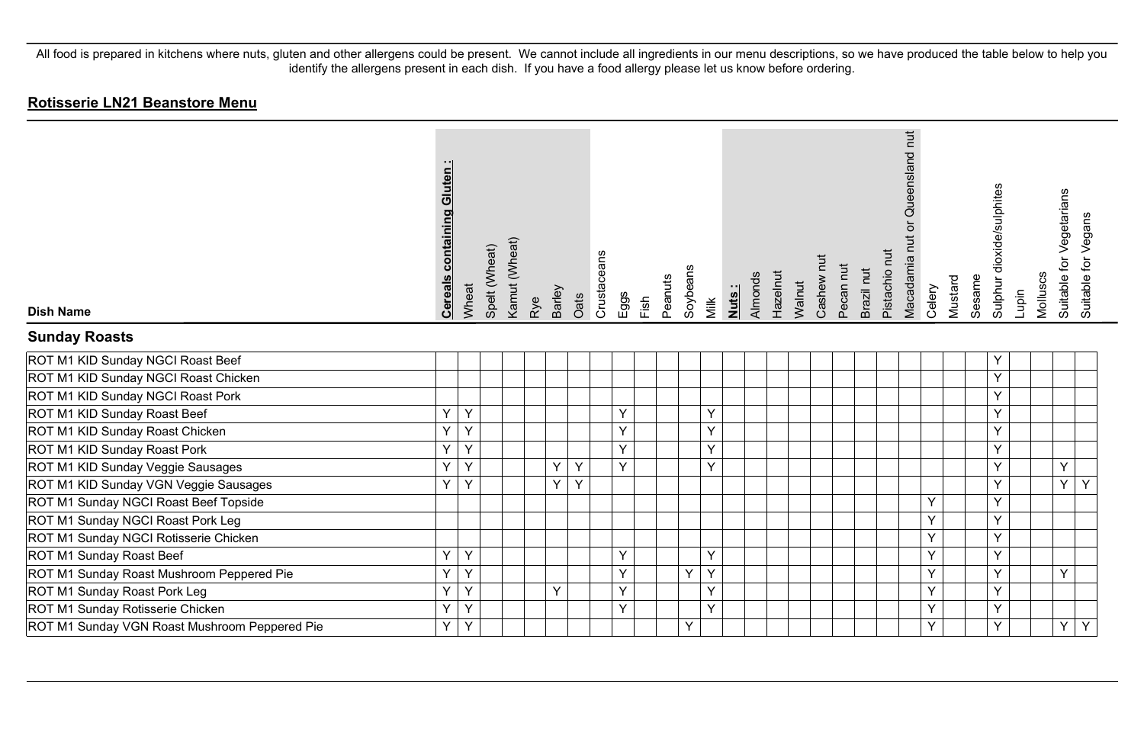| <b>Dish Name</b>                              | <b>Cereals containing Gluten:</b> | Wheat       | Spelt (Wheat) | Kamut (Wheat) | Rye | Barley | Crustaceans<br>Oats | Eggs | Fish | Peanuts | Soybeans | Milk | Almonds<br>Nuts: | Hazelnut | Walnut | Cashew nut | Pecan nut | Brazil nut | Pistachio nut | Queensland nut<br>Macadamia nut or | Celery | Mustard | Sesame | Sulphur dioxide/sulphites | Molluscs<br>Lupin | Suitable for Vegetarians | Suitable for Vegans |
|-----------------------------------------------|-----------------------------------|-------------|---------------|---------------|-----|--------|---------------------|------|------|---------|----------|------|------------------|----------|--------|------------|-----------|------------|---------------|------------------------------------|--------|---------|--------|---------------------------|-------------------|--------------------------|---------------------|
| <b>Sunday Roasts</b>                          |                                   |             |               |               |     |        |                     |      |      |         |          |      |                  |          |        |            |           |            |               |                                    |        |         |        |                           |                   |                          |                     |
| ROT M1 KID Sunday NGCI Roast Beef             |                                   |             |               |               |     |        |                     |      |      |         |          |      |                  |          |        |            |           |            |               |                                    |        |         |        | Y                         |                   |                          |                     |
| ROT M1 KID Sunday NGCI Roast Chicken          |                                   |             |               |               |     |        |                     |      |      |         |          |      |                  |          |        |            |           |            |               |                                    |        |         |        | $\vee$                    |                   |                          |                     |
| ROT M1 KID Sunday NGCI Roast Pork             |                                   |             |               |               |     |        |                     |      |      |         |          |      |                  |          |        |            |           |            |               |                                    |        |         |        | Y                         |                   |                          |                     |
| ROT M1 KID Sunday Roast Beef                  | Y                                 | Y           |               |               |     |        |                     | Y    |      |         |          | Y    |                  |          |        |            |           |            |               |                                    |        |         |        | Y                         |                   |                          |                     |
| ROT M1 KID Sunday Roast Chicken               | Υ                                 | Y           |               |               |     |        |                     | Y    |      |         |          | Υ    |                  |          |        |            |           |            |               |                                    |        |         |        | Y                         |                   |                          |                     |
| ROT M1 KID Sunday Roast Pork                  | Y                                 | Y           |               |               |     |        |                     | Y    |      |         |          | Y    |                  |          |        |            |           |            |               |                                    |        |         |        | $\vee$                    |                   |                          |                     |
| ROT M1 KID Sunday Veggie Sausages             | Y.                                | Y           |               |               |     | Y      | Y                   | Y    |      |         |          | Y    |                  |          |        |            |           |            |               |                                    |        |         |        | Y                         |                   | Y                        |                     |
| ROT M1 KID Sunday VGN Veggie Sausages         | Y                                 | Y           |               |               |     | Y      | Y                   |      |      |         |          |      |                  |          |        |            |           |            |               |                                    |        |         |        | Y                         |                   | Y                        | Y                   |
| ROT M1 Sunday NGCI Roast Beef Topside         |                                   |             |               |               |     |        |                     |      |      |         |          |      |                  |          |        |            |           |            |               |                                    | Y      |         |        | $\vee$                    |                   |                          |                     |
| ROT M1 Sunday NGCI Roast Pork Leg             |                                   |             |               |               |     |        |                     |      |      |         |          |      |                  |          |        |            |           |            |               |                                    | Y      |         |        | Y                         |                   |                          |                     |
| ROT M1 Sunday NGCI Rotisserie Chicken         |                                   |             |               |               |     |        |                     |      |      |         |          |      |                  |          |        |            |           |            |               |                                    | Y      |         |        | $\vee$                    |                   |                          |                     |
| ROT M1 Sunday Roast Beef                      | Y.                                | Y           |               |               |     |        |                     | Y    |      |         |          | Y    |                  |          |        |            |           |            |               |                                    | Y      |         |        | Y                         |                   |                          |                     |
| ROT M1 Sunday Roast Mushroom Peppered Pie     | Y                                 | Y           |               |               |     |        |                     | Y    |      |         | Y        | Y    |                  |          |        |            |           |            |               |                                    | Y      |         |        | Y                         |                   | Y                        |                     |
| ROT M1 Sunday Roast Pork Leg                  | Y                                 | Y           |               |               |     | Y      |                     | Y    |      |         |          | Y    |                  |          |        |            |           |            |               |                                    | Y      |         |        | Y                         |                   |                          |                     |
| ROT M1 Sunday Rotisserie Chicken              | Υ                                 | Y           |               |               |     |        |                     | Y    |      |         |          | Y    |                  |          |        |            |           |            |               |                                    | Y      |         |        | Y                         |                   |                          |                     |
| ROT M1 Sunday VGN Roast Mushroom Peppered Pie | Y                                 | $\mathsf Y$ |               |               |     |        |                     |      |      |         | Y        |      |                  |          |        |            |           |            |               |                                    | Y      |         |        | Y                         |                   | Y                        | Y                   |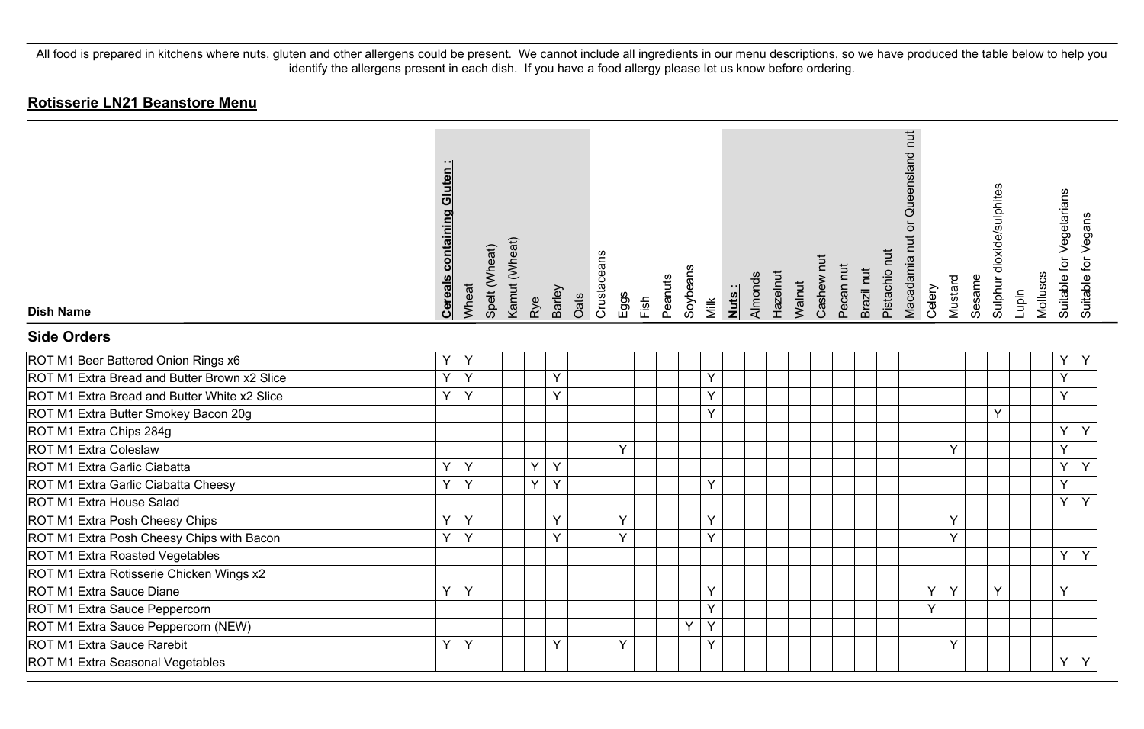| <b>Dish Name</b>                             | <b>Cereals containing Gluten:</b> | Wheat | Spelt (Wheat) | Kamut (Wheat) | Rye            | Barley | Oats | Crustaceans | Eggs | Fish | Peanuts | Soybeans | Milk | Almonds<br>Nuts: | Hazelnut | Walnut | Cashew nut | Pecan nut | Brazil nut | Pistachio nut | Macadamia nut or Queensland nut | Celery | Mustard | Sesame | Sulphur dioxide/sulphites | Lupin | Molluscs | Suitable for Vegetarians | Suitable for Vegans |
|----------------------------------------------|-----------------------------------|-------|---------------|---------------|----------------|--------|------|-------------|------|------|---------|----------|------|------------------|----------|--------|------------|-----------|------------|---------------|---------------------------------|--------|---------|--------|---------------------------|-------|----------|--------------------------|---------------------|
| <b>Side Orders</b>                           |                                   |       |               |               |                |        |      |             |      |      |         |          |      |                  |          |        |            |           |            |               |                                 |        |         |        |                           |       |          |                          |                     |
| ROT M1 Beer Battered Onion Rings x6          | Y                                 | Y     |               |               |                |        |      |             |      |      |         |          |      |                  |          |        |            |           |            |               |                                 |        |         |        |                           |       |          | Υ                        | Υ                   |
| ROT M1 Extra Bread and Butter Brown x2 Slice | Y                                 | Y     |               |               |                | Y      |      |             |      |      |         |          | Y    |                  |          |        |            |           |            |               |                                 |        |         |        |                           |       |          | Y                        |                     |
| ROT M1 Extra Bread and Butter White x2 Slice | Y.                                | Y     |               |               |                | Y      |      |             |      |      |         |          | Y    |                  |          |        |            |           |            |               |                                 |        |         |        |                           |       |          | Y                        |                     |
| ROT M1 Extra Butter Smokey Bacon 20g         |                                   |       |               |               |                |        |      |             |      |      |         |          | Y    |                  |          |        |            |           |            |               |                                 |        |         |        | Y                         |       |          |                          |                     |
| ROT M1 Extra Chips 284g                      |                                   |       |               |               |                |        |      |             |      |      |         |          |      |                  |          |        |            |           |            |               |                                 |        |         |        |                           |       |          | Y                        | Y                   |
| ROT M1 Extra Coleslaw                        |                                   |       |               |               |                |        |      |             | Y    |      |         |          |      |                  |          |        |            |           |            |               |                                 |        | Υ       |        |                           |       |          | Y                        |                     |
| ROT M1 Extra Garlic Ciabatta                 | Y.                                | Y     |               |               | Y              | Y      |      |             |      |      |         |          |      |                  |          |        |            |           |            |               |                                 |        |         |        |                           |       |          | Y                        | Y                   |
| ROT M1 Extra Garlic Ciabatta Cheesy          | Y.                                | Y     |               |               | $\overline{Y}$ | Y      |      |             |      |      |         |          | Y    |                  |          |        |            |           |            |               |                                 |        |         |        |                           |       |          | Y                        |                     |
| ROT M1 Extra House Salad                     |                                   |       |               |               |                |        |      |             |      |      |         |          |      |                  |          |        |            |           |            |               |                                 |        |         |        |                           |       |          | Y                        | Y                   |
| ROT M1 Extra Posh Cheesy Chips               | Y.                                | Y     |               |               |                | Y      |      |             | Y    |      |         |          | Y    |                  |          |        |            |           |            |               |                                 |        | Y       |        |                           |       |          |                          |                     |
| ROT M1 Extra Posh Cheesy Chips with Bacon    | Y.                                | Y     |               |               |                | Y      |      |             | Y    |      |         |          | Y    |                  |          |        |            |           |            |               |                                 |        | Y       |        |                           |       |          |                          |                     |
| ROT M1 Extra Roasted Vegetables              |                                   |       |               |               |                |        |      |             |      |      |         |          |      |                  |          |        |            |           |            |               |                                 |        |         |        |                           |       |          | Y                        | Y                   |
| ROT M1 Extra Rotisserie Chicken Wings x2     |                                   |       |               |               |                |        |      |             |      |      |         |          |      |                  |          |        |            |           |            |               |                                 |        |         |        |                           |       |          |                          |                     |
| ROT M1 Extra Sauce Diane                     | Y.                                | Y     |               |               |                |        |      |             |      |      |         |          | Y    |                  |          |        |            |           |            |               |                                 | Y      | Y       |        | <b>V</b>                  |       |          | Y                        |                     |
| ROT M1 Extra Sauce Peppercorn                |                                   |       |               |               |                |        |      |             |      |      |         |          | Y    |                  |          |        |            |           |            |               |                                 | Y      |         |        |                           |       |          |                          |                     |
| ROT M1 Extra Sauce Peppercorn (NEW)          |                                   |       |               |               |                |        |      |             |      |      |         | Y        | Y    |                  |          |        |            |           |            |               |                                 |        |         |        |                           |       |          |                          |                     |
| ROT M1 Extra Sauce Rarebit                   | Y.                                | Y     |               |               |                | Y      |      |             | Y    |      |         |          | Y    |                  |          |        |            |           |            |               |                                 |        | Y       |        |                           |       |          |                          |                     |
| ROT M1 Extra Seasonal Vegetables             |                                   |       |               |               |                |        |      |             |      |      |         |          |      |                  |          |        |            |           |            |               |                                 |        |         |        |                           |       |          | Y                        | Y                   |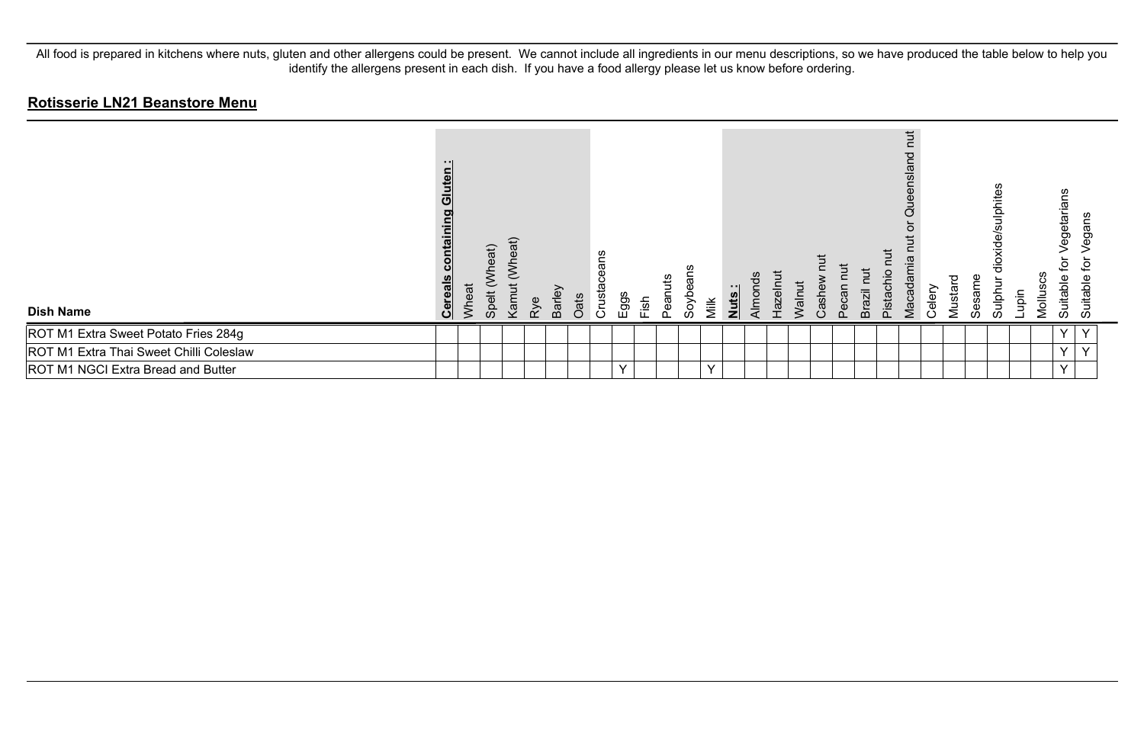| <b>Dish Name</b>                        | .<br>Gluten<br>puing<br><u>contail</u><br>Cereal | Wheat | <b>Vheat</b> )<br>Spelt | neat)<br>Kamut | Rye | Barley | Oats | ans<br>Φ<br>Crustace | Eggs         | Fish | uts<br>Pean | Soyb | Milk         | <u>Nuts:</u> | Almond<br>Hazeln | Walnut | Cashe | Pecan | Brazil | πυt<br>Pistachio | ち<br>짇<br>Ō<br>Vlacadamia | ∽<br>Celer | P<br>Mustar | Sesame | diphites<br>dioxide/s<br>Sulph | Lupin | egetaria<br>호<br>ပ္ပ<br>Suitable<br><b>Mollus</b> | gans<br>⊋<br>Suitable |  |
|-----------------------------------------|--------------------------------------------------|-------|-------------------------|----------------|-----|--------|------|----------------------|--------------|------|-------------|------|--------------|--------------|------------------|--------|-------|-------|--------|------------------|---------------------------|------------|-------------|--------|--------------------------------|-------|---------------------------------------------------|-----------------------|--|
| ROT M1 Extra Sweet Potato Fries 284g    |                                                  |       |                         |                |     |        |      |                      |              |      |             |      |              |              |                  |        |       |       |        |                  |                           |            |             |        |                                |       | $\vee$                                            | $\checkmark$          |  |
| ROT M1 Extra Thai Sweet Chilli Coleslaw |                                                  |       |                         |                |     |        |      |                      |              |      |             |      |              |              |                  |        |       |       |        |                  |                           |            |             |        |                                |       | $\checkmark$                                      | $\checkmark$          |  |
| ROT M1 NGCI Extra Bread and Butter      |                                                  |       |                         |                |     |        |      |                      | $\checkmark$ |      |             |      | $\checkmark$ |              |                  |        |       |       |        |                  |                           |            |             |        |                                |       | $\checkmark$                                      |                       |  |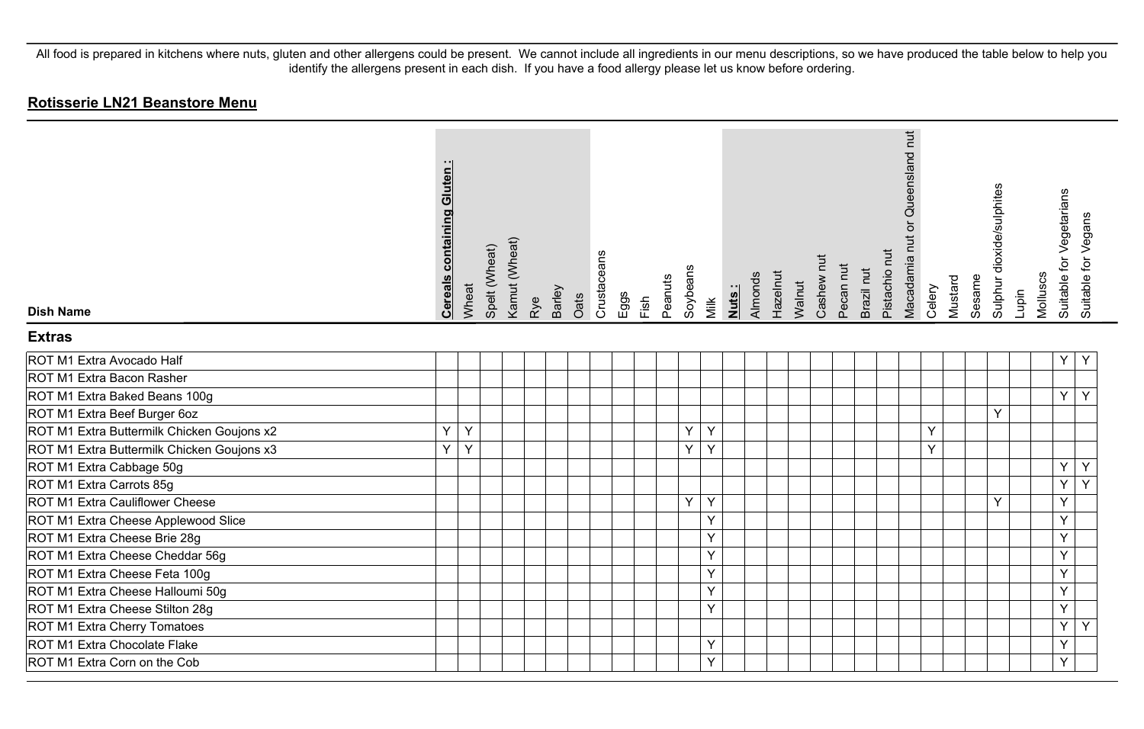| <b>Dish Name</b>                           | <b>Cereals containing Gluten:</b> | Wheat | Spelt (Wheat) | Kamut (Wheat) | Rye | Barley | Oats | Crustaceans | Eggs | Fish | Peanuts | Soybeans | Milk | Nuts: | Almonds | Hazelnut | Walnut | Cashew nut | Pecan nut | Brazil nut | Pistachio nut | Queensland nut<br>ð<br>Macadamia nut | Celery | Mustard | Sesame | Sulphur dioxide/sulphites | Lupin | Molluscs | Suitable for Vegetarians | Suitable for Vegans |
|--------------------------------------------|-----------------------------------|-------|---------------|---------------|-----|--------|------|-------------|------|------|---------|----------|------|-------|---------|----------|--------|------------|-----------|------------|---------------|--------------------------------------|--------|---------|--------|---------------------------|-------|----------|--------------------------|---------------------|
| <b>Extras</b>                              |                                   |       |               |               |     |        |      |             |      |      |         |          |      |       |         |          |        |            |           |            |               |                                      |        |         |        |                           |       |          |                          |                     |
| ROT M1 Extra Avocado Half                  |                                   |       |               |               |     |        |      |             |      |      |         |          |      |       |         |          |        |            |           |            |               |                                      |        |         |        |                           |       |          | Υ                        | Y                   |
| ROT M1 Extra Bacon Rasher                  |                                   |       |               |               |     |        |      |             |      |      |         |          |      |       |         |          |        |            |           |            |               |                                      |        |         |        |                           |       |          |                          |                     |
| ROT M1 Extra Baked Beans 100g              |                                   |       |               |               |     |        |      |             |      |      |         |          |      |       |         |          |        |            |           |            |               |                                      |        |         |        |                           |       |          | Y                        | Y                   |
| ROT M1 Extra Beef Burger 6oz               |                                   |       |               |               |     |        |      |             |      |      |         |          |      |       |         |          |        |            |           |            |               |                                      |        |         |        | Y                         |       |          |                          |                     |
| ROT M1 Extra Buttermilk Chicken Goujons x2 | Ý                                 | Y     |               |               |     |        |      |             |      |      |         | Y        | Y    |       |         |          |        |            |           |            |               |                                      | Y      |         |        |                           |       |          |                          |                     |
| ROT M1 Extra Buttermilk Chicken Goujons x3 | Y                                 | Y     |               |               |     |        |      |             |      |      |         | Y        | Y    |       |         |          |        |            |           |            |               |                                      | Y      |         |        |                           |       |          |                          |                     |
| ROT M1 Extra Cabbage 50g                   |                                   |       |               |               |     |        |      |             |      |      |         |          |      |       |         |          |        |            |           |            |               |                                      |        |         |        |                           |       |          | Y                        | Y                   |
| ROT M1 Extra Carrots 85g                   |                                   |       |               |               |     |        |      |             |      |      |         |          |      |       |         |          |        |            |           |            |               |                                      |        |         |        |                           |       |          | $\overline{Y}$           | $\overline{Y}$      |
| ROT M1 Extra Cauliflower Cheese            |                                   |       |               |               |     |        |      |             |      |      |         | Y        | Y    |       |         |          |        |            |           |            |               |                                      |        |         |        | Y                         |       |          | Y                        |                     |
| ROT M1 Extra Cheese Applewood Slice        |                                   |       |               |               |     |        |      |             |      |      |         |          | Y    |       |         |          |        |            |           |            |               |                                      |        |         |        |                           |       |          | Y                        |                     |
| ROT M1 Extra Cheese Brie 28g               |                                   |       |               |               |     |        |      |             |      |      |         |          | Y    |       |         |          |        |            |           |            |               |                                      |        |         |        |                           |       |          | Y                        |                     |
| ROT M1 Extra Cheese Cheddar 56g            |                                   |       |               |               |     |        |      |             |      |      |         |          | Y    |       |         |          |        |            |           |            |               |                                      |        |         |        |                           |       |          | Υ                        |                     |
| ROT M1 Extra Cheese Feta 100g              |                                   |       |               |               |     |        |      |             |      |      |         |          | Y    |       |         |          |        |            |           |            |               |                                      |        |         |        |                           |       |          | Y                        |                     |
| ROT M1 Extra Cheese Halloumi 50g           |                                   |       |               |               |     |        |      |             |      |      |         |          | Y    |       |         |          |        |            |           |            |               |                                      |        |         |        |                           |       |          | Y                        |                     |
| ROT M1 Extra Cheese Stilton 28g            |                                   |       |               |               |     |        |      |             |      |      |         |          | Y    |       |         |          |        |            |           |            |               |                                      |        |         |        |                           |       |          | Y                        |                     |
| ROT M1 Extra Cherry Tomatoes               |                                   |       |               |               |     |        |      |             |      |      |         |          |      |       |         |          |        |            |           |            |               |                                      |        |         |        |                           |       |          | Y                        | Y                   |
| ROT M1 Extra Chocolate Flake               |                                   |       |               |               |     |        |      |             |      |      |         |          | Y    |       |         |          |        |            |           |            |               |                                      |        |         |        |                           |       |          | Y                        |                     |
| ROT M1 Extra Corn on the Cob               |                                   |       |               |               |     |        |      |             |      |      |         |          | Y    |       |         |          |        |            |           |            |               |                                      |        |         |        |                           |       |          | Y                        |                     |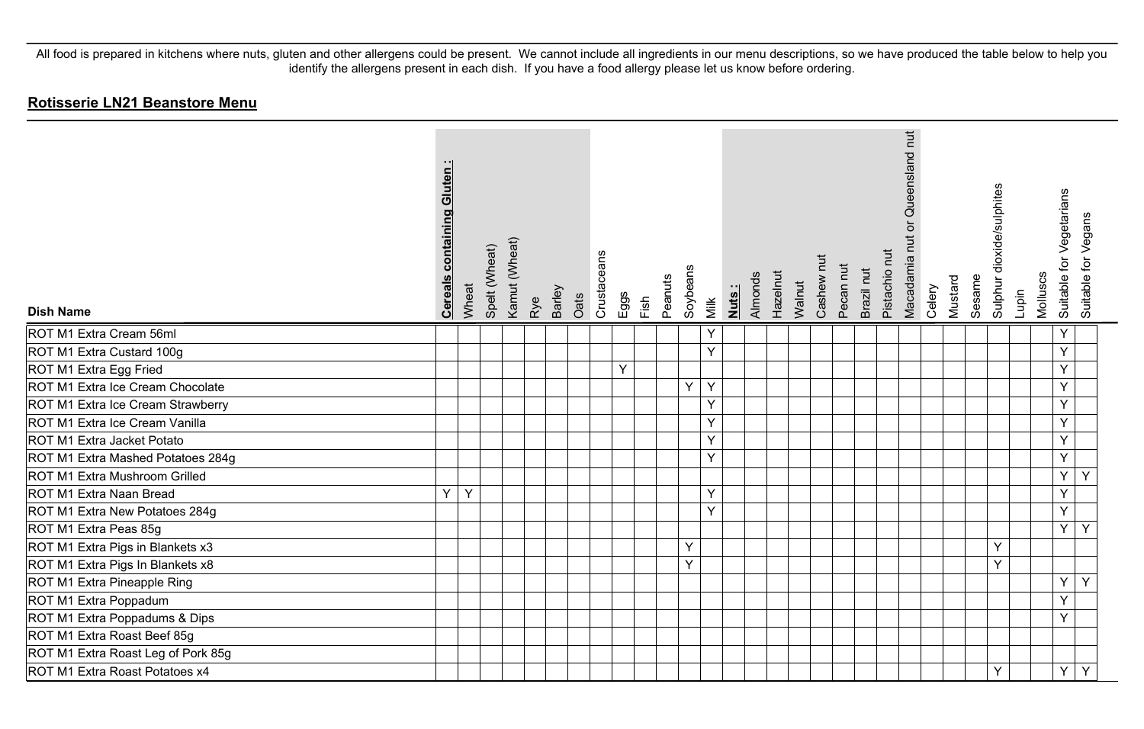| <b>Dish Name</b>                   | <b>Cereals containing Gluten:</b> | Wheat | Spelt (Wheat) | Kamut (Wheat) | Rye | Barley | Oats | Crustaceans | Eggs | Fish | Peanuts | Soybeans | Milk | <u>Nuts:</u> | Almonds | Hazelnut | Walnut | Cashew nut | Pecan nut | Brazil nut | Pistachio nut | Macadamia nut or Queensland nut | Celery | Mustard | Sesame | Sulphur dioxide/sulphites | Lupin | Molluscs | for Vegetarians<br>Suitable f | Suitable for Vegans |
|------------------------------------|-----------------------------------|-------|---------------|---------------|-----|--------|------|-------------|------|------|---------|----------|------|--------------|---------|----------|--------|------------|-----------|------------|---------------|---------------------------------|--------|---------|--------|---------------------------|-------|----------|-------------------------------|---------------------|
| ROT M1 Extra Cream 56ml            |                                   |       |               |               |     |        |      |             |      |      |         |          | Y    |              |         |          |        |            |           |            |               |                                 |        |         |        |                           |       |          | Y                             |                     |
| ROT M1 Extra Custard 100g          |                                   |       |               |               |     |        |      |             |      |      |         |          | Y    |              |         |          |        |            |           |            |               |                                 |        |         |        |                           |       |          | Y                             |                     |
| ROT M1 Extra Egg Fried             |                                   |       |               |               |     |        |      |             | Υ    |      |         |          |      |              |         |          |        |            |           |            |               |                                 |        |         |        |                           |       |          | Y                             |                     |
| ROT M1 Extra Ice Cream Chocolate   |                                   |       |               |               |     |        |      |             |      |      |         | Y        | Y    |              |         |          |        |            |           |            |               |                                 |        |         |        |                           |       |          | Y                             |                     |
| ROT M1 Extra Ice Cream Strawberry  |                                   |       |               |               |     |        |      |             |      |      |         |          | Y    |              |         |          |        |            |           |            |               |                                 |        |         |        |                           |       |          | Y                             |                     |
| ROT M1 Extra Ice Cream Vanilla     |                                   |       |               |               |     |        |      |             |      |      |         |          | Y    |              |         |          |        |            |           |            |               |                                 |        |         |        |                           |       |          | Y                             |                     |
| ROT M1 Extra Jacket Potato         |                                   |       |               |               |     |        |      |             |      |      |         |          | Y    |              |         |          |        |            |           |            |               |                                 |        |         |        |                           |       |          | Y                             |                     |
| ROT M1 Extra Mashed Potatoes 284g  |                                   |       |               |               |     |        |      |             |      |      |         |          | Y    |              |         |          |        |            |           |            |               |                                 |        |         |        |                           |       |          | Y                             |                     |
| ROT M1 Extra Mushroom Grilled      |                                   |       |               |               |     |        |      |             |      |      |         |          |      |              |         |          |        |            |           |            |               |                                 |        |         |        |                           |       |          | Y                             | Y                   |
| ROT M1 Extra Naan Bread            | Υ                                 | Y     |               |               |     |        |      |             |      |      |         |          | Y    |              |         |          |        |            |           |            |               |                                 |        |         |        |                           |       |          | Y                             |                     |
| ROT M1 Extra New Potatoes 284g     |                                   |       |               |               |     |        |      |             |      |      |         |          | Y    |              |         |          |        |            |           |            |               |                                 |        |         |        |                           |       |          | Y                             |                     |
| ROT M1 Extra Peas 85g              |                                   |       |               |               |     |        |      |             |      |      |         |          |      |              |         |          |        |            |           |            |               |                                 |        |         |        |                           |       |          | Y                             | Y                   |
| ROT M1 Extra Pigs in Blankets x3   |                                   |       |               |               |     |        |      |             |      |      |         | Y        |      |              |         |          |        |            |           |            |               |                                 |        |         |        | Y                         |       |          |                               |                     |
| ROT M1 Extra Pigs In Blankets x8   |                                   |       |               |               |     |        |      |             |      |      |         | Y        |      |              |         |          |        |            |           |            |               |                                 |        |         |        | Y                         |       |          |                               |                     |
| ROT M1 Extra Pineapple Ring        |                                   |       |               |               |     |        |      |             |      |      |         |          |      |              |         |          |        |            |           |            |               |                                 |        |         |        |                           |       |          | Y                             | Y                   |
| ROT M1 Extra Poppadum              |                                   |       |               |               |     |        |      |             |      |      |         |          |      |              |         |          |        |            |           |            |               |                                 |        |         |        |                           |       |          | Y                             |                     |
| ROT M1 Extra Poppadums & Dips      |                                   |       |               |               |     |        |      |             |      |      |         |          |      |              |         |          |        |            |           |            |               |                                 |        |         |        |                           |       |          | Y                             |                     |
| ROT M1 Extra Roast Beef 85g        |                                   |       |               |               |     |        |      |             |      |      |         |          |      |              |         |          |        |            |           |            |               |                                 |        |         |        |                           |       |          |                               |                     |
| ROT M1 Extra Roast Leg of Pork 85g |                                   |       |               |               |     |        |      |             |      |      |         |          |      |              |         |          |        |            |           |            |               |                                 |        |         |        |                           |       |          |                               |                     |
| ROT M1 Extra Roast Potatoes x4     |                                   |       |               |               |     |        |      |             |      |      |         |          |      |              |         |          |        |            |           |            |               |                                 |        |         |        | Y                         |       |          | Y                             | Y                   |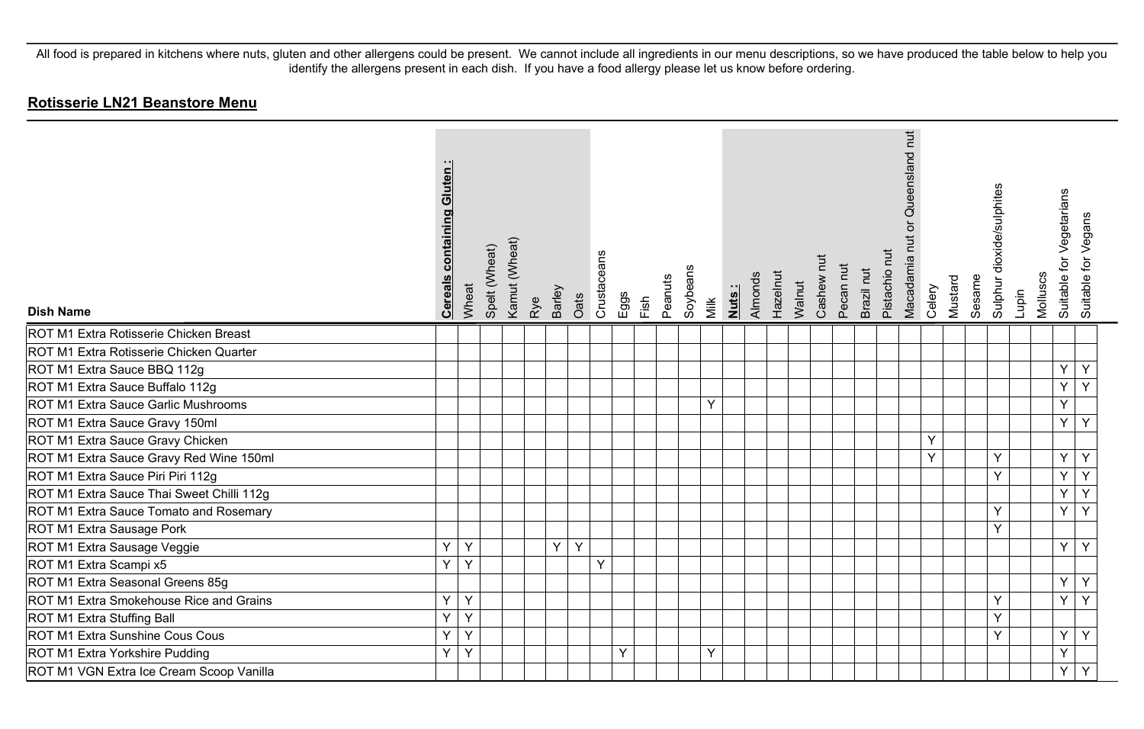| <b>Dish Name</b>                          | <b>Cereals containing Gluten:</b> | Wheat | Spelt (Wheat) | Kamut (Wheat) | Rye | <b>Barley</b> | Oats | Crustaceans | Eggs | Fish | Soybeans<br>Peanuts | Milk | Nuts: | Almonds | Hazelnut | Walnut | Cashew nut | Pecan nut | Brazil nut | Pistachio nut | Macadamia nut or Queensland nut | Celery | Mustard | Sesame | Sulphur dioxide/sulphites | Lupin | Molluscs | for Vegetarians<br>Suitable 1 | Vegans<br>Suitable for |
|-------------------------------------------|-----------------------------------|-------|---------------|---------------|-----|---------------|------|-------------|------|------|---------------------|------|-------|---------|----------|--------|------------|-----------|------------|---------------|---------------------------------|--------|---------|--------|---------------------------|-------|----------|-------------------------------|------------------------|
| ROT M1 Extra Rotisserie Chicken Breast    |                                   |       |               |               |     |               |      |             |      |      |                     |      |       |         |          |        |            |           |            |               |                                 |        |         |        |                           |       |          |                               |                        |
| ROT M1 Extra Rotisserie Chicken Quarter   |                                   |       |               |               |     |               |      |             |      |      |                     |      |       |         |          |        |            |           |            |               |                                 |        |         |        |                           |       |          |                               |                        |
| ROT M1 Extra Sauce BBQ 112g               |                                   |       |               |               |     |               |      |             |      |      |                     |      |       |         |          |        |            |           |            |               |                                 |        |         |        |                           |       |          | Y                             | Y                      |
| ROT M1 Extra Sauce Buffalo 112g           |                                   |       |               |               |     |               |      |             |      |      |                     |      |       |         |          |        |            |           |            |               |                                 |        |         |        |                           |       |          | Y                             | Y                      |
| ROT M1 Extra Sauce Garlic Mushrooms       |                                   |       |               |               |     |               |      |             |      |      |                     | Y    |       |         |          |        |            |           |            |               |                                 |        |         |        |                           |       |          | Y                             |                        |
| ROT M1 Extra Sauce Gravy 150ml            |                                   |       |               |               |     |               |      |             |      |      |                     |      |       |         |          |        |            |           |            |               |                                 |        |         |        |                           |       |          | Y                             | Y                      |
| ROT M1 Extra Sauce Gravy Chicken          |                                   |       |               |               |     |               |      |             |      |      |                     |      |       |         |          |        |            |           |            |               |                                 | Y      |         |        |                           |       |          |                               |                        |
| ROT M1 Extra Sauce Gravy Red Wine 150ml   |                                   |       |               |               |     |               |      |             |      |      |                     |      |       |         |          |        |            |           |            |               |                                 | Y      |         |        | Y                         |       |          | Y                             | Y                      |
| ROT M1 Extra Sauce Piri Piri 112g         |                                   |       |               |               |     |               |      |             |      |      |                     |      |       |         |          |        |            |           |            |               |                                 |        |         |        | Y                         |       |          | Y                             | Y                      |
| ROT M1 Extra Sauce Thai Sweet Chilli 112g |                                   |       |               |               |     |               |      |             |      |      |                     |      |       |         |          |        |            |           |            |               |                                 |        |         |        |                           |       |          | Y                             | Y                      |
| ROT M1 Extra Sauce Tomato and Rosemary    |                                   |       |               |               |     |               |      |             |      |      |                     |      |       |         |          |        |            |           |            |               |                                 |        |         |        | Y                         |       |          | Y                             | Y                      |
| ROT M1 Extra Sausage Pork                 |                                   |       |               |               |     |               |      |             |      |      |                     |      |       |         |          |        |            |           |            |               |                                 |        |         |        | Y                         |       |          |                               |                        |
| ROT M1 Extra Sausage Veggie               | Y                                 | Y     |               |               |     | Y             | Y    |             |      |      |                     |      |       |         |          |        |            |           |            |               |                                 |        |         |        |                           |       |          | Y                             | Y                      |
| ROT M1 Extra Scampi x5                    | Y                                 | Y     |               |               |     |               |      | Y           |      |      |                     |      |       |         |          |        |            |           |            |               |                                 |        |         |        |                           |       |          |                               |                        |
| ROT M1 Extra Seasonal Greens 85g          |                                   |       |               |               |     |               |      |             |      |      |                     |      |       |         |          |        |            |           |            |               |                                 |        |         |        |                           |       |          | Y                             | Y                      |
| ROT M1 Extra Smokehouse Rice and Grains   | Y                                 | Y     |               |               |     |               |      |             |      |      |                     |      |       |         |          |        |            |           |            |               |                                 |        |         |        | Y                         |       |          | Y                             | Y                      |
| ROT M1 Extra Stuffing Ball                | Y                                 | Y     |               |               |     |               |      |             |      |      |                     |      |       |         |          |        |            |           |            |               |                                 |        |         |        | Y                         |       |          |                               |                        |
| ROT M1 Extra Sunshine Cous Cous           | Y                                 | Y     |               |               |     |               |      |             |      |      |                     |      |       |         |          |        |            |           |            |               |                                 |        |         |        | $\checkmark$              |       |          | Y                             | Y                      |
| ROT M1 Extra Yorkshire Pudding            | Y                                 | Y     |               |               |     |               |      |             | Y    |      |                     | Y    |       |         |          |        |            |           |            |               |                                 |        |         |        |                           |       |          | Y                             |                        |
| ROT M1 VGN Extra Ice Cream Scoop Vanilla  |                                   |       |               |               |     |               |      |             |      |      |                     |      |       |         |          |        |            |           |            |               |                                 |        |         |        |                           |       |          | Y                             | Y                      |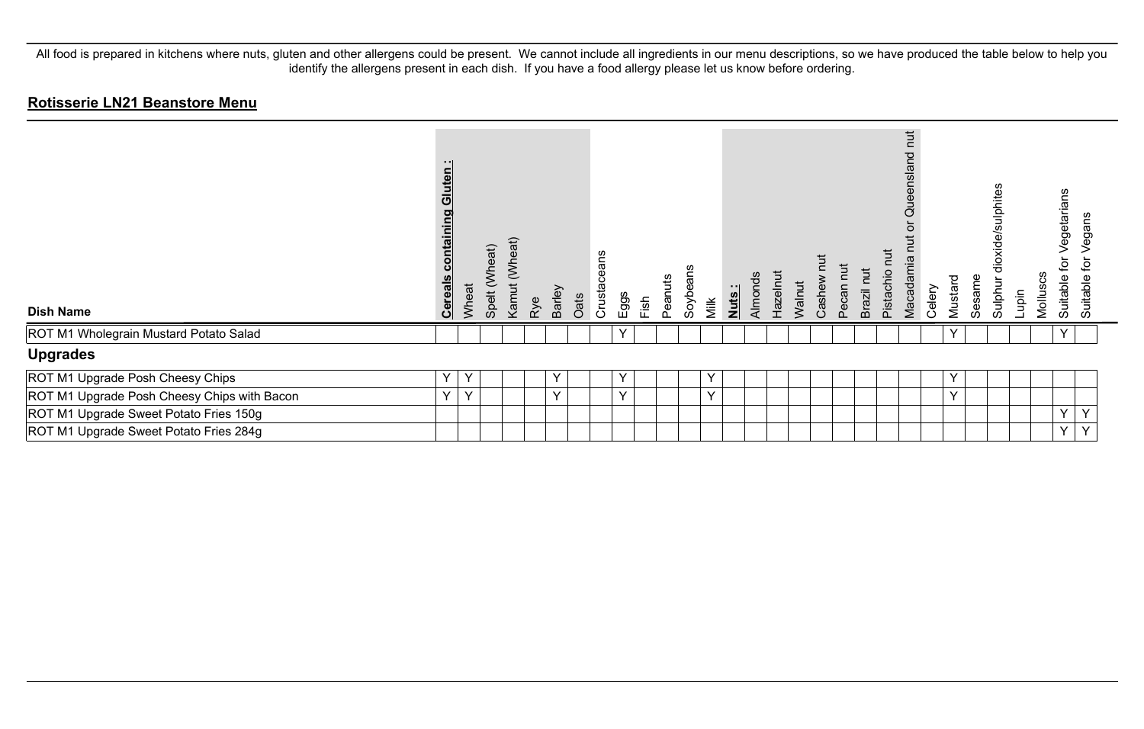| <b>Dish Name</b>                            | - 11<br>Gluten<br>containing<br><b>Cereals</b> | Wheat        | (Wheat)<br>Spelt | (Wheat)<br>Kamut | Rye | <b>Barley</b> | Oats | ans<br>Crusta | Eggs         | Fish | Peanuts | Soybeans | Milk | Nuts: | Almonds | Hazelnut | Walnut | Cashew nut | Pecan nut | Brazil nut | $\overline{a}$<br>Pistachio | Queensland nut<br>ō<br>Macadamia | Celery | Mustard      | Sesame | dioxide/sulphites<br>Sulphur | Lupin | Molluscs | ဖ<br>egetarians<br>ğ<br>Suitable | egans<br>ءِ<br>Suitable |  |
|---------------------------------------------|------------------------------------------------|--------------|------------------|------------------|-----|---------------|------|---------------|--------------|------|---------|----------|------|-------|---------|----------|--------|------------|-----------|------------|-----------------------------|----------------------------------|--------|--------------|--------|------------------------------|-------|----------|----------------------------------|-------------------------|--|
| ROT M1 Wholegrain Mustard Potato Salad      |                                                |              |                  |                  |     |               |      |               | $\checkmark$ |      |         |          |      |       |         |          |        |            |           |            |                             |                                  |        | $\checkmark$ |        |                              |       |          | $\checkmark$                     |                         |  |
| <b>Upgrades</b>                             |                                                |              |                  |                  |     |               |      |               |              |      |         |          |      |       |         |          |        |            |           |            |                             |                                  |        |              |        |                              |       |          |                                  |                         |  |
| ROT M1 Upgrade Posh Cheesy Chips            | $\checkmark$                                   | Y            |                  |                  |     | Y             |      |               | v            |      |         |          | Y    |       |         |          |        |            |           |            |                             |                                  |        | Y            |        |                              |       |          |                                  |                         |  |
| ROT M1 Upgrade Posh Cheesy Chips with Bacon | $\checkmark$                                   | $\checkmark$ |                  |                  |     | Y             |      |               | $\vee$       |      |         |          | Y    |       |         |          |        |            |           |            |                             |                                  |        | Y            |        |                              |       |          |                                  |                         |  |
| ROT M1 Upgrade Sweet Potato Fries 150g      |                                                |              |                  |                  |     |               |      |               |              |      |         |          |      |       |         |          |        |            |           |            |                             |                                  |        |              |        |                              |       |          | $\vee$                           | $\checkmark$            |  |
| ROT M1 Upgrade Sweet Potato Fries 284g      |                                                |              |                  |                  |     |               |      |               |              |      |         |          |      |       |         |          |        |            |           |            |                             |                                  |        |              |        |                              |       |          | Y                                | Y                       |  |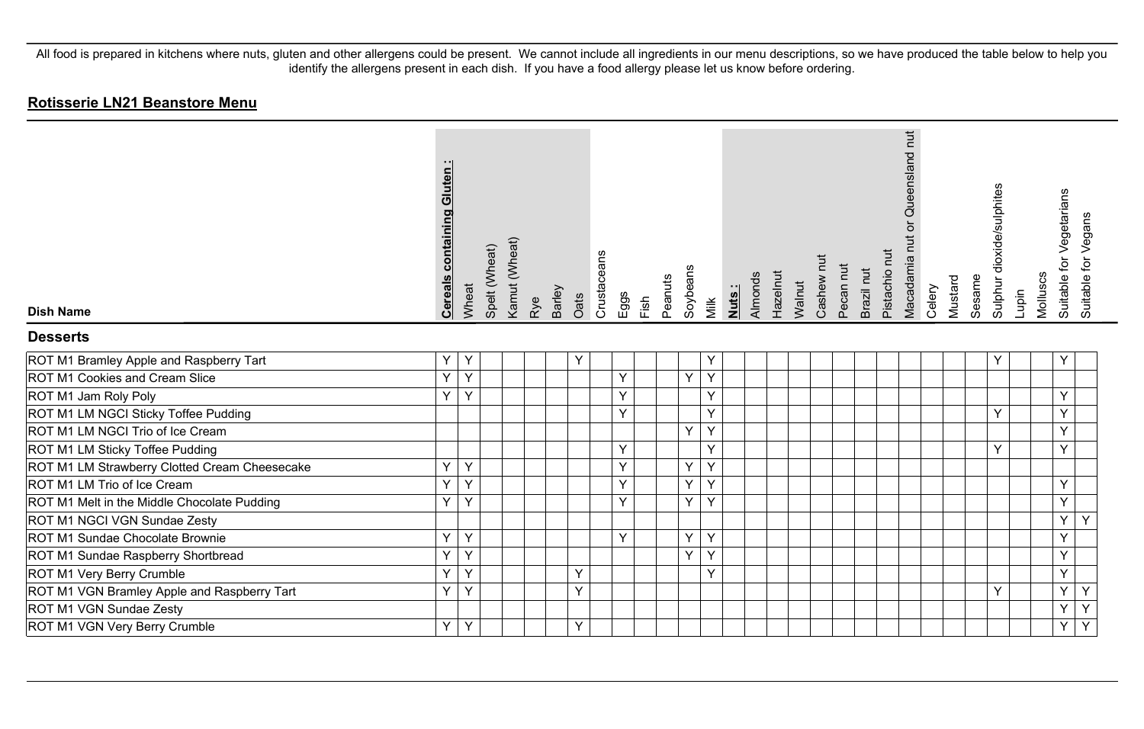| <b>Dish Name</b>                              | <b>Cereals containing Gluten:</b> | Wheat | Spelt (Wheat) | Kamut (Wheat) | Barley<br>Rye | Oats | Crustaceans | Eggs | Fish | Peanuts | Soybeans | Milk | Nuts : | Almonds | Hazelnut | Walnut | Cashew nut | Pecan nut | Brazil nut | Pistachio nut | Queensland nut<br>$\overleftarrow{\mathrm{o}}$<br>Macadamia nut | Celery | Mustard | Sesame | Sulphur dioxide/sulphites | Lupin | Molluscs | Suitable for Vegetarians | Suitable for Vegans |
|-----------------------------------------------|-----------------------------------|-------|---------------|---------------|---------------|------|-------------|------|------|---------|----------|------|--------|---------|----------|--------|------------|-----------|------------|---------------|-----------------------------------------------------------------|--------|---------|--------|---------------------------|-------|----------|--------------------------|---------------------|
| <b>Desserts</b>                               |                                   |       |               |               |               |      |             |      |      |         |          |      |        |         |          |        |            |           |            |               |                                                                 |        |         |        |                           |       |          |                          |                     |
| ROT M1 Bramley Apple and Raspberry Tart       | Υ                                 | Y     |               |               |               | Y    |             |      |      |         |          | Υ    |        |         |          |        |            |           |            |               |                                                                 |        |         |        | Y                         |       |          | Y                        |                     |
| ROT M1 Cookies and Cream Slice                | Y                                 | Y     |               |               |               |      |             | Y    |      |         | Y        | Y    |        |         |          |        |            |           |            |               |                                                                 |        |         |        |                           |       |          |                          |                     |
| ROT M1 Jam Roly Poly                          | Y                                 | Y     |               |               |               |      |             | Y    |      |         |          | Y    |        |         |          |        |            |           |            |               |                                                                 |        |         |        |                           |       |          | Y                        |                     |
| ROT M1 LM NGCI Sticky Toffee Pudding          |                                   |       |               |               |               |      |             | Y    |      |         |          | Y    |        |         |          |        |            |           |            |               |                                                                 |        |         |        | Y                         |       |          | Y                        |                     |
| ROT M1 LM NGCI Trio of Ice Cream              |                                   |       |               |               |               |      |             |      |      |         | Y        | Y    |        |         |          |        |            |           |            |               |                                                                 |        |         |        |                           |       |          | Υ                        |                     |
| ROT M1 LM Sticky Toffee Pudding               |                                   |       |               |               |               |      |             | Y    |      |         |          | Y    |        |         |          |        |            |           |            |               |                                                                 |        |         |        | Y                         |       |          | Y                        |                     |
| ROT M1 LM Strawberry Clotted Cream Cheesecake | Y                                 | Y     |               |               |               |      |             | Y    |      |         | Y        | Y    |        |         |          |        |            |           |            |               |                                                                 |        |         |        |                           |       |          |                          |                     |
| ROT M1 LM Trio of Ice Cream                   | Y                                 | Y     |               |               |               |      |             | Y    |      |         | Y        | Y    |        |         |          |        |            |           |            |               |                                                                 |        |         |        |                           |       |          | Y                        |                     |
| ROT M1 Melt in the Middle Chocolate Pudding   | Υ                                 | Y     |               |               |               |      |             | Y    |      |         | Y        | Y    |        |         |          |        |            |           |            |               |                                                                 |        |         |        |                           |       |          | Y                        |                     |
| ROT M1 NGCI VGN Sundae Zesty                  |                                   |       |               |               |               |      |             |      |      |         |          |      |        |         |          |        |            |           |            |               |                                                                 |        |         |        |                           |       |          | Y                        | Y                   |
| ROT M1 Sundae Chocolate Brownie               | Υ                                 | Y     |               |               |               |      |             | Y    |      |         | Υ        | Y    |        |         |          |        |            |           |            |               |                                                                 |        |         |        |                           |       |          | Υ                        |                     |
| ROT M1 Sundae Raspberry Shortbread            | Y                                 | Y     |               |               |               |      |             |      |      |         | Y        | Y    |        |         |          |        |            |           |            |               |                                                                 |        |         |        |                           |       |          | Y                        |                     |
| ROT M1 Very Berry Crumble                     | Υ                                 | Y     |               |               |               | Y    |             |      |      |         |          | Y    |        |         |          |        |            |           |            |               |                                                                 |        |         |        |                           |       |          | Y                        |                     |
| ROT M1 VGN Bramley Apple and Raspberry Tart   | Y                                 | Y     |               |               |               | Y    |             |      |      |         |          |      |        |         |          |        |            |           |            |               |                                                                 |        |         |        | Y                         |       |          | Y                        | Y                   |
| ROT M1 VGN Sundae Zesty                       |                                   |       |               |               |               |      |             |      |      |         |          |      |        |         |          |        |            |           |            |               |                                                                 |        |         |        |                           |       |          | Y                        | $\overline{Y}$      |
| ROT M1 VGN Very Berry Crumble                 | Y                                 | Y     |               |               |               | Υ    |             |      |      |         |          |      |        |         |          |        |            |           |            |               |                                                                 |        |         |        |                           |       |          | Y                        | Y                   |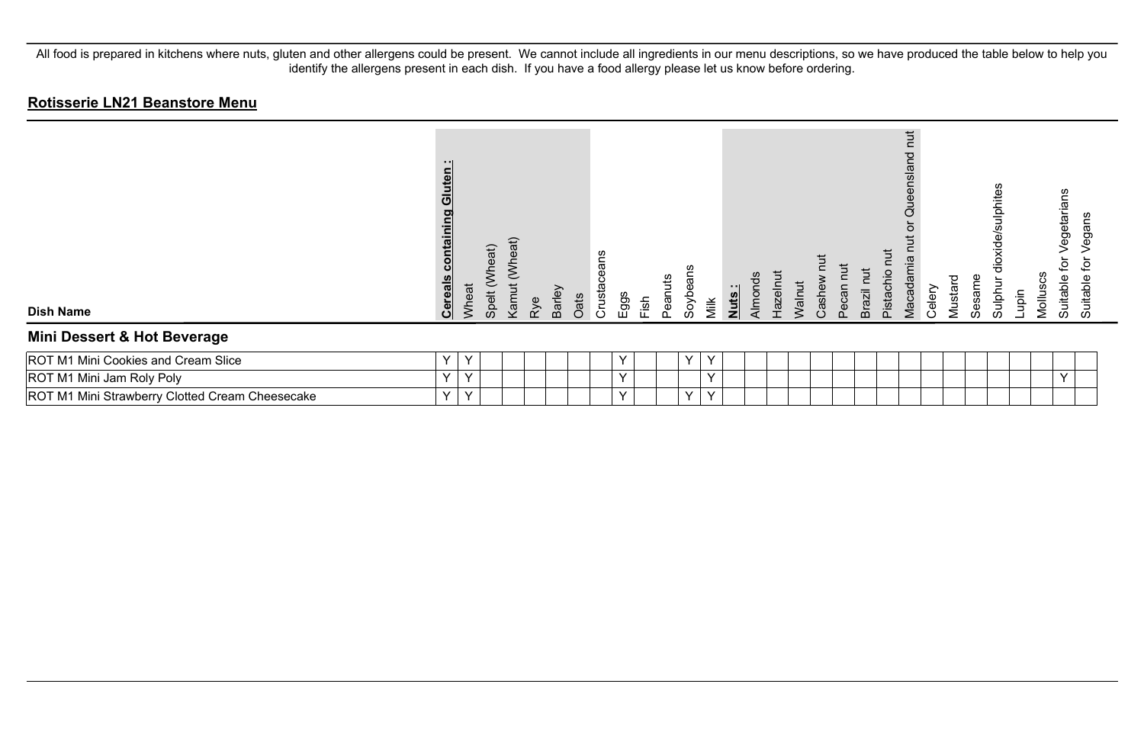| <b>Dish Name</b>                                | - - 1<br>uten<br><b>U</b><br>containing<br><b>Cereals</b> | Wheat        | (Wheat)<br>Spelt | (Wheat)<br>Kamut | Rye | <b>Barley</b> | Oats | eans<br>Crustace | Eggs      | Fish | Peanuts | Soybe  | Nuts:<br>Milk | Almonds | Hazelnut | Walnut | Cashew | $\blacksquare$<br>Pecan I | Brazil nut | <b>Tut</b><br>pistachio | <b>TUT</b><br>ensland<br><b>Jue</b><br>Vlacadamia | Celery | Mustard | Sesame | dioxide/sulphites<br>Sulphur | Lupin | Molluscs | egetaria<br>ق<br>Suitable<br>Suitable | egans<br>호 |
|-------------------------------------------------|-----------------------------------------------------------|--------------|------------------|------------------|-----|---------------|------|------------------|-----------|------|---------|--------|---------------|---------|----------|--------|--------|---------------------------|------------|-------------------------|---------------------------------------------------|--------|---------|--------|------------------------------|-------|----------|---------------------------------------|------------|
| Mini Dessert & Hot Beverage                     |                                                           |              |                  |                  |     |               |      |                  |           |      |         |        |               |         |          |        |        |                           |            |                         |                                                   |        |         |        |                              |       |          |                                       |            |
| ROT M1 Mini Cookies and Cream Slice             | Y                                                         | ν            |                  |                  |     |               |      |                  |           |      |         | $\vee$ | v             |         |          |        |        |                           |            |                         |                                                   |        |         |        |                              |       |          |                                       |            |
| ROT M1 Mini Jam Roly Poly                       | Y                                                         | $\checkmark$ |                  |                  |     |               |      |                  | $\lambda$ |      |         |        | $\checkmark$  |         |          |        |        |                           |            |                         |                                                   |        |         |        |                              |       |          | $\checkmark$                          |            |
| ROT M1 Mini Strawberry Clotted Cream Cheesecake | Y                                                         | Y            |                  |                  |     |               |      |                  |           |      |         | $\vee$ | $\checkmark$  |         |          |        |        |                           |            |                         |                                                   |        |         |        |                              |       |          |                                       |            |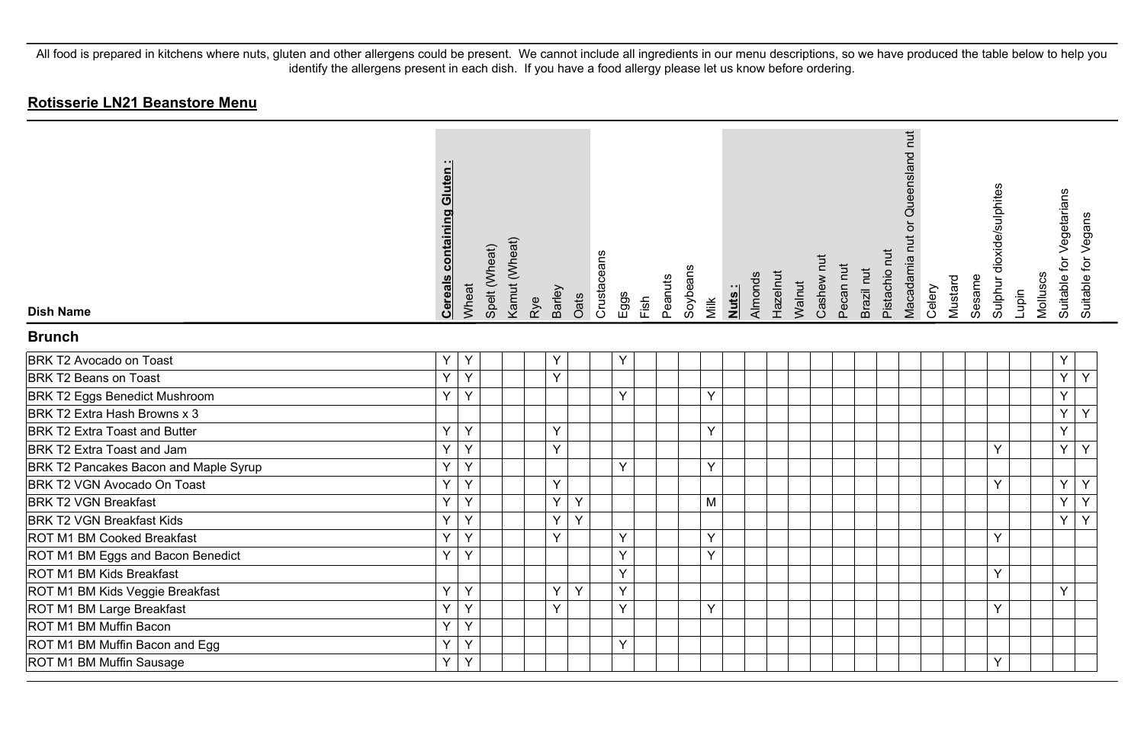| <b>Dish Name</b>                      | <b>Cereals containing Gluten:</b> | Wheat | Spelt (Wheat) | Kamut (Wheat) | Barley<br>Rye | Crustaceans<br>Oats | Eggs | Fish | Peanuts | Soybeans | Milk | Nuts: | Almonds | Hazelnut | Walnut | Cashew nut | Pecan nut | Brazil nut | Pistachio nut | Queensland nut<br>Macadamia nut or | Celery | Mustard | Sesame | Sulphur dioxide/sulphites | Lupin | Molluscs | Suitable for Vegetarians | Suitable for Vegans |
|---------------------------------------|-----------------------------------|-------|---------------|---------------|---------------|---------------------|------|------|---------|----------|------|-------|---------|----------|--------|------------|-----------|------------|---------------|------------------------------------|--------|---------|--------|---------------------------|-------|----------|--------------------------|---------------------|
| <b>Brunch</b>                         |                                   |       |               |               |               |                     |      |      |         |          |      |       |         |          |        |            |           |            |               |                                    |        |         |        |                           |       |          |                          |                     |
| BRK T2 Avocado on Toast               | Υ                                 | Y     |               |               | Υ             |                     | Y    |      |         |          |      |       |         |          |        |            |           |            |               |                                    |        |         |        |                           |       |          | Υ                        |                     |
| <b>BRK T2 Beans on Toast</b>          | Y                                 | Y     |               |               | Y             |                     |      |      |         |          |      |       |         |          |        |            |           |            |               |                                    |        |         |        |                           |       |          | Y                        | Y                   |
| <b>BRK T2 Eggs Benedict Mushroom</b>  | Y                                 | Y     |               |               |               |                     | Y    |      |         |          | Y    |       |         |          |        |            |           |            |               |                                    |        |         |        |                           |       |          | Y                        |                     |
| BRK T2 Extra Hash Browns x 3          |                                   |       |               |               |               |                     |      |      |         |          |      |       |         |          |        |            |           |            |               |                                    |        |         |        |                           |       |          | Y                        | Y                   |
| <b>BRK T2 Extra Toast and Butter</b>  | Y                                 | Y     |               |               | Y             |                     |      |      |         |          | Y    |       |         |          |        |            |           |            |               |                                    |        |         |        |                           |       |          | Ý                        |                     |
| BRK T2 Extra Toast and Jam            | Y                                 | Y     |               |               | Y             |                     |      |      |         |          |      |       |         |          |        |            |           |            |               |                                    |        |         |        | Y                         |       |          | Y                        | Y                   |
| BRK T2 Pancakes Bacon and Maple Syrup | Y                                 | Υ     |               |               |               |                     | Y    |      |         |          | Y    |       |         |          |        |            |           |            |               |                                    |        |         |        |                           |       |          |                          |                     |
| BRK T2 VGN Avocado On Toast           | Y                                 | Y     |               |               | Y             |                     |      |      |         |          |      |       |         |          |        |            |           |            |               |                                    |        |         |        | Ý                         |       |          | Ý                        | Y                   |
| <b>BRK T2 VGN Breakfast</b>           | Υ                                 | Y     |               |               | Y             | Y                   |      |      |         |          | M    |       |         |          |        |            |           |            |               |                                    |        |         |        |                           |       |          | Y                        | Y                   |
| <b>BRK T2 VGN Breakfast Kids</b>      | Υ                                 | Y     |               |               | Y             | Y                   |      |      |         |          |      |       |         |          |        |            |           |            |               |                                    |        |         |        |                           |       |          | Y                        | $\overline{Y}$      |
| ROT M1 BM Cooked Breakfast            | Υ                                 | Y     |               |               | Y             |                     | Y    |      |         |          | Y    |       |         |          |        |            |           |            |               |                                    |        |         |        | Y                         |       |          |                          |                     |
| ROT M1 BM Eggs and Bacon Benedict     | Υ                                 | Y     |               |               |               |                     | Y    |      |         |          | Y    |       |         |          |        |            |           |            |               |                                    |        |         |        |                           |       |          |                          |                     |
| ROT M1 BM Kids Breakfast              |                                   |       |               |               |               |                     | Y    |      |         |          |      |       |         |          |        |            |           |            |               |                                    |        |         |        | Y                         |       |          |                          |                     |
| ROT M1 BM Kids Veggie Breakfast       | Υ                                 | Y     |               |               | Y             | Y                   | Y    |      |         |          |      |       |         |          |        |            |           |            |               |                                    |        |         |        |                           |       |          | Y                        |                     |
| ROT M1 BM Large Breakfast             | Y                                 | Y     |               |               | Y             |                     | Y    |      |         |          | Y    |       |         |          |        |            |           |            |               |                                    |        |         |        | Y                         |       |          |                          |                     |
| ROT M1 BM Muffin Bacon                | Y                                 | Y     |               |               |               |                     |      |      |         |          |      |       |         |          |        |            |           |            |               |                                    |        |         |        |                           |       |          |                          |                     |
| ROT M1 BM Muffin Bacon and Egg        | Υ                                 | Y     |               |               |               |                     | Y    |      |         |          |      |       |         |          |        |            |           |            |               |                                    |        |         |        |                           |       |          |                          |                     |
| ROT M1 BM Muffin Sausage              | Y                                 | Y     |               |               |               |                     |      |      |         |          |      |       |         |          |        |            |           |            |               |                                    |        |         |        | Y                         |       |          |                          |                     |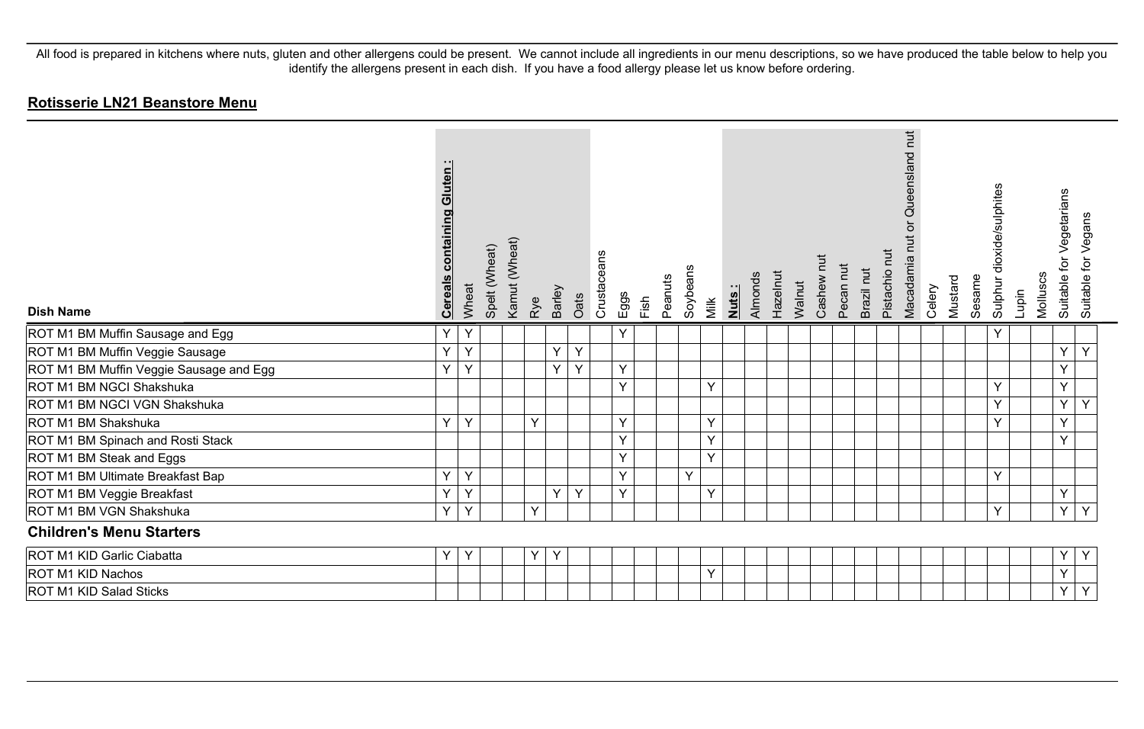| <b>Dish Name</b>                        | Gluten<br>containing<br><b>Cereals</b> | Wheat | Spelt (Wheat) | Kamut (Wheat) | Rye | <b>Barley</b> | Oats | Crustaceans | Eggs | Fish | Peanuts | Soybeans<br>Milk | Nuts: | Almonds | Hazelnut | Walnut | Cashew nut | Pecan nut | Brazil nut | Pistachio nut | Queensland nut<br>ŏ<br>Macadamia nut | Celery | Mustard | Sesame | Sulphur dioxide/sulphites | Lupin | Molluscs | for Vegetarians<br>Suitable | Vegans<br>Suitable for |
|-----------------------------------------|----------------------------------------|-------|---------------|---------------|-----|---------------|------|-------------|------|------|---------|------------------|-------|---------|----------|--------|------------|-----------|------------|---------------|--------------------------------------|--------|---------|--------|---------------------------|-------|----------|-----------------------------|------------------------|
| ROT M1 BM Muffin Sausage and Egg        | Υ                                      | Y     |               |               |     |               |      |             | Y    |      |         |                  |       |         |          |        |            |           |            |               |                                      |        |         |        | $\checkmark$              |       |          |                             |                        |
| ROT M1 BM Muffin Veggie Sausage         | Υ                                      | Y     |               |               |     | Y             | Y    |             |      |      |         |                  |       |         |          |        |            |           |            |               |                                      |        |         |        |                           |       |          | Y                           | Y                      |
| ROT M1 BM Muffin Veggie Sausage and Egg | Y                                      | Y     |               |               |     | Y             | Y    |             | Y    |      |         |                  |       |         |          |        |            |           |            |               |                                      |        |         |        |                           |       |          | Y                           |                        |
| ROT M1 BM NGCI Shakshuka                |                                        |       |               |               |     |               |      |             | Y    |      |         | Y                |       |         |          |        |            |           |            |               |                                      |        |         |        | $\vee$                    |       |          | Y                           |                        |
| ROT M1 BM NGCI VGN Shakshuka            |                                        |       |               |               |     |               |      |             |      |      |         |                  |       |         |          |        |            |           |            |               |                                      |        |         |        | $\checkmark$              |       |          | Y                           | Y                      |
| ROT M1 BM Shakshuka                     | Y                                      | Y     |               |               | Y   |               |      |             | Y    |      |         | Y                |       |         |          |        |            |           |            |               |                                      |        |         |        | $\checkmark$              |       |          | Y                           |                        |
| ROT M1 BM Spinach and Rosti Stack       |                                        |       |               |               |     |               |      |             | Y    |      |         | Y                |       |         |          |        |            |           |            |               |                                      |        |         |        |                           |       |          | Y                           |                        |
| ROT M1 BM Steak and Eggs                |                                        |       |               |               |     |               |      |             | Y    |      |         | $\vee$           |       |         |          |        |            |           |            |               |                                      |        |         |        |                           |       |          |                             |                        |
| ROT M1 BM Ultimate Breakfast Bap        | Υ                                      | Y     |               |               |     |               |      |             | Ý    |      |         | Y                |       |         |          |        |            |           |            |               |                                      |        |         |        | $\vee$                    |       |          |                             |                        |
| ROT M1 BM Veggie Breakfast              | Y                                      | Υ     |               |               |     | Y             | Y    |             | Y    |      |         |                  | Y     |         |          |        |            |           |            |               |                                      |        |         |        |                           |       |          | Y                           |                        |
| ROT M1 BM VGN Shakshuka                 | Υ                                      | Y     |               |               | Y   |               |      |             |      |      |         |                  |       |         |          |        |            |           |            |               |                                      |        |         |        | $\checkmark$              |       |          | Y                           | Y                      |
| <b>Children's Menu Starters</b>         |                                        |       |               |               |     |               |      |             |      |      |         |                  |       |         |          |        |            |           |            |               |                                      |        |         |        |                           |       |          |                             |                        |
| ROT M1 KID Garlic Ciabatta              | Υ                                      | Y     |               |               | Y   | Y             |      |             |      |      |         |                  |       |         |          |        |            |           |            |               |                                      |        |         |        |                           |       |          | Y                           | Y                      |
| ROT M1 KID Nachos                       |                                        |       |               |               |     |               |      |             |      |      |         | Y                |       |         |          |        |            |           |            |               |                                      |        |         |        |                           |       |          | Y                           |                        |
| ROT M1 KID Salad Sticks                 |                                        |       |               |               |     |               |      |             |      |      |         |                  |       |         |          |        |            |           |            |               |                                      |        |         |        |                           |       |          | Y                           | Y                      |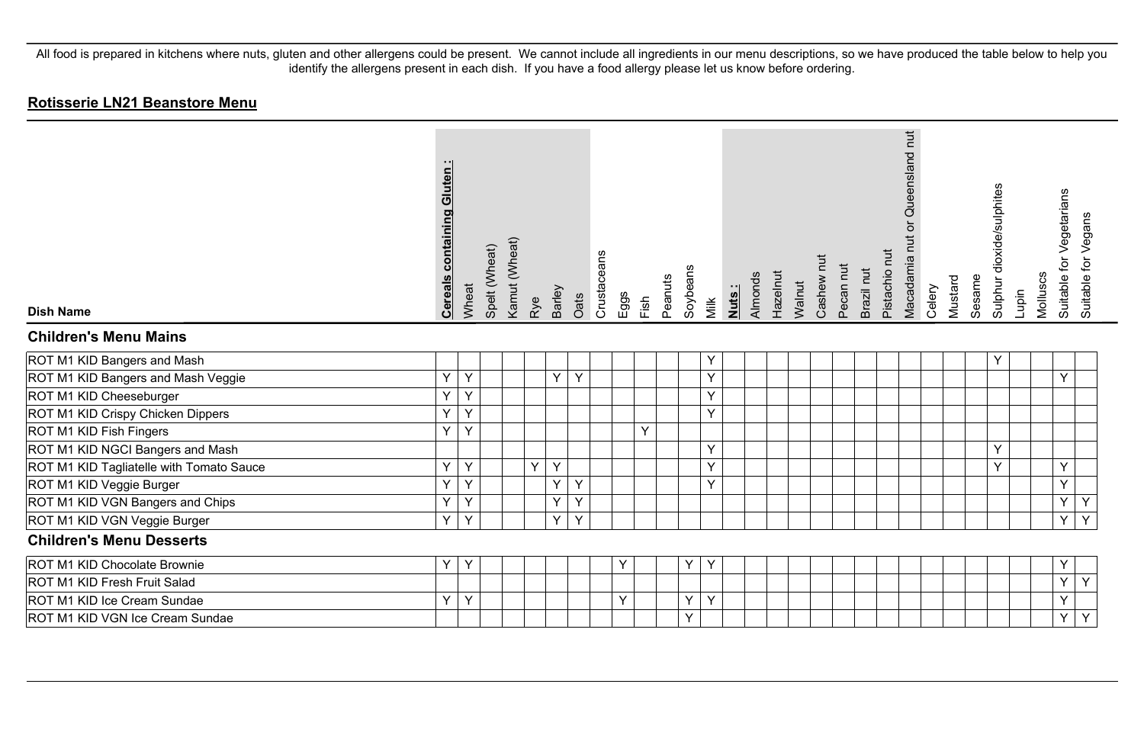| <b>Dish Name</b>                         | <b>Cereals containing Gluten:</b> | Wheat | Spelt (Wheat) | Kamut (Wheat) | Rye | Barley | Oats | Crustaceans | Eggs | Fish | Peanuts | Soybeans | Milk | Nuts: | Almonds | Hazelnut | Walnut | Cashew nut | Pecan nut | Brazil nut | Pistachio nut | Macadamia nut or Queensland nut | Celery | Mustard | Sesame | Sulphur dioxide/sulphites | Lupin | Molluscs | Suitable for Vegetarians | Suitable for Vegans |
|------------------------------------------|-----------------------------------|-------|---------------|---------------|-----|--------|------|-------------|------|------|---------|----------|------|-------|---------|----------|--------|------------|-----------|------------|---------------|---------------------------------|--------|---------|--------|---------------------------|-------|----------|--------------------------|---------------------|
| <b>Children's Menu Mains</b>             |                                   |       |               |               |     |        |      |             |      |      |         |          |      |       |         |          |        |            |           |            |               |                                 |        |         |        |                           |       |          |                          |                     |
| ROT M1 KID Bangers and Mash              |                                   |       |               |               |     |        |      |             |      |      |         |          | Y    |       |         |          |        |            |           |            |               |                                 |        |         |        | Y                         |       |          |                          |                     |
| ROT M1 KID Bangers and Mash Veggie       | Y                                 | Υ     |               |               |     | Y      | Y    |             |      |      |         |          | Y    |       |         |          |        |            |           |            |               |                                 |        |         |        |                           |       |          | Y                        |                     |
| ROT M1 KID Cheeseburger                  | Y                                 | Υ     |               |               |     |        |      |             |      |      |         |          | Y    |       |         |          |        |            |           |            |               |                                 |        |         |        |                           |       |          |                          |                     |
| ROT M1 KID Crispy Chicken Dippers        | Y                                 | Υ     |               |               |     |        |      |             |      |      |         |          | Y    |       |         |          |        |            |           |            |               |                                 |        |         |        |                           |       |          |                          |                     |
| ROT M1 KID Fish Fingers                  | $\vee$                            | Y     |               |               |     |        |      |             |      | Y    |         |          |      |       |         |          |        |            |           |            |               |                                 |        |         |        |                           |       |          |                          |                     |
| ROT M1 KID NGCI Bangers and Mash         |                                   |       |               |               |     |        |      |             |      |      |         |          | Y    |       |         |          |        |            |           |            |               |                                 |        |         |        | Y                         |       |          |                          |                     |
| ROT M1 KID Tagliatelle with Tomato Sauce | Y                                 | Υ     |               |               | Y   | Y      |      |             |      |      |         |          | Y    |       |         |          |        |            |           |            |               |                                 |        |         |        | Y                         |       |          | Υ                        |                     |
| ROT M1 KID Veggie Burger                 | Y                                 | Y     |               |               |     | Y      | Y    |             |      |      |         |          | Y    |       |         |          |        |            |           |            |               |                                 |        |         |        |                           |       |          | Y                        |                     |
| ROT M1 KID VGN Bangers and Chips         | Y                                 | Υ     |               |               |     | Y      | Y    |             |      |      |         |          |      |       |         |          |        |            |           |            |               |                                 |        |         |        |                           |       |          | Y                        | Υ                   |
| ROT M1 KID VGN Veggie Burger             | Y                                 | Y     |               |               |     | Y      | Y    |             |      |      |         |          |      |       |         |          |        |            |           |            |               |                                 |        |         |        |                           |       |          | Y                        | Y                   |
| <b>Children's Menu Desserts</b>          |                                   |       |               |               |     |        |      |             |      |      |         |          |      |       |         |          |        |            |           |            |               |                                 |        |         |        |                           |       |          |                          |                     |
| ROT M1 KID Chocolate Brownie             | Υ                                 | Υ     |               |               |     |        |      |             | Y    |      |         | Y        | Y    |       |         |          |        |            |           |            |               |                                 |        |         |        |                           |       |          | Υ                        |                     |
| ROT M1 KID Fresh Fruit Salad             |                                   |       |               |               |     |        |      |             |      |      |         |          |      |       |         |          |        |            |           |            |               |                                 |        |         |        |                           |       |          | Y                        | Y                   |
| ROT M1 KID Ice Cream Sundae              | Y                                 | Y     |               |               |     |        |      |             | Y    |      |         | Y        | Y    |       |         |          |        |            |           |            |               |                                 |        |         |        |                           |       |          | Υ                        |                     |
| ROT M1 KID VGN Ice Cream Sundae          |                                   |       |               |               |     |        |      |             |      |      |         | Y        |      |       |         |          |        |            |           |            |               |                                 |        |         |        |                           |       |          | Υ                        | Y                   |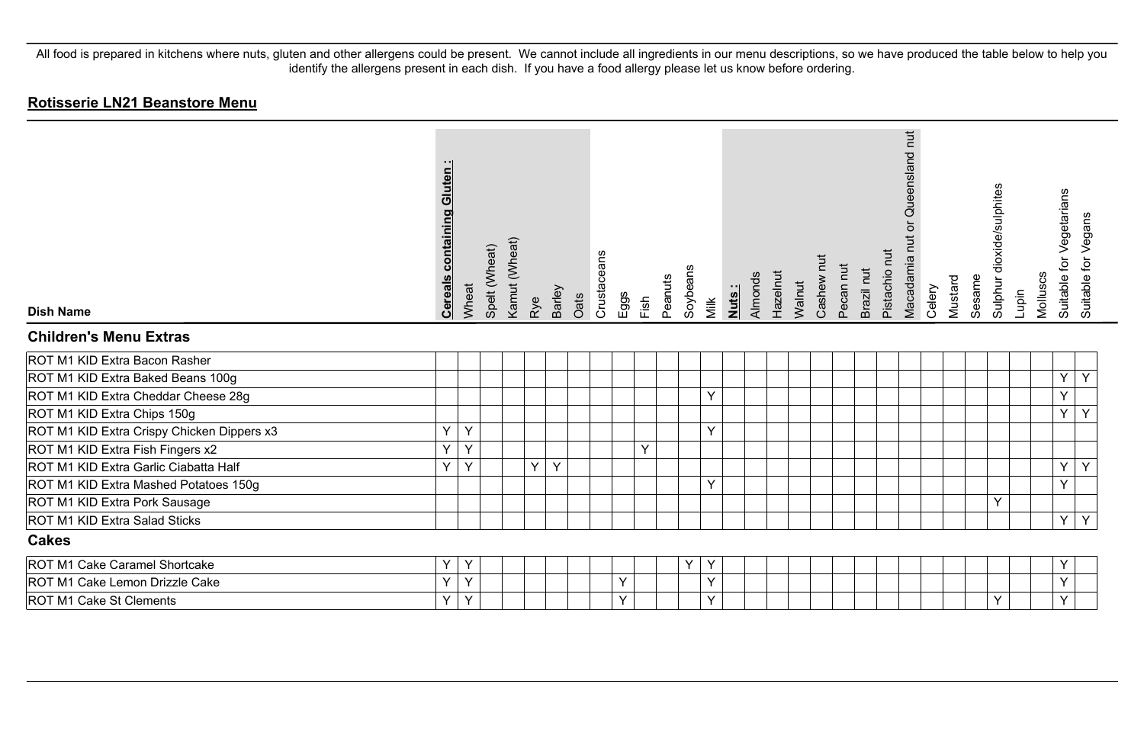| <b>Dish Name</b>                           | <b>Cereals containing Gluten:</b> | Wheat  | Spelt (Wheat) | Kamut (Wheat) | Rye | Barley       | Crustaceans<br>Oats | Eggs | Fish | Peanuts | Soybeans | Milk   | Almonds<br><b>Nuts</b> | Hazelnut | Walnut | Cashew nut | Pecan nut | Brazil nut | Pistachio nut | Queensland nut<br>$\overleftarrow{\mathrm{o}}$<br>Macadamia nut | Celery | Mustard | Sesame | Sulphur dioxide/sulphites | Molluscs<br>Lupin | Suitable for Vegetarians | Suitable for Vegans |
|--------------------------------------------|-----------------------------------|--------|---------------|---------------|-----|--------------|---------------------|------|------|---------|----------|--------|------------------------|----------|--------|------------|-----------|------------|---------------|-----------------------------------------------------------------|--------|---------|--------|---------------------------|-------------------|--------------------------|---------------------|
| <b>Children's Menu Extras</b>              |                                   |        |               |               |     |              |                     |      |      |         |          |        |                        |          |        |            |           |            |               |                                                                 |        |         |        |                           |                   |                          |                     |
| ROT M1 KID Extra Bacon Rasher              |                                   |        |               |               |     |              |                     |      |      |         |          |        |                        |          |        |            |           |            |               |                                                                 |        |         |        |                           |                   |                          |                     |
| ROT M1 KID Extra Baked Beans 100g          |                                   |        |               |               |     |              |                     |      |      |         |          |        |                        |          |        |            |           |            |               |                                                                 |        |         |        |                           |                   | Y                        | Y                   |
| ROT M1 KID Extra Cheddar Cheese 28g        |                                   |        |               |               |     |              |                     |      |      |         |          | $\vee$ |                        |          |        |            |           |            |               |                                                                 |        |         |        |                           |                   | $\checkmark$             |                     |
| ROT M1 KID Extra Chips 150g                |                                   |        |               |               |     |              |                     |      |      |         |          |        |                        |          |        |            |           |            |               |                                                                 |        |         |        |                           |                   | Y                        | Y                   |
| ROT M1 KID Extra Crispy Chicken Dippers x3 | Y                                 | Y      |               |               |     |              |                     |      |      |         |          | Y      |                        |          |        |            |           |            |               |                                                                 |        |         |        |                           |                   |                          |                     |
| ROT M1 KID Extra Fish Fingers x2           | Y                                 | v      |               |               |     |              |                     |      | Y    |         |          |        |                        |          |        |            |           |            |               |                                                                 |        |         |        |                           |                   |                          |                     |
| ROT M1 KID Extra Garlic Ciabatta Half      | Y                                 | $\vee$ |               |               | Y.  | $\mathsf{Y}$ |                     |      |      |         |          |        |                        |          |        |            |           |            |               |                                                                 |        |         |        |                           |                   | Y                        | Y                   |
| ROT M1 KID Extra Mashed Potatoes 150g      |                                   |        |               |               |     |              |                     |      |      |         |          | Y      |                        |          |        |            |           |            |               |                                                                 |        |         |        |                           |                   | $\checkmark$             |                     |
| ROT M1 KID Extra Pork Sausage              |                                   |        |               |               |     |              |                     |      |      |         |          |        |                        |          |        |            |           |            |               |                                                                 |        |         |        | Y                         |                   |                          |                     |
| ROT M1 KID Extra Salad Sticks              |                                   |        |               |               |     |              |                     |      |      |         |          |        |                        |          |        |            |           |            |               |                                                                 |        |         |        |                           |                   | Y                        | Y                   |
| <b>Cakes</b>                               |                                   |        |               |               |     |              |                     |      |      |         |          |        |                        |          |        |            |           |            |               |                                                                 |        |         |        |                           |                   |                          |                     |
| ROT M1 Cake Caramel Shortcake              | Y                                 | Y      |               |               |     |              |                     |      |      |         | Y        | Υ      |                        |          |        |            |           |            |               |                                                                 |        |         |        |                           |                   | Y                        |                     |
| ROT M1 Cake Lemon Drizzle Cake             | Y                                 | Y      |               |               |     |              |                     | Y    |      |         |          | Y      |                        |          |        |            |           |            |               |                                                                 |        |         |        |                           |                   | Ÿ                        |                     |
| <b>ROT M1 Cake St Clements</b>             | Y                                 | Y      |               |               |     |              |                     | Y    |      |         |          | $\vee$ |                        |          |        |            |           |            |               |                                                                 |        |         |        | $\checkmark$              |                   | Y                        |                     |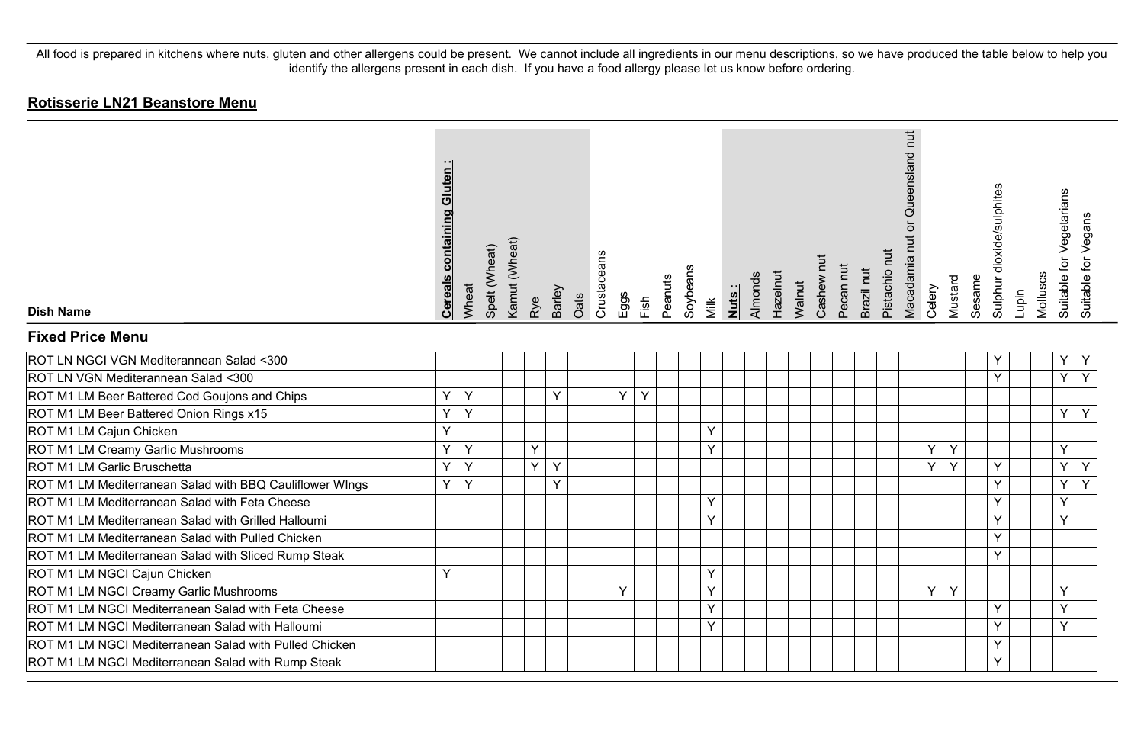| <b>Dish Name</b>                                         | <b>Cereals containing Gluten</b> | Wheat | Spelt (Wheat) | Kamut (Wheat) | Rye | Barley | Oats | Crustaceans | Eggs | Fish | Peanuts | Soybeans | Milk | Nuts: | Hazelnut<br>Almonds | Cashew nut<br>Walnut | Pecan nut<br>Brazil nut | Pistachio nut | Queensland nut<br>Macadamia nut or | Celery | Mustard | Sesame | Sulphur dioxide/sulphites | Lupin | Molluscs | Suitable for Vegetarians | Suitable for Vegans |
|----------------------------------------------------------|----------------------------------|-------|---------------|---------------|-----|--------|------|-------------|------|------|---------|----------|------|-------|---------------------|----------------------|-------------------------|---------------|------------------------------------|--------|---------|--------|---------------------------|-------|----------|--------------------------|---------------------|
| <b>Fixed Price Menu</b>                                  |                                  |       |               |               |     |        |      |             |      |      |         |          |      |       |                     |                      |                         |               |                                    |        |         |        |                           |       |          |                          |                     |
| ROT LN NGCI VGN Mediterannean Salad <300                 |                                  |       |               |               |     |        |      |             |      |      |         |          |      |       |                     |                      |                         |               |                                    |        |         |        | Y                         |       |          | Υ                        | Y                   |
| ROT LN VGN Mediterannean Salad <300                      |                                  |       |               |               |     |        |      |             |      |      |         |          |      |       |                     |                      |                         |               |                                    |        |         |        | $\vee$                    |       |          | Y                        | Y                   |
| ROT M1 LM Beer Battered Cod Goujons and Chips            | Y                                | Y     |               |               |     | Y      |      |             | Y    | Y    |         |          |      |       |                     |                      |                         |               |                                    |        |         |        |                           |       |          |                          |                     |
| ROT M1 LM Beer Battered Onion Rings x15                  | Y                                | Y     |               |               |     |        |      |             |      |      |         |          |      |       |                     |                      |                         |               |                                    |        |         |        |                           |       |          | Y                        | Y                   |
| ROT M1 LM Cajun Chicken                                  | Y                                |       |               |               |     |        |      |             |      |      |         |          | Y    |       |                     |                      |                         |               |                                    |        |         |        |                           |       |          |                          |                     |
| ROT M1 LM Creamy Garlic Mushrooms                        | Y                                | Y     |               |               | Y   |        |      |             |      |      |         |          | Y    |       |                     |                      |                         |               |                                    | Y      | Y       |        |                           |       |          | Y                        |                     |
| ROT M1 LM Garlic Bruschetta                              | Y                                | Y     |               |               | Y.  | Y      |      |             |      |      |         |          |      |       |                     |                      |                         |               |                                    | Y      | Y       |        | Y                         |       |          | Y                        | Y                   |
| ROT M1 LM Mediterranean Salad with BBQ Cauliflower WIngs | Y                                | Y     |               |               |     | Y      |      |             |      |      |         |          |      |       |                     |                      |                         |               |                                    |        |         |        | Y                         |       |          | Y                        | Y                   |
| ROT M1 LM Mediterranean Salad with Feta Cheese           |                                  |       |               |               |     |        |      |             |      |      |         |          | Y    |       |                     |                      |                         |               |                                    |        |         |        | $\checkmark$              |       |          | Y                        |                     |
| ROT M1 LM Mediterranean Salad with Grilled Halloumi      |                                  |       |               |               |     |        |      |             |      |      |         |          | Y    |       |                     |                      |                         |               |                                    |        |         |        | Y                         |       |          | Y                        |                     |
| ROT M1 LM Mediterranean Salad with Pulled Chicken        |                                  |       |               |               |     |        |      |             |      |      |         |          |      |       |                     |                      |                         |               |                                    |        |         |        | Y                         |       |          |                          |                     |
| ROT M1 LM Mediterranean Salad with Sliced Rump Steak     |                                  |       |               |               |     |        |      |             |      |      |         |          |      |       |                     |                      |                         |               |                                    |        |         |        | $\vee$                    |       |          |                          |                     |
| ROT M1 LM NGCI Cajun Chicken                             | Y                                |       |               |               |     |        |      |             |      |      |         |          | Y    |       |                     |                      |                         |               |                                    |        |         |        |                           |       |          |                          |                     |
| ROT M1 LM NGCI Creamy Garlic Mushrooms                   |                                  |       |               |               |     |        |      |             | Y    |      |         |          | Y    |       |                     |                      |                         |               |                                    | Y      | Y       |        |                           |       |          | Y                        |                     |
| ROT M1 LM NGCI Mediterranean Salad with Feta Cheese      |                                  |       |               |               |     |        |      |             |      |      |         |          | Y    |       |                     |                      |                         |               |                                    |        |         |        | Y                         |       |          | Y                        |                     |
| ROT M1 LM NGCI Mediterranean Salad with Halloumi         |                                  |       |               |               |     |        |      |             |      |      |         |          | Y    |       |                     |                      |                         |               |                                    |        |         |        | Y                         |       |          | Y                        |                     |
| ROT M1 LM NGCI Mediterranean Salad with Pulled Chicken   |                                  |       |               |               |     |        |      |             |      |      |         |          |      |       |                     |                      |                         |               |                                    |        |         |        | Y                         |       |          |                          |                     |
| ROT M1 LM NGCI Mediterranean Salad with Rump Steak       |                                  |       |               |               |     |        |      |             |      |      |         |          |      |       |                     |                      |                         |               |                                    |        |         |        | Y                         |       |          |                          |                     |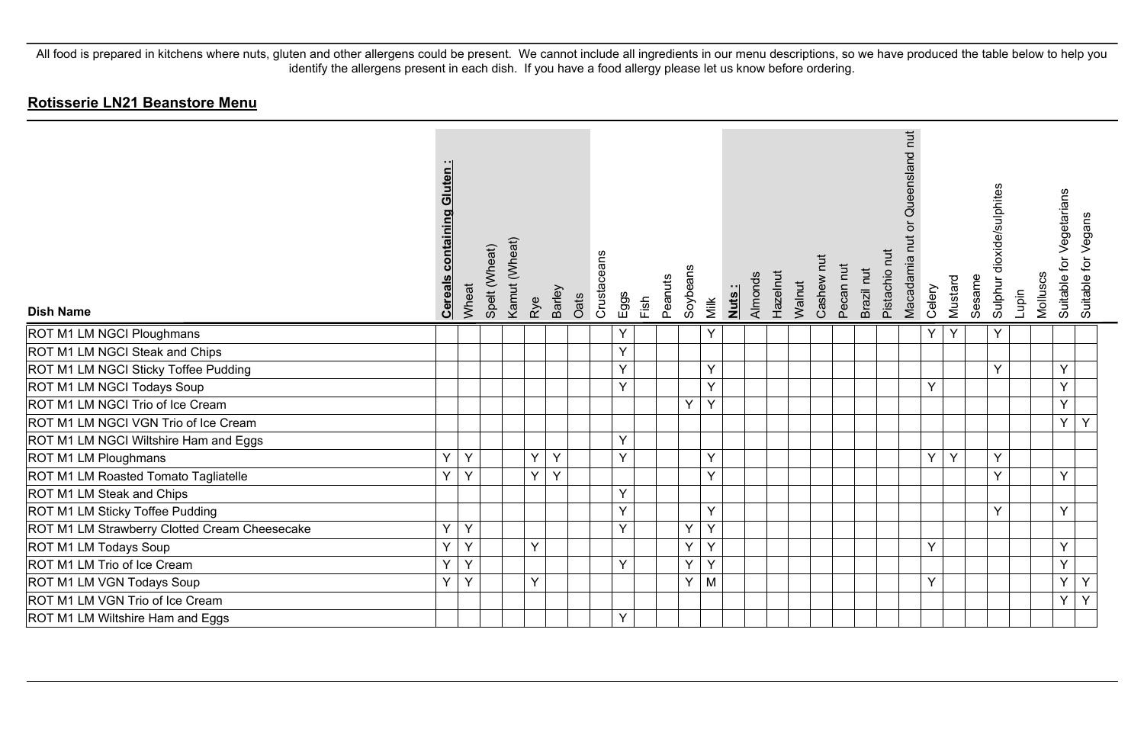| <b>Dish Name</b>                              | <b>containing Gluten:</b><br><b>Cereals</b> | Wheat | Spelt (Wheat) | Kamut (Wheat) | Rye | Barley | Oats | Crustaceans | Eggs | Fish | Peanuts | Soybeans | Milk | Nuts: | Almonds | Hazelnut<br>Walnut | Cashew nut | Pecan nut | Brazil nut | Pistachio nut | Macadamia nut or Queensland nut | Celery | Mustard | Sesame | Sulphur dioxide/sulphites | Lupin | Molluscs | for Vegetarians<br><b>Suitable</b> | Vegans<br>Suitable for |
|-----------------------------------------------|---------------------------------------------|-------|---------------|---------------|-----|--------|------|-------------|------|------|---------|----------|------|-------|---------|--------------------|------------|-----------|------------|---------------|---------------------------------|--------|---------|--------|---------------------------|-------|----------|------------------------------------|------------------------|
| ROT M1 LM NGCI Ploughmans                     |                                             |       |               |               |     |        |      |             | Y    |      |         |          | Y    |       |         |                    |            |           |            |               |                                 | Y      | Y       |        | Υ                         |       |          |                                    |                        |
| ROT M1 LM NGCI Steak and Chips                |                                             |       |               |               |     |        |      |             | Y    |      |         |          |      |       |         |                    |            |           |            |               |                                 |        |         |        |                           |       |          |                                    |                        |
| ROT M1 LM NGCI Sticky Toffee Pudding          |                                             |       |               |               |     |        |      |             | Y    |      |         |          | Y    |       |         |                    |            |           |            |               |                                 |        |         |        | Y                         |       |          | Y                                  |                        |
| ROT M1 LM NGCI Todays Soup                    |                                             |       |               |               |     |        |      |             | Y    |      |         |          | Y    |       |         |                    |            |           |            |               |                                 | Y      |         |        |                           |       |          | Y                                  |                        |
| ROT M1 LM NGCI Trio of Ice Cream              |                                             |       |               |               |     |        |      |             |      |      |         | Y        | Y    |       |         |                    |            |           |            |               |                                 |        |         |        |                           |       |          | Y                                  |                        |
| ROT M1 LM NGCI VGN Trio of Ice Cream          |                                             |       |               |               |     |        |      |             |      |      |         |          |      |       |         |                    |            |           |            |               |                                 |        |         |        |                           |       |          | Y.                                 | Y                      |
| ROT M1 LM NGCI Wiltshire Ham and Eggs         |                                             |       |               |               |     |        |      |             | Y    |      |         |          |      |       |         |                    |            |           |            |               |                                 |        |         |        |                           |       |          |                                    |                        |
| ROT M1 LM Ploughmans                          | Y                                           | Y     |               |               | Y   | Y      |      |             | Y    |      |         |          | Y    |       |         |                    |            |           |            |               |                                 | Y.     | Y       |        | Y                         |       |          |                                    |                        |
| ROT M1 LM Roasted Tomato Tagliatelle          | Y                                           | Y     |               |               | Y   | Y      |      |             |      |      |         |          | Y    |       |         |                    |            |           |            |               |                                 |        |         |        | Y                         |       |          | Y                                  |                        |
| ROT M1 LM Steak and Chips                     |                                             |       |               |               |     |        |      |             | Y    |      |         |          |      |       |         |                    |            |           |            |               |                                 |        |         |        |                           |       |          |                                    |                        |
| ROT M1 LM Sticky Toffee Pudding               |                                             |       |               |               |     |        |      |             | Y    |      |         |          | Y    |       |         |                    |            |           |            |               |                                 |        |         |        | Y                         |       |          | Y                                  |                        |
| ROT M1 LM Strawberry Clotted Cream Cheesecake | Y                                           | Y     |               |               |     |        |      |             | Y    |      |         | Y        | Y    |       |         |                    |            |           |            |               |                                 |        |         |        |                           |       |          |                                    |                        |
| ROT M1 LM Todays Soup                         | Y                                           | Υ     |               |               | Y   |        |      |             |      |      |         | Y        | Y    |       |         |                    |            |           |            |               |                                 | Y      |         |        |                           |       |          | Υ                                  |                        |
| ROT M1 LM Trio of Ice Cream                   | Y                                           | Y     |               |               |     |        |      |             | Y    |      |         | Y        | Y    |       |         |                    |            |           |            |               |                                 |        |         |        |                           |       |          | Y                                  |                        |
| ROT M1 LM VGN Todays Soup                     | Y                                           | Y     |               |               | Y   |        |      |             |      |      |         | Y        | M    |       |         |                    |            |           |            |               |                                 | Y      |         |        |                           |       |          | Y                                  | Y                      |
| ROT M1 LM VGN Trio of Ice Cream               |                                             |       |               |               |     |        |      |             |      |      |         |          |      |       |         |                    |            |           |            |               |                                 |        |         |        |                           |       |          | Y.                                 | Y                      |
| ROT M1 LM Wiltshire Ham and Eggs              |                                             |       |               |               |     |        |      |             | Y    |      |         |          |      |       |         |                    |            |           |            |               |                                 |        |         |        |                           |       |          |                                    |                        |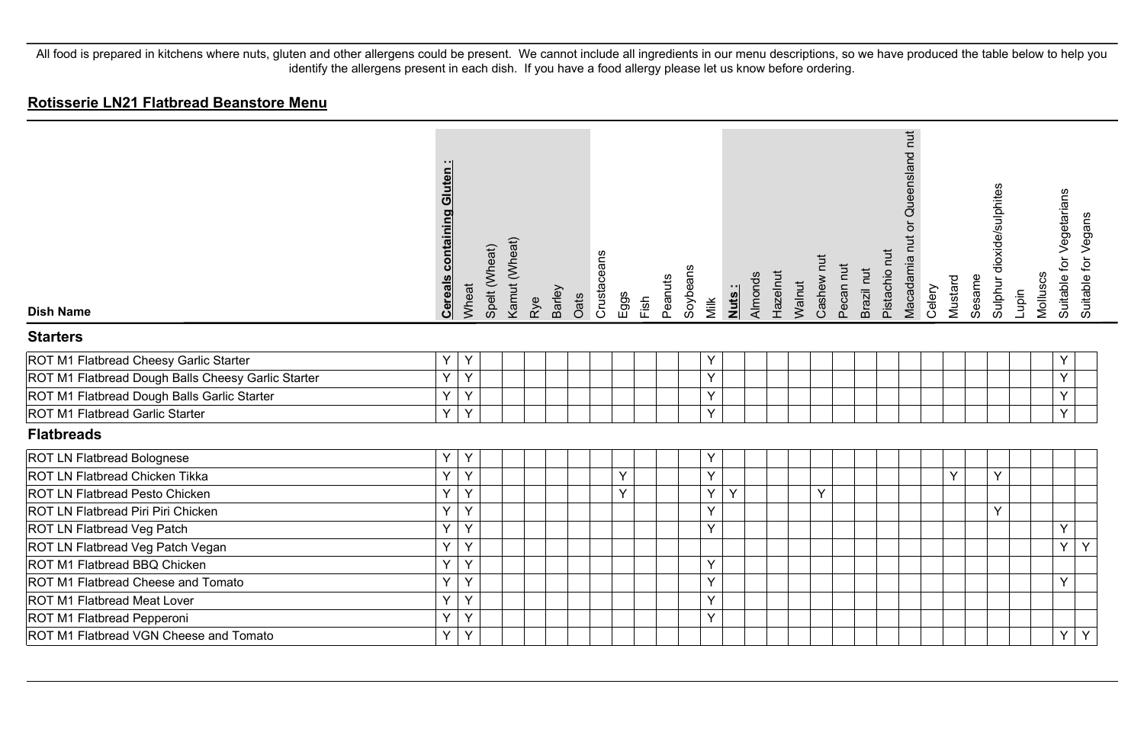#### **Rotisserie LN21 Flatbread Beanstore Menu**

| <b>Dish Name</b>                                   | <b>Cereals containing Gluten:</b> | Wheat | Spelt (Wheat) | Kamut (Wheat) | Rye | Barley | Oats | Crustaceans | Eggs | Fish | Peanuts | Soybeans<br>Milk | Nuts: | Almonds | Hazelnut | Walnut | Cashew nut | Pecan nut | Brazil nut | Pistachio nut | Queensland nut<br>$\overleftarrow{\mathrm{o}}$<br>Macadamia nut | Celery | Sesame<br>Mustard | Sulphur dioxide/sulphites | Lupin | Molluscs | Suitable for Vegetarians<br>Suitable for Vegans |   |
|----------------------------------------------------|-----------------------------------|-------|---------------|---------------|-----|--------|------|-------------|------|------|---------|------------------|-------|---------|----------|--------|------------|-----------|------------|---------------|-----------------------------------------------------------------|--------|-------------------|---------------------------|-------|----------|-------------------------------------------------|---|
| <b>Starters</b>                                    |                                   |       |               |               |     |        |      |             |      |      |         |                  |       |         |          |        |            |           |            |               |                                                                 |        |                   |                           |       |          |                                                 |   |
| ROT M1 Flatbread Cheesy Garlic Starter             | Y                                 | Y     |               |               |     |        |      |             |      |      |         | Υ                |       |         |          |        |            |           |            |               |                                                                 |        |                   |                           |       |          | Y                                               |   |
| ROT M1 Flatbread Dough Balls Cheesy Garlic Starter | Y                                 | Y     |               |               |     |        |      |             |      |      |         | Y                |       |         |          |        |            |           |            |               |                                                                 |        |                   |                           |       |          | Y                                               |   |
| ROT M1 Flatbread Dough Balls Garlic Starter        | Y                                 | Y     |               |               |     |        |      |             |      |      |         | Y                |       |         |          |        |            |           |            |               |                                                                 |        |                   |                           |       |          | Y                                               |   |
| ROT M1 Flatbread Garlic Starter                    | Y                                 | Y     |               |               |     |        |      |             |      |      |         | Y                |       |         |          |        |            |           |            |               |                                                                 |        |                   |                           |       |          | Y                                               |   |
| <b>Flatbreads</b>                                  |                                   |       |               |               |     |        |      |             |      |      |         |                  |       |         |          |        |            |           |            |               |                                                                 |        |                   |                           |       |          |                                                 |   |
| ROT LN Flatbread Bolognese                         | Y                                 | Y     |               |               |     |        |      |             |      |      |         | Υ                |       |         |          |        |            |           |            |               |                                                                 |        |                   |                           |       |          |                                                 |   |
| ROT LN Flatbread Chicken Tikka                     | Y                                 | Y     |               |               |     |        |      |             | Y    |      |         | Y                |       |         |          |        |            |           |            |               |                                                                 |        | Y                 | Y                         |       |          |                                                 |   |
| <b>ROT LN Flatbread Pesto Chicken</b>              | Y                                 | Y     |               |               |     |        |      |             | Y    |      |         | Y                | Y     |         |          |        | Y          |           |            |               |                                                                 |        |                   |                           |       |          |                                                 |   |
| ROT LN Flatbread Piri Piri Chicken                 | Y                                 | Y     |               |               |     |        |      |             |      |      |         | Y                |       |         |          |        |            |           |            |               |                                                                 |        |                   | Y                         |       |          |                                                 |   |
| ROT LN Flatbread Veg Patch                         | Y                                 | Y     |               |               |     |        |      |             |      |      |         | Y                |       |         |          |        |            |           |            |               |                                                                 |        |                   |                           |       |          | Y                                               |   |
| ROT LN Flatbread Veg Patch Vegan                   | Y                                 | Y     |               |               |     |        |      |             |      |      |         |                  |       |         |          |        |            |           |            |               |                                                                 |        |                   |                           |       |          | Y                                               | Y |
| ROT M1 Flatbread BBQ Chicken                       | Y                                 | Y     |               |               |     |        |      |             |      |      |         | Y                |       |         |          |        |            |           |            |               |                                                                 |        |                   |                           |       |          |                                                 |   |
| ROT M1 Flatbread Cheese and Tomato                 | Y                                 | Y     |               |               |     |        |      |             |      |      |         | Y                |       |         |          |        |            |           |            |               |                                                                 |        |                   |                           |       |          | Y                                               |   |
| ROT M1 Flatbread Meat Lover                        | Y                                 | Y     |               |               |     |        |      |             |      |      |         | Y                |       |         |          |        |            |           |            |               |                                                                 |        |                   |                           |       |          |                                                 |   |
| ROT M1 Flatbread Pepperoni                         | Y                                 | Y     |               |               |     |        |      |             |      |      |         | Y                |       |         |          |        |            |           |            |               |                                                                 |        |                   |                           |       |          |                                                 |   |
| ROT M1 Flatbread VGN Cheese and Tomato             | Y                                 | Υ     |               |               |     |        |      |             |      |      |         |                  |       |         |          |        |            |           |            |               |                                                                 |        |                   |                           |       |          | Y                                               | Y |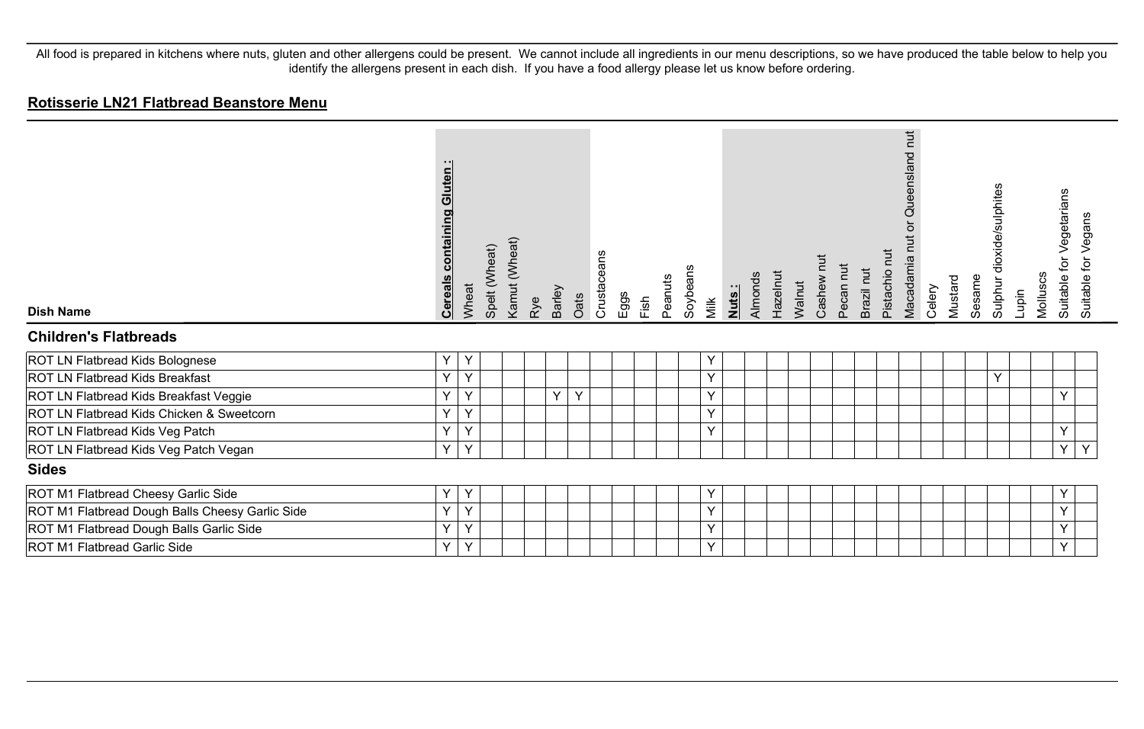#### **Rotisserie LN21 Flatbread Beanstore Menu**

| <b>Dish Name</b>                                | containing Gluten:<br><b>Cereals</b> | Wheat | Spelt (Wheat) | Kamut (Wheat) | Rye | Barley | Oats | Crustaceans | Eggs | Fish | Peanuts | Soybeans<br>Milk | Nuts: | Almonds | Hazelnut | Walnut | Cashew nut | Pecan nut | Brazil nut | hut<br>Pistachio | $\overline{\mu}$<br>Queensland<br>$\overline{O}$<br>Macadamia n | Celery | Mustard | Sesame | Sulphur dioxide/sulphites | Lupin | for Vegetarians<br>Molluscs<br>Suitable | Vegans<br>Suitable for |  |
|-------------------------------------------------|--------------------------------------|-------|---------------|---------------|-----|--------|------|-------------|------|------|---------|------------------|-------|---------|----------|--------|------------|-----------|------------|------------------|-----------------------------------------------------------------|--------|---------|--------|---------------------------|-------|-----------------------------------------|------------------------|--|
| <b>Children's Flatbreads</b>                    |                                      |       |               |               |     |        |      |             |      |      |         |                  |       |         |          |        |            |           |            |                  |                                                                 |        |         |        |                           |       |                                         |                        |  |
| ROT LN Flatbread Kids Bolognese                 | Y                                    | Y     |               |               |     |        |      |             |      |      |         | Υ                |       |         |          |        |            |           |            |                  |                                                                 |        |         |        |                           |       |                                         |                        |  |
| <b>ROT LN Flatbread Kids Breakfast</b>          | Y                                    | Y     |               |               |     |        |      |             |      |      |         | Y                |       |         |          |        |            |           |            |                  |                                                                 |        |         |        | Y                         |       |                                         |                        |  |
| ROT LN Flatbread Kids Breakfast Veggie          | Y                                    | Y     |               |               |     | Y      | Y    |             |      |      |         | Y                |       |         |          |        |            |           |            |                  |                                                                 |        |         |        |                           |       | Y                                       |                        |  |
| ROT LN Flatbread Kids Chicken & Sweetcorn       | Y                                    | Y     |               |               |     |        |      |             |      |      |         | Υ                |       |         |          |        |            |           |            |                  |                                                                 |        |         |        |                           |       |                                         |                        |  |
| ROT LN Flatbread Kids Veg Patch                 | Y                                    | Y     |               |               |     |        |      |             |      |      |         | Y                |       |         |          |        |            |           |            |                  |                                                                 |        |         |        |                           |       | Y                                       |                        |  |
| ROT LN Flatbread Kids Veg Patch Vegan           | Y                                    | Y     |               |               |     |        |      |             |      |      |         |                  |       |         |          |        |            |           |            |                  |                                                                 |        |         |        |                           |       | Y                                       | Y                      |  |
| <b>Sides</b>                                    |                                      |       |               |               |     |        |      |             |      |      |         |                  |       |         |          |        |            |           |            |                  |                                                                 |        |         |        |                           |       |                                         |                        |  |
| ROT M1 Flatbread Cheesy Garlic Side             | Υ                                    | Y     |               |               |     |        |      |             |      |      |         | Y                |       |         |          |        |            |           |            |                  |                                                                 |        |         |        |                           |       | Υ                                       |                        |  |
| ROT M1 Flatbread Dough Balls Cheesy Garlic Side | Υ                                    | Y     |               |               |     |        |      |             |      |      |         | Υ                |       |         |          |        |            |           |            |                  |                                                                 |        |         |        |                           |       | Y                                       |                        |  |
| ROT M1 Flatbread Dough Balls Garlic Side        | Y                                    | Y     |               |               |     |        |      |             |      |      |         | Y                |       |         |          |        |            |           |            |                  |                                                                 |        |         |        |                           |       | Y                                       |                        |  |
| ROT M1 Flatbread Garlic Side                    | Y                                    | Y     |               |               |     |        |      |             |      |      |         | Y                |       |         |          |        |            |           |            |                  |                                                                 |        |         |        |                           |       | Y                                       |                        |  |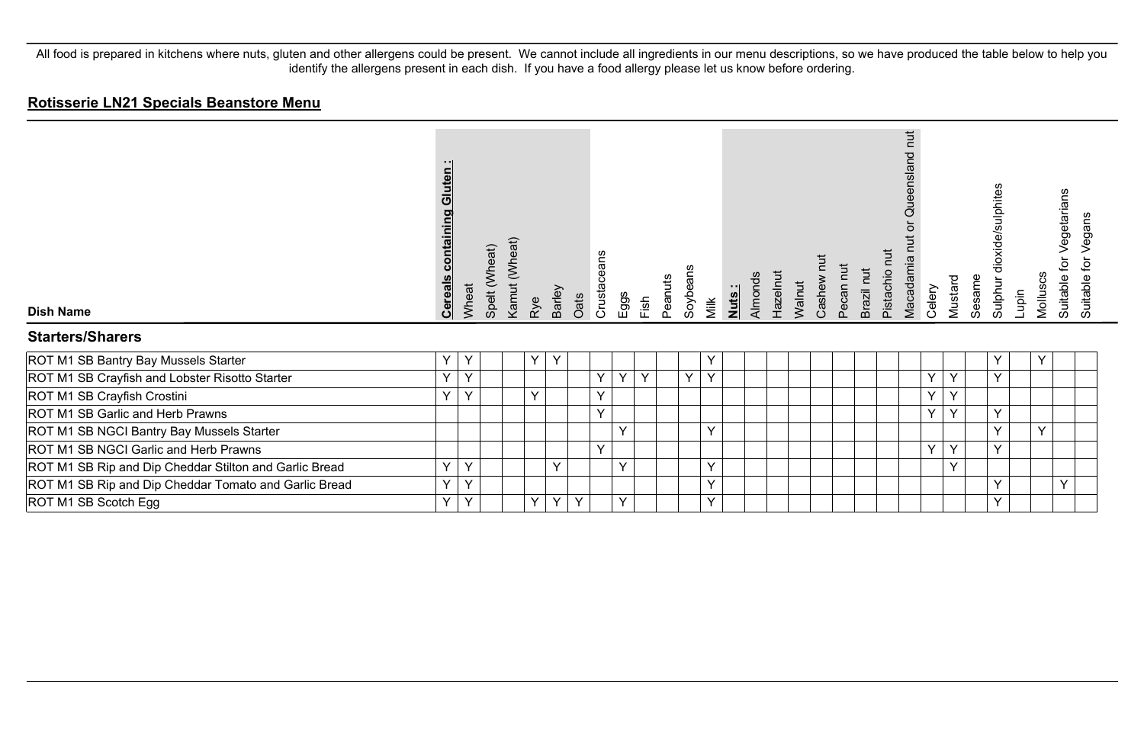| <b>Dish Name</b>                                       | Gluten<br>containing<br><b>Cereals</b> | Wheat        | Spelt (Wheat) | Kamut (Wheat) | Rye    | Barley | Oats | Crustaceans | Eggs | Fish   | Peanuts | Soybeans | Milk         | Nuts: | Almonds | Hazelnut | Walnut | Cashew | Pecan nut | Brazil nut | hut<br>Pistachio | ti<br>E<br>ueensland<br>O<br>Macadamia | Celery | Mustard | Sesame | dioxide/sulphites<br>Sulphur | Lupin | Molluscs | Vegetarians<br>þr<br>Suitable | Vegans<br>ğ<br>Suitable |
|--------------------------------------------------------|----------------------------------------|--------------|---------------|---------------|--------|--------|------|-------------|------|--------|---------|----------|--------------|-------|---------|----------|--------|--------|-----------|------------|------------------|----------------------------------------|--------|---------|--------|------------------------------|-------|----------|-------------------------------|-------------------------|
| <b>Starters/Sharers</b>                                |                                        |              |               |               |        |        |      |             |      |        |         |          |              |       |         |          |        |        |           |            |                  |                                        |        |         |        |                              |       |          |                               |                         |
| ROT M1 SB Bantry Bay Mussels Starter                   | Y                                      | Y            |               |               | Y      | Y      |      |             |      |        |         |          | Y            |       |         |          |        |        |           |            |                  |                                        |        |         |        | Y                            |       | Y        |                               |                         |
| ROT M1 SB Crayfish and Lobster Risotto Starter         | Y                                      | Y            |               |               |        |        |      | Y           | Y    | $\vee$ |         | $\vee$   | Y            |       |         |          |        |        |           |            |                  |                                        | Y      | Y       |        | Y                            |       |          |                               |                         |
| ROT M1 SB Crayfish Crostini                            | $\checkmark$                           | $\checkmark$ |               |               | $\vee$ |        |      | Y           |      |        |         |          |              |       |         |          |        |        |           |            |                  |                                        | Y      | Υ       |        |                              |       |          |                               |                         |
| ROT M1 SB Garlic and Herb Prawns                       |                                        |              |               |               |        |        |      | Y           |      |        |         |          |              |       |         |          |        |        |           |            |                  |                                        | Y      | Υ       |        | Y                            |       |          |                               |                         |
| ROT M1 SB NGCI Bantry Bay Mussels Starter              |                                        |              |               |               |        |        |      |             | Y    |        |         |          | $\vee$       |       |         |          |        |        |           |            |                  |                                        |        |         |        | Y                            |       | Y        |                               |                         |
| ROT M1 SB NGCI Garlic and Herb Prawns                  |                                        |              |               |               |        |        |      | Y           |      |        |         |          |              |       |         |          |        |        |           |            |                  |                                        | Y.     | Y       |        | Y                            |       |          |                               |                         |
| ROT M1 SB Rip and Dip Cheddar Stilton and Garlic Bread | Y                                      | Y            |               |               |        | $\vee$ |      |             | Y    |        |         |          | Y            |       |         |          |        |        |           |            |                  |                                        |        | v       |        |                              |       |          |                               |                         |
| ROT M1 SB Rip and Dip Cheddar Tomato and Garlic Bread  | Y                                      | $\mathsf{Y}$ |               |               |        |        |      |             |      |        |         |          | $\mathsf{Y}$ |       |         |          |        |        |           |            |                  |                                        |        |         |        | Y                            |       |          | Y                             |                         |
| ROT M1 SB Scotch Egg                                   | Y                                      | Y            |               |               | Y      | Y      | Y    |             | Υ    |        |         |          | $\checkmark$ |       |         |          |        |        |           |            |                  |                                        |        |         |        | Y                            |       |          |                               |                         |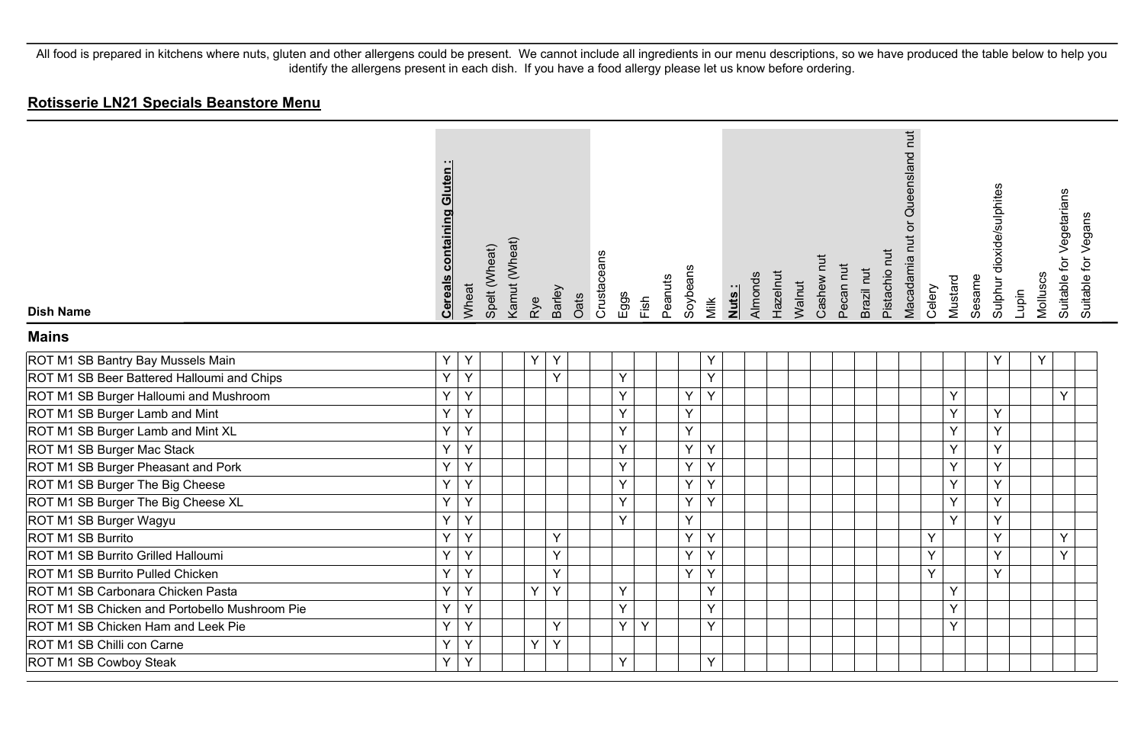| <b>Dish Name</b>                              | <b>Cereals containing Gluten:</b> | Wheat | Spelt (Wheat) | Kamut (Wheat) | Rye            | Barley | Oats | Crustaceans | Eggs | Fish | Peanuts | Soybeans | Milk | Nuts: | Almonds | Hazelnut | Walnut | Cashew nut | Pecan nut | Brazil nut | Pistachio nut | Macadamia nut or Queensland nut | Celery | Mustard | Sesame | Sulphur dioxide/sulphites | Lupin | Molluscs | Suitable for Vegetarians | Suitable for Vegans |
|-----------------------------------------------|-----------------------------------|-------|---------------|---------------|----------------|--------|------|-------------|------|------|---------|----------|------|-------|---------|----------|--------|------------|-----------|------------|---------------|---------------------------------|--------|---------|--------|---------------------------|-------|----------|--------------------------|---------------------|
| <b>Mains</b>                                  |                                   |       |               |               |                |        |      |             |      |      |         |          |      |       |         |          |        |            |           |            |               |                                 |        |         |        |                           |       |          |                          |                     |
| ROT M1 SB Bantry Bay Mussels Main             | Υ                                 | Y     |               |               | Y              | Y      |      |             |      |      |         |          | Y    |       |         |          |        |            |           |            |               |                                 |        |         |        | Y                         |       | Y        |                          |                     |
| ROT M1 SB Beer Battered Halloumi and Chips    | Y                                 | Y     |               |               |                | Y      |      |             | Y    |      |         |          | Y    |       |         |          |        |            |           |            |               |                                 |        |         |        |                           |       |          |                          |                     |
| ROT M1 SB Burger Halloumi and Mushroom        | Y                                 | Y     |               |               |                |        |      |             | Υ    |      |         | Y        | Y    |       |         |          |        |            |           |            |               |                                 |        | Y       |        |                           |       |          | Y                        |                     |
| ROT M1 SB Burger Lamb and Mint                | Υ                                 | Y     |               |               |                |        |      |             | Y    |      |         | Y        |      |       |         |          |        |            |           |            |               |                                 |        | Y       |        | Y                         |       |          |                          |                     |
| ROT M1 SB Burger Lamb and Mint XL             | Y                                 | Y     |               |               |                |        |      |             | Y    |      |         | Y        |      |       |         |          |        |            |           |            |               |                                 |        | Y       |        | Y                         |       |          |                          |                     |
| ROT M1 SB Burger Mac Stack                    | Y                                 | Y     |               |               |                |        |      |             | Y    |      |         | Y        | Y    |       |         |          |        |            |           |            |               |                                 |        | Y       |        | Y                         |       |          |                          |                     |
| ROT M1 SB Burger Pheasant and Pork            | Υ                                 | Y     |               |               |                |        |      |             | Y    |      |         | Y        | Y    |       |         |          |        |            |           |            |               |                                 |        | Y       |        | Y                         |       |          |                          |                     |
| ROT M1 SB Burger The Big Cheese               | Y                                 | Y     |               |               |                |        |      |             | Y    |      |         | Y        | Y    |       |         |          |        |            |           |            |               |                                 |        | Y       |        | Y                         |       |          |                          |                     |
| ROT M1 SB Burger The Big Cheese XL            | Υ                                 | Y     |               |               |                |        |      |             | Y    |      |         | Υ        | Y    |       |         |          |        |            |           |            |               |                                 |        | Y       |        | Y                         |       |          |                          |                     |
| ROT M1 SB Burger Wagyu                        | Υ                                 | Y     |               |               |                |        |      |             | Y    |      |         | Y        |      |       |         |          |        |            |           |            |               |                                 |        | Y       |        | Y                         |       |          |                          |                     |
| ROT M1 SB Burrito                             | Y                                 | Y     |               |               |                | Y      |      |             |      |      |         | Y        | Y    |       |         |          |        |            |           |            |               |                                 | Y      |         |        | Y                         |       |          | Y                        |                     |
| ROT M1 SB Burrito Grilled Halloumi            | Y                                 | Y     |               |               |                | Y      |      |             |      |      |         | Y        | Y    |       |         |          |        |            |           |            |               |                                 | Y      |         |        | Y                         |       |          | Y                        |                     |
| ROT M1 SB Burrito Pulled Chicken              | Y                                 | Y     |               |               |                | Y      |      |             |      |      |         | Y        | Y    |       |         |          |        |            |           |            |               |                                 | Y      |         |        | Y                         |       |          |                          |                     |
| ROT M1 SB Carbonara Chicken Pasta             | Υ                                 | Y     |               |               | Y.             | Y      |      |             | Y    |      |         |          | Υ    |       |         |          |        |            |           |            |               |                                 |        | Y       |        |                           |       |          |                          |                     |
| ROT M1 SB Chicken and Portobello Mushroom Pie | Υ                                 | Y     |               |               |                |        |      |             | Y    |      |         |          | Y    |       |         |          |        |            |           |            |               |                                 |        | Y       |        |                           |       |          |                          |                     |
| ROT M1 SB Chicken Ham and Leek Pie            | Υ                                 | Y     |               |               |                | Y      |      |             | Y    | Y    |         |          | Y    |       |         |          |        |            |           |            |               |                                 |        | Y       |        |                           |       |          |                          |                     |
| ROT M1 SB Chilli con Carne                    | Y                                 | Y     |               |               | $\overline{Y}$ | Y      |      |             |      |      |         |          |      |       |         |          |        |            |           |            |               |                                 |        |         |        |                           |       |          |                          |                     |
| ROT M1 SB Cowboy Steak                        | Y                                 | Y     |               |               |                |        |      |             | Y    |      |         |          | Y    |       |         |          |        |            |           |            |               |                                 |        |         |        |                           |       |          |                          |                     |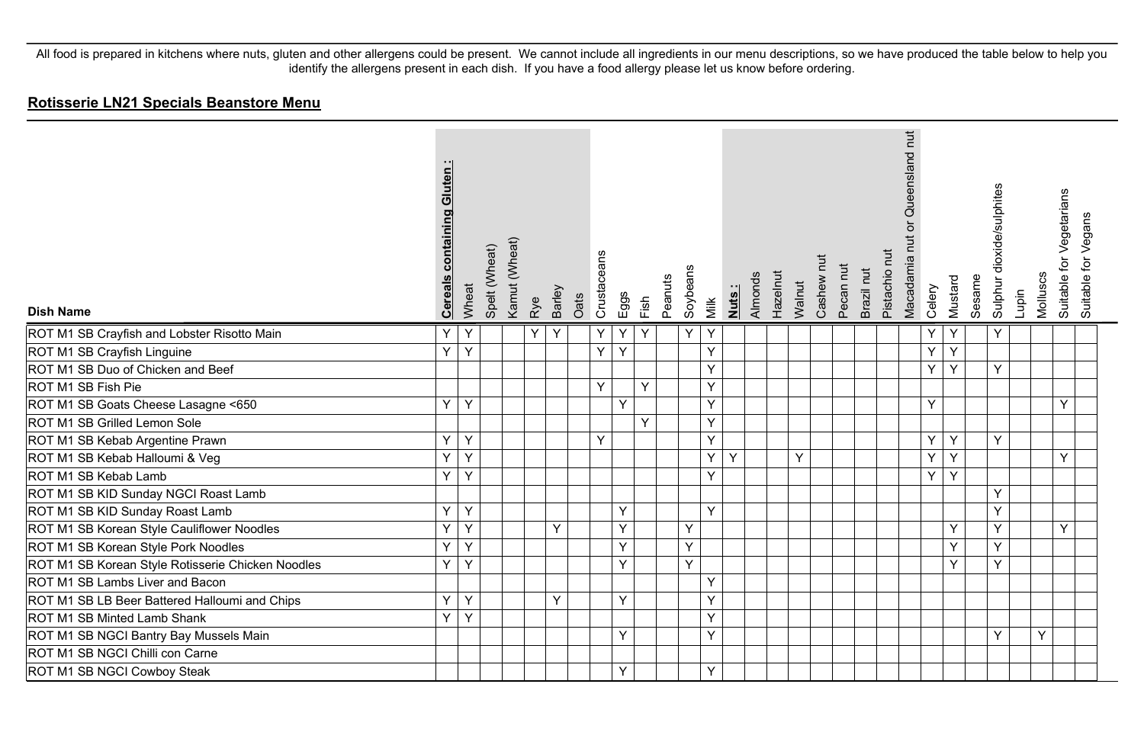| <b>Dish Name</b>                                  | containing Gluten<br><b>Cereals</b> | Wheat | Spelt (Wheat) | Kamut (Wheat) | Rye | Barley | Oats | Crustaceans | Eggs | Fish | Peanuts | Soybeans | Nuts:<br>Milk | Almonds | Hazelnut | Walnut | Cashew nut | Pecan nut | Brazil nut | Pistachio nut | Macadamia nut or Queensland nut | Celery         | Mustard        | Sesame | Sulphur dioxide/sulphites | Lupin | Molluscs | Suitable for Vegetarians | Suitable for Vegans |
|---------------------------------------------------|-------------------------------------|-------|---------------|---------------|-----|--------|------|-------------|------|------|---------|----------|---------------|---------|----------|--------|------------|-----------|------------|---------------|---------------------------------|----------------|----------------|--------|---------------------------|-------|----------|--------------------------|---------------------|
| ROT M1 SB Crayfish and Lobster Risotto Main       | Y                                   | Y     |               |               | Y   | Y      |      | Y           | Υ    | Y    |         | Y        | Υ             |         |          |        |            |           |            |               |                                 | Y              | Y              |        | Y                         |       |          |                          |                     |
| ROT M1 SB Crayfish Linguine                       | $\overline{Y}$                      | Y     |               |               |     |        |      | Y           | Y    |      |         |          | Y             |         |          |        |            |           |            |               |                                 | $\overline{Y}$ | $\overline{Y}$ |        |                           |       |          |                          |                     |
| ROT M1 SB Duo of Chicken and Beef                 |                                     |       |               |               |     |        |      |             |      |      |         |          | Y             |         |          |        |            |           |            |               |                                 | Y              | Y              |        | Y                         |       |          |                          |                     |
| ROT M1 SB Fish Pie                                |                                     |       |               |               |     |        |      | Y           |      | Y    |         |          | Υ             |         |          |        |            |           |            |               |                                 |                |                |        |                           |       |          |                          |                     |
| ROT M1 SB Goats Cheese Lasagne <650               | Y                                   | Y     |               |               |     |        |      |             | Y    |      |         |          | Y             |         |          |        |            |           |            |               |                                 | Y              |                |        |                           |       |          | Y                        |                     |
| ROT M1 SB Grilled Lemon Sole                      |                                     |       |               |               |     |        |      |             |      | Y    |         |          | Y             |         |          |        |            |           |            |               |                                 |                |                |        |                           |       |          |                          |                     |
| ROT M1 SB Kebab Argentine Prawn                   | Υ                                   | Y     |               |               |     |        |      | Y           |      |      |         |          | Y             |         |          |        |            |           |            |               |                                 | Y              | Y              |        | Y                         |       |          |                          |                     |
| ROT M1 SB Kebab Halloumi & Veg                    | $\overline{Y}$                      | Y     |               |               |     |        |      |             |      |      |         |          | Y<br>Y        |         |          | Ÿ      |            |           |            |               |                                 | Y              | Y              |        |                           |       |          | Y                        |                     |
| ROT M1 SB Kebab Lamb                              | Υ                                   | Y     |               |               |     |        |      |             |      |      |         |          | Y             |         |          |        |            |           |            |               |                                 | Y.             | Y              |        |                           |       |          |                          |                     |
| ROT M1 SB KID Sunday NGCI Roast Lamb              |                                     |       |               |               |     |        |      |             |      |      |         |          |               |         |          |        |            |           |            |               |                                 |                |                |        | Y                         |       |          |                          |                     |
| ROT M1 SB KID Sunday Roast Lamb                   | Υ                                   | Υ     |               |               |     |        |      |             | Υ    |      |         |          | Y             |         |          |        |            |           |            |               |                                 |                |                |        | Y                         |       |          |                          |                     |
| ROT M1 SB Korean Style Cauliflower Noodles        | Υ                                   | Y     |               |               |     | Y      |      |             | Y    |      |         | Y        |               |         |          |        |            |           |            |               |                                 |                | Y              |        | Y                         |       |          | Y                        |                     |
| ROT M1 SB Korean Style Pork Noodles               | Y                                   | Y     |               |               |     |        |      |             | Y    |      |         | Y        |               |         |          |        |            |           |            |               |                                 |                | Y              |        | Y                         |       |          |                          |                     |
| ROT M1 SB Korean Style Rotisserie Chicken Noodles | Υ                                   | Y     |               |               |     |        |      |             | Y    |      |         | Y        |               |         |          |        |            |           |            |               |                                 |                | Y              |        | Y                         |       |          |                          |                     |
| ROT M1 SB Lambs Liver and Bacon                   |                                     |       |               |               |     |        |      |             |      |      |         |          | Y             |         |          |        |            |           |            |               |                                 |                |                |        |                           |       |          |                          |                     |
| ROT M1 SB LB Beer Battered Halloumi and Chips     | Y                                   | Y     |               |               |     | Y      |      |             | Y    |      |         |          | Y             |         |          |        |            |           |            |               |                                 |                |                |        |                           |       |          |                          |                     |
| ROT M1 SB Minted Lamb Shank                       | Y                                   | Y     |               |               |     |        |      |             |      |      |         |          | Υ             |         |          |        |            |           |            |               |                                 |                |                |        |                           |       |          |                          |                     |
| ROT M1 SB NGCI Bantry Bay Mussels Main            |                                     |       |               |               |     |        |      |             | Y    |      |         |          | Υ             |         |          |        |            |           |            |               |                                 |                |                |        | Y                         |       | Y        |                          |                     |
| ROT M1 SB NGCI Chilli con Carne                   |                                     |       |               |               |     |        |      |             |      |      |         |          |               |         |          |        |            |           |            |               |                                 |                |                |        |                           |       |          |                          |                     |
| ROT M1 SB NGCI Cowboy Steak                       |                                     |       |               |               |     |        |      |             | Y    |      |         |          | Y             |         |          |        |            |           |            |               |                                 |                |                |        |                           |       |          |                          |                     |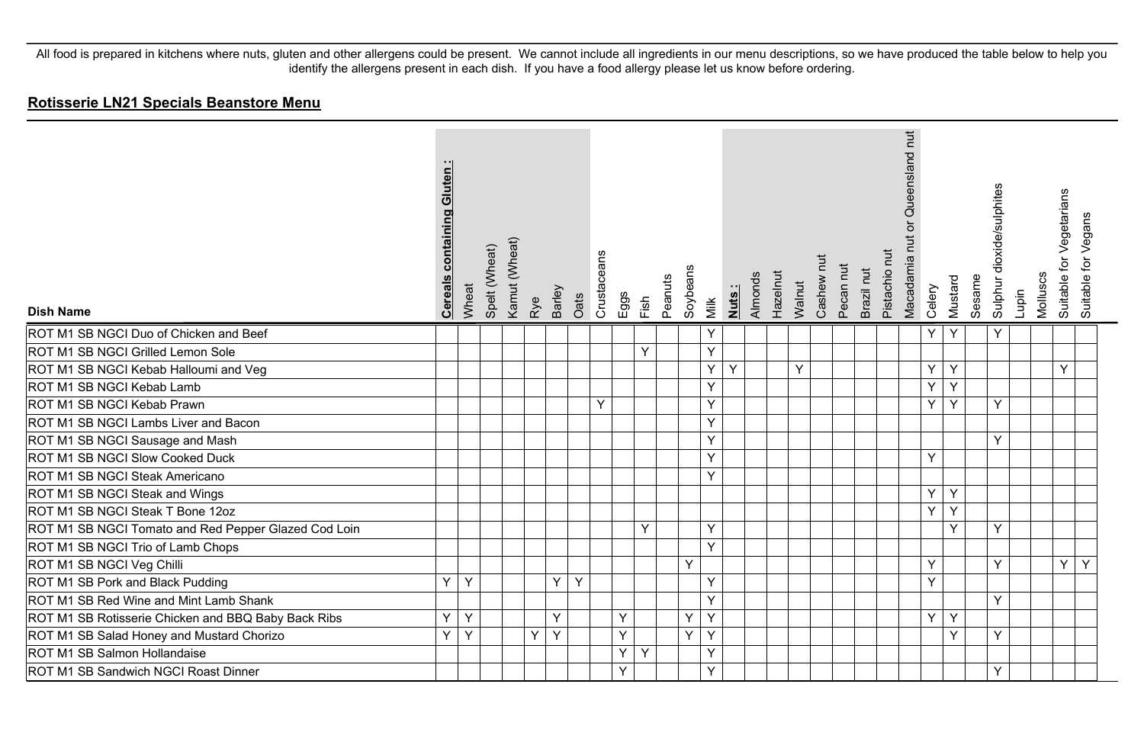| <b>Dish Name</b>                                     | containing Gluten:<br><b>Cereals</b> | Wheat | Spelt (Wheat) | Kamut (Wheat)<br>Rye | <b>Barley</b> | Oats | Crustaceans | Eggs | Fish | Peanuts | Soybeans | <u>Nuts:</u><br>Milk | Almonds | Hazelnut | Walnut | Cashew nut | Pecan nut | Brazil nut | Pistachio nut | Queensland nut<br>Macadamia nut or<br>Celery |    | Mustard | Sesame | Sulphur dioxide/sulphites | Lupin | Molluscs | Suitable for Vegetarians | Suitable for Vegans |
|------------------------------------------------------|--------------------------------------|-------|---------------|----------------------|---------------|------|-------------|------|------|---------|----------|----------------------|---------|----------|--------|------------|-----------|------------|---------------|----------------------------------------------|----|---------|--------|---------------------------|-------|----------|--------------------------|---------------------|
| ROT M1 SB NGCI Duo of Chicken and Beef               |                                      |       |               |                      |               |      |             |      |      |         |          | Υ                    |         |          |        |            |           |            |               | Y                                            |    | Y       |        | Y                         |       |          |                          |                     |
| ROT M1 SB NGCI Grilled Lemon Sole                    |                                      |       |               |                      |               |      |             |      | Y    |         |          | Y                    |         |          |        |            |           |            |               |                                              |    |         |        |                           |       |          |                          |                     |
| ROT M1 SB NGCI Kebab Halloumi and Veg                |                                      |       |               |                      |               |      |             |      |      |         |          | Υ<br>Y               |         |          | Y      |            |           |            |               | Y                                            |    | Y       |        |                           |       |          | Y                        |                     |
| ROT M1 SB NGCI Kebab Lamb                            |                                      |       |               |                      |               |      |             |      |      |         |          | Y                    |         |          |        |            |           |            |               | Y                                            |    | Y       |        |                           |       |          |                          |                     |
| ROT M1 SB NGCI Kebab Prawn                           |                                      |       |               |                      |               |      | Y           |      |      |         |          | Y                    |         |          |        |            |           |            |               |                                              | Y. | Y       |        | Y                         |       |          |                          |                     |
| ROT M1 SB NGCI Lambs Liver and Bacon                 |                                      |       |               |                      |               |      |             |      |      |         |          | Y                    |         |          |        |            |           |            |               |                                              |    |         |        |                           |       |          |                          |                     |
| ROT M1 SB NGCI Sausage and Mash                      |                                      |       |               |                      |               |      |             |      |      |         |          | Y                    |         |          |        |            |           |            |               |                                              |    |         |        | Y                         |       |          |                          |                     |
| ROT M1 SB NGCI Slow Cooked Duck                      |                                      |       |               |                      |               |      |             |      |      |         |          | Y                    |         |          |        |            |           |            |               | Y                                            |    |         |        |                           |       |          |                          |                     |
| ROT M1 SB NGCI Steak Americano                       |                                      |       |               |                      |               |      |             |      |      |         |          | Y                    |         |          |        |            |           |            |               |                                              |    |         |        |                           |       |          |                          |                     |
| ROT M1 SB NGCI Steak and Wings                       |                                      |       |               |                      |               |      |             |      |      |         |          |                      |         |          |        |            |           |            |               |                                              | Y. | Y       |        |                           |       |          |                          |                     |
| ROT M1 SB NGCI Steak T Bone 12oz                     |                                      |       |               |                      |               |      |             |      |      |         |          |                      |         |          |        |            |           |            |               | Y                                            |    | Y       |        |                           |       |          |                          |                     |
| ROT M1 SB NGCI Tomato and Red Pepper Glazed Cod Loin |                                      |       |               |                      |               |      |             |      | Y    |         |          | Y                    |         |          |        |            |           |            |               |                                              |    | Y       |        | Y                         |       |          |                          |                     |
| ROT M1 SB NGCI Trio of Lamb Chops                    |                                      |       |               |                      |               |      |             |      |      |         |          | Y                    |         |          |        |            |           |            |               |                                              |    |         |        |                           |       |          |                          |                     |
| ROT M1 SB NGCI Veg Chilli                            |                                      |       |               |                      |               |      |             |      |      |         | Y        |                      |         |          |        |            |           |            |               | Υ                                            |    |         |        | Y                         |       |          | Y                        | Y                   |
| ROT M1 SB Pork and Black Pudding                     | Y                                    | Υ     |               |                      | Y             | Y    |             |      |      |         |          | Υ                    |         |          |        |            |           |            |               | Y                                            |    |         |        |                           |       |          |                          |                     |
| ROT M1 SB Red Wine and Mint Lamb Shank               |                                      |       |               |                      |               |      |             |      |      |         |          | Y                    |         |          |        |            |           |            |               |                                              |    |         |        | Y                         |       |          |                          |                     |
| ROT M1 SB Rotisserie Chicken and BBQ Baby Back Ribs  | Y                                    | Y     |               |                      | Y             |      |             | Y    |      |         | Υ        | Υ                    |         |          |        |            |           |            |               | Y                                            |    | Y       |        |                           |       |          |                          |                     |
| ROT M1 SB Salad Honey and Mustard Chorizo            | Y                                    | Y     |               | Y                    | Y             |      |             | Y    |      |         | Y        | Υ                    |         |          |        |            |           |            |               |                                              |    | Y       |        | Y                         |       |          |                          |                     |
| ROT M1 SB Salmon Hollandaise                         |                                      |       |               |                      |               |      |             | Y    | Y    |         |          | Υ                    |         |          |        |            |           |            |               |                                              |    |         |        |                           |       |          |                          |                     |
| ROT M1 SB Sandwich NGCI Roast Dinner                 |                                      |       |               |                      |               |      |             | Y    |      |         |          | Y                    |         |          |        |            |           |            |               |                                              |    |         |        | Y                         |       |          |                          |                     |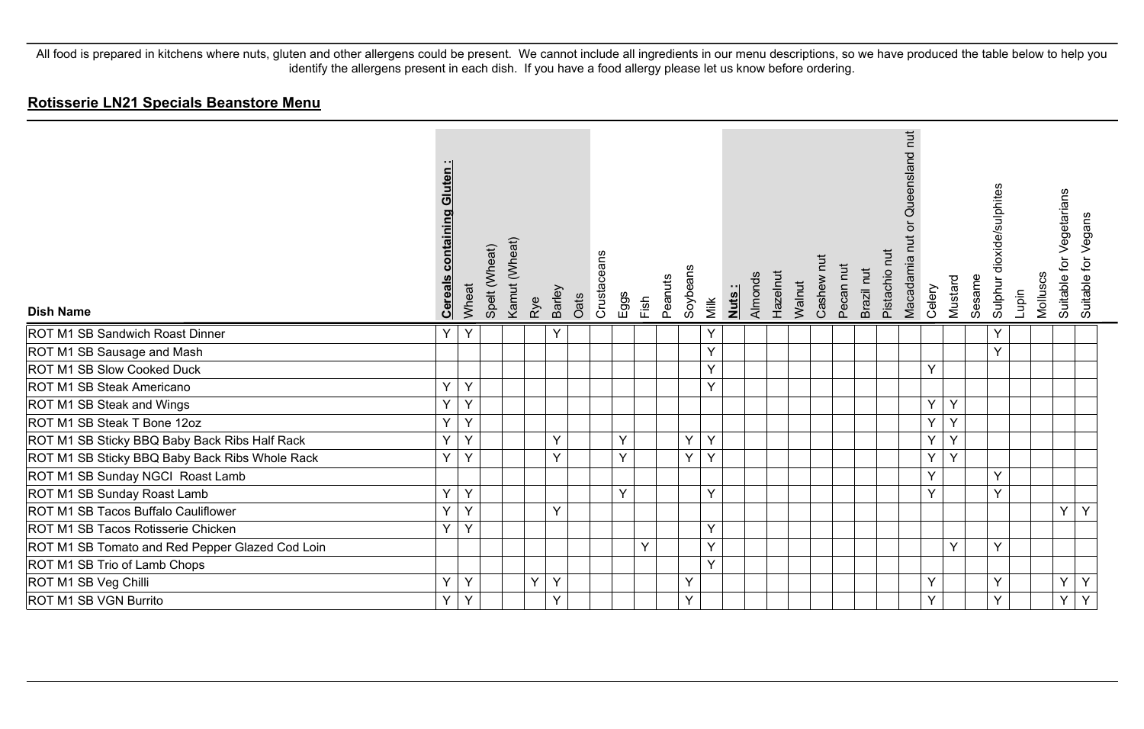| <b>Dish Name</b>                                | Gluten:<br>containing<br><b>Cereals</b> | Wheat | Spelt (Wheat) | Kamut (Wheat) | Rye | Barley       | Oats | Crustaceans | Eggs | Fish | Peanuts | Soybeans | Milk | Nuts: | Almonds | Hazelnut | Walnut | Cashew nut | Pecan nut | Brazil nut | Pistachio nut | Queensland nut<br>$\overline{5}$<br>Macadamia nut | Celery | Mustard | Sesame | Sulphur dioxide/sulphites | Lupin | Molluscs | for Vegetarians<br>Suitable · | Vegans<br>Suitable for |  |
|-------------------------------------------------|-----------------------------------------|-------|---------------|---------------|-----|--------------|------|-------------|------|------|---------|----------|------|-------|---------|----------|--------|------------|-----------|------------|---------------|---------------------------------------------------|--------|---------|--------|---------------------------|-------|----------|-------------------------------|------------------------|--|
| <b>ROT M1 SB Sandwich Roast Dinner</b>          | Y                                       | Y     |               |               |     | Y            |      |             |      |      |         |          | Y    |       |         |          |        |            |           |            |               |                                                   |        |         |        | Y                         |       |          |                               |                        |  |
| ROT M1 SB Sausage and Mash                      |                                         |       |               |               |     |              |      |             |      |      |         |          | Y    |       |         |          |        |            |           |            |               |                                                   |        |         |        | Y                         |       |          |                               |                        |  |
| ROT M1 SB Slow Cooked Duck                      |                                         |       |               |               |     |              |      |             |      |      |         |          | Y    |       |         |          |        |            |           |            |               |                                                   | Y      |         |        |                           |       |          |                               |                        |  |
| ROT M1 SB Steak Americano                       | Y                                       | Y     |               |               |     |              |      |             |      |      |         |          | Y    |       |         |          |        |            |           |            |               |                                                   |        |         |        |                           |       |          |                               |                        |  |
| ROT M1 SB Steak and Wings                       | Y                                       | Υ     |               |               |     |              |      |             |      |      |         |          |      |       |         |          |        |            |           |            |               |                                                   | Y.     | Y       |        |                           |       |          |                               |                        |  |
| ROT M1 SB Steak T Bone 12oz                     | Υ                                       | Υ     |               |               |     |              |      |             |      |      |         |          |      |       |         |          |        |            |           |            |               |                                                   | Y      | Y       |        |                           |       |          |                               |                        |  |
| ROT M1 SB Sticky BBQ Baby Back Ribs Half Rack   | Y                                       | Y     |               |               |     | $\vee$       |      |             | Y    |      |         | Y        | Y    |       |         |          |        |            |           |            |               |                                                   | Y      | Y       |        |                           |       |          |                               |                        |  |
| ROT M1 SB Sticky BBQ Baby Back Ribs Whole Rack  | Υ                                       | Y     |               |               |     | Y            |      |             | Y    |      |         | Y        | Y    |       |         |          |        |            |           |            |               |                                                   | Y      | Y       |        |                           |       |          |                               |                        |  |
| ROT M1 SB Sunday NGCI Roast Lamb                |                                         |       |               |               |     |              |      |             |      |      |         |          |      |       |         |          |        |            |           |            |               |                                                   | Y      |         |        | Y                         |       |          |                               |                        |  |
| ROT M1 SB Sunday Roast Lamb                     | Y                                       | Y     |               |               |     |              |      |             | Y    |      |         |          | Y    |       |         |          |        |            |           |            |               |                                                   | Y      |         |        | Y                         |       |          |                               |                        |  |
| ROT M1 SB Tacos Buffalo Cauliflower             | Y                                       | Y     |               |               |     | $\checkmark$ |      |             |      |      |         |          |      |       |         |          |        |            |           |            |               |                                                   |        |         |        |                           |       |          | Y                             | Y                      |  |
| ROT M1 SB Tacos Rotisserie Chicken              | Y                                       | Y     |               |               |     |              |      |             |      |      |         |          | Y    |       |         |          |        |            |           |            |               |                                                   |        |         |        |                           |       |          |                               |                        |  |
| ROT M1 SB Tomato and Red Pepper Glazed Cod Loin |                                         |       |               |               |     |              |      |             |      | Y    |         |          | Y    |       |         |          |        |            |           |            |               |                                                   |        | Y       |        | Y                         |       |          |                               |                        |  |
| ROT M1 SB Trio of Lamb Chops                    |                                         |       |               |               |     |              |      |             |      |      |         |          | Y    |       |         |          |        |            |           |            |               |                                                   |        |         |        |                           |       |          |                               |                        |  |
| ROT M1 SB Veg Chilli                            | Y                                       | Y     |               |               | Y   | $\vee$       |      |             |      |      |         | Y        |      |       |         |          |        |            |           |            |               |                                                   | Y      |         |        | Y                         |       |          | Y                             | Y                      |  |
| ROT M1 SB VGN Burrito                           | Υ                                       | Υ     |               |               |     | Y            |      |             |      |      |         | Y        |      |       |         |          |        |            |           |            |               |                                                   | Y      |         |        | Y                         |       |          | Y                             | Y                      |  |